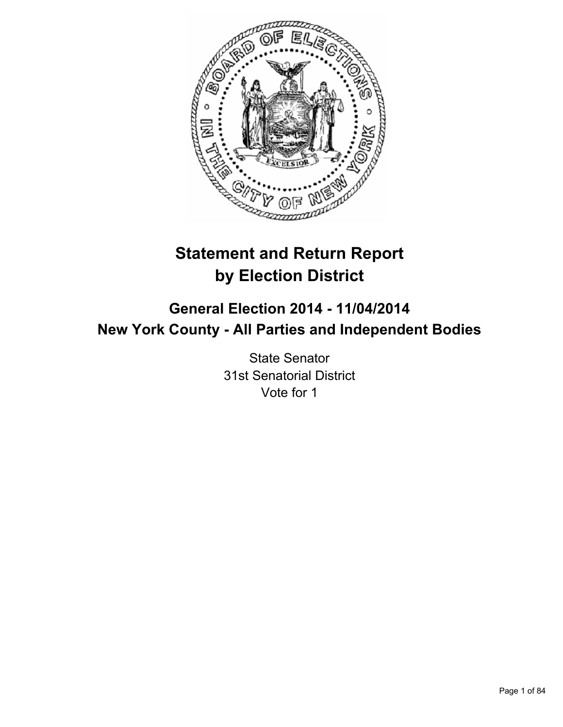

# **Statement and Return Report by Election District**

## **General Election 2014 - 11/04/2014 New York County - All Parties and Independent Bodies**

State Senator 31st Senatorial District Vote for 1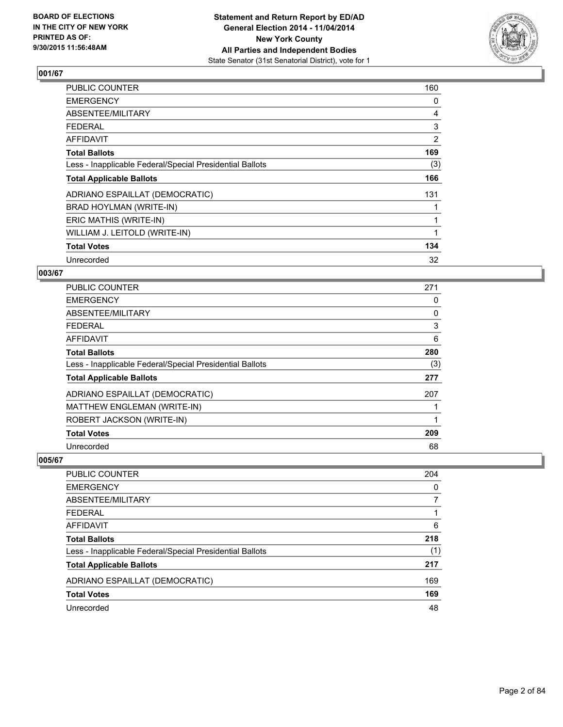

| <b>PUBLIC COUNTER</b>                                    | 160 |
|----------------------------------------------------------|-----|
| <b>EMERGENCY</b>                                         | 0   |
| ABSENTEE/MILITARY                                        | 4   |
| <b>FEDERAL</b>                                           | 3   |
| <b>AFFIDAVIT</b>                                         | 2   |
| <b>Total Ballots</b>                                     | 169 |
| Less - Inapplicable Federal/Special Presidential Ballots | (3) |
| <b>Total Applicable Ballots</b>                          | 166 |
| ADRIANO ESPAILLAT (DEMOCRATIC)                           | 131 |
| BRAD HOYLMAN (WRITE-IN)                                  |     |
| ERIC MATHIS (WRITE-IN)                                   | 1   |
| WILLIAM J. LEITOLD (WRITE-IN)                            |     |
| <b>Total Votes</b>                                       | 134 |
| Unrecorded                                               | 32  |

## **003/67**

| PUBLIC COUNTER                                           | 271 |
|----------------------------------------------------------|-----|
| <b>EMERGENCY</b>                                         | 0   |
| ABSENTEE/MILITARY                                        | 0   |
| <b>FEDERAL</b>                                           | 3   |
| AFFIDAVIT                                                | 6   |
| <b>Total Ballots</b>                                     | 280 |
| Less - Inapplicable Federal/Special Presidential Ballots | (3) |
| <b>Total Applicable Ballots</b>                          | 277 |
| ADRIANO ESPAILLAT (DEMOCRATIC)                           | 207 |
| MATTHEW ENGLEMAN (WRITE-IN)                              |     |
| ROBERT JACKSON (WRITE-IN)                                | 1   |
| <b>Total Votes</b>                                       | 209 |
| Unrecorded                                               | 68  |

| PUBLIC COUNTER                                           | 204      |
|----------------------------------------------------------|----------|
| <b>EMERGENCY</b>                                         | $\Omega$ |
| ABSENTEE/MILITARY                                        | 7        |
| <b>FEDERAL</b>                                           |          |
| <b>AFFIDAVIT</b>                                         | 6        |
| <b>Total Ballots</b>                                     | 218      |
| Less - Inapplicable Federal/Special Presidential Ballots | (1)      |
| <b>Total Applicable Ballots</b>                          | 217      |
| ADRIANO ESPAILLAT (DEMOCRATIC)                           | 169      |
| <b>Total Votes</b>                                       | 169      |
| Unrecorded                                               | 48       |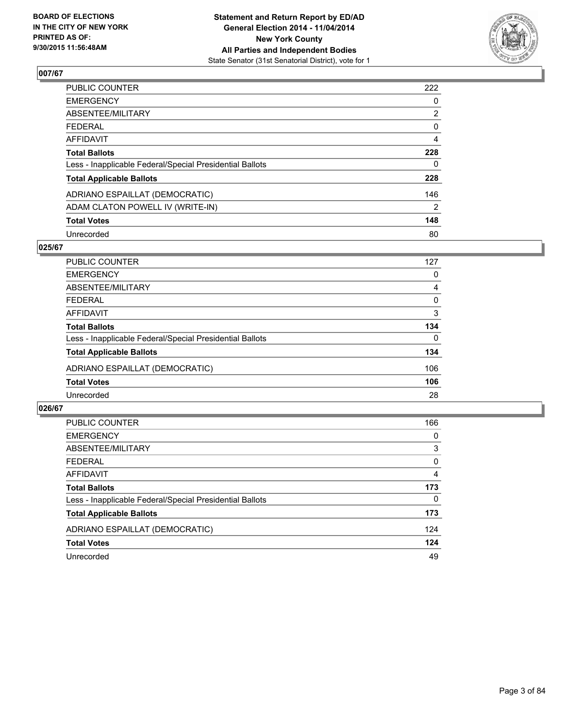

| <b>PUBLIC COUNTER</b>                                    | 222            |
|----------------------------------------------------------|----------------|
| <b>EMERGENCY</b>                                         | 0              |
| ABSENTEE/MILITARY                                        | $\overline{2}$ |
| <b>FEDERAL</b>                                           | 0              |
| <b>AFFIDAVIT</b>                                         | 4              |
| <b>Total Ballots</b>                                     | 228            |
| Less - Inapplicable Federal/Special Presidential Ballots | 0              |
| <b>Total Applicable Ballots</b>                          | 228            |
| ADRIANO ESPAILLAT (DEMOCRATIC)                           | 146            |
| ADAM CLATON POWELL IV (WRITE-IN)                         | 2              |
| <b>Total Votes</b>                                       | 148            |
| Unrecorded                                               | 80             |

#### **025/67**

| <b>PUBLIC COUNTER</b>                                    | 127      |
|----------------------------------------------------------|----------|
| <b>EMERGENCY</b>                                         | 0        |
| ABSENTEE/MILITARY                                        | 4        |
| <b>FEDERAL</b>                                           | 0        |
| <b>AFFIDAVIT</b>                                         | 3        |
| <b>Total Ballots</b>                                     | 134      |
| Less - Inapplicable Federal/Special Presidential Ballots | $\Omega$ |
| <b>Total Applicable Ballots</b>                          | 134      |
| ADRIANO ESPAILLAT (DEMOCRATIC)                           | 106      |
| <b>Total Votes</b>                                       | 106      |
| Unrecorded                                               | 28       |
|                                                          |          |

| <b>PUBLIC COUNTER</b>                                    | 166      |
|----------------------------------------------------------|----------|
| <b>EMERGENCY</b>                                         | 0        |
| ABSENTEE/MILITARY                                        | 3        |
| <b>FEDERAL</b>                                           | 0        |
| AFFIDAVIT                                                | 4        |
| <b>Total Ballots</b>                                     | 173      |
| Less - Inapplicable Federal/Special Presidential Ballots | $\Omega$ |
| <b>Total Applicable Ballots</b>                          | 173      |
| ADRIANO ESPAILLAT (DEMOCRATIC)                           | 124      |
| <b>Total Votes</b>                                       | 124      |
| Unrecorded                                               | 49       |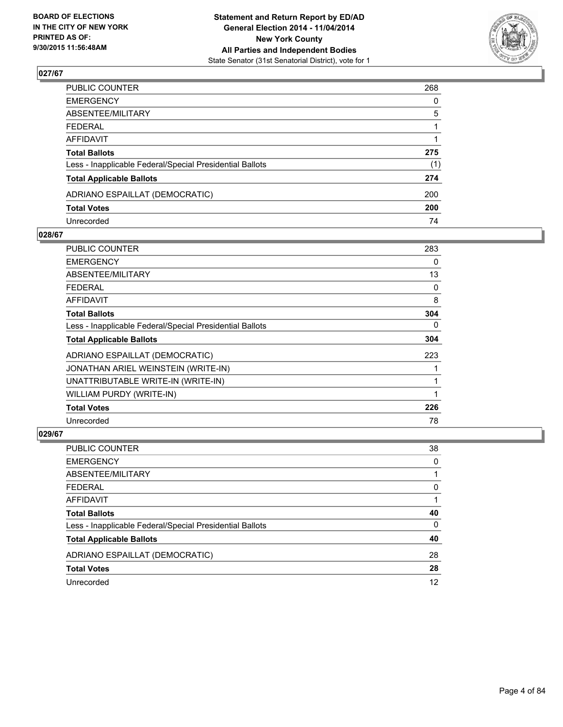

| PUBLIC COUNTER                                           | 268          |
|----------------------------------------------------------|--------------|
| EMERGENCY                                                | $\mathbf{0}$ |
| ABSENTEE/MILITARY                                        | 5            |
| FEDERAL                                                  |              |
| AFFIDAVIT                                                |              |
| Total Ballots                                            | 275          |
| Less - Inapplicable Federal/Special Presidential Ballots | (1)          |
| <b>Total Applicable Ballots</b>                          | 274          |
| ADRIANO ESPAILLAT (DEMOCRATIC)                           | 200          |
| <b>Total Votes</b>                                       | 200          |
| Unrecorded                                               | 74           |

#### **028/67**

| <b>PUBLIC COUNTER</b>                                    | 283 |
|----------------------------------------------------------|-----|
| <b>EMERGENCY</b>                                         | 0   |
| ABSENTEE/MILITARY                                        | 13  |
| <b>FEDERAL</b>                                           | 0   |
| AFFIDAVIT                                                | 8   |
| <b>Total Ballots</b>                                     | 304 |
| Less - Inapplicable Federal/Special Presidential Ballots | 0   |
| <b>Total Applicable Ballots</b>                          | 304 |
| ADRIANO ESPAILLAT (DEMOCRATIC)                           | 223 |
| JONATHAN ARIEL WEINSTEIN (WRITE-IN)                      |     |
| UNATTRIBUTABLE WRITE-IN (WRITE-IN)                       | 1   |
| WILLIAM PURDY (WRITE-IN)                                 |     |
| <b>Total Votes</b>                                       | 226 |
| Unrecorded                                               | 78  |

| PUBLIC COUNTER                                           | 38 |
|----------------------------------------------------------|----|
| <b>EMERGENCY</b>                                         | 0  |
| ABSENTEE/MILITARY                                        |    |
| <b>FEDERAL</b>                                           | 0  |
| <b>AFFIDAVIT</b>                                         |    |
| <b>Total Ballots</b>                                     | 40 |
| Less - Inapplicable Federal/Special Presidential Ballots | 0  |
| <b>Total Applicable Ballots</b>                          | 40 |
| ADRIANO ESPAILLAT (DEMOCRATIC)                           | 28 |
| <b>Total Votes</b>                                       | 28 |
| Unrecorded                                               | 12 |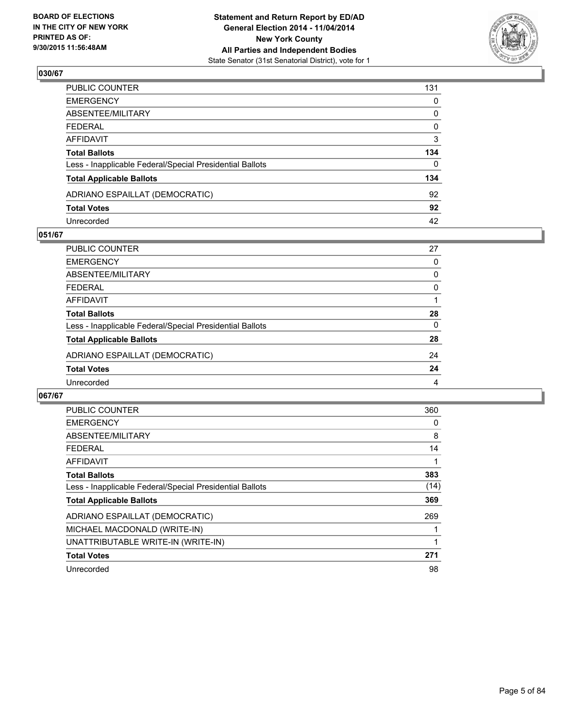

| PUBLIC COUNTER                                           | 131          |
|----------------------------------------------------------|--------------|
| EMERGENCY                                                | $\mathbf{0}$ |
| ABSENTEE/MILITARY                                        | 0            |
| FEDERAL                                                  | $\mathbf 0$  |
| AFFIDAVIT                                                | 3            |
| <b>Total Ballots</b>                                     | 134          |
| Less - Inapplicable Federal/Special Presidential Ballots | 0            |
| <b>Total Applicable Ballots</b>                          | 134          |
| ADRIANO ESPAILLAT (DEMOCRATIC)                           | 92           |
| <b>Total Votes</b>                                       | 92           |
| Unrecorded                                               | 42           |

#### **051/67**

| PUBLIC COUNTER                                           | 27       |
|----------------------------------------------------------|----------|
| <b>EMERGENCY</b>                                         | 0        |
| ABSENTEE/MILITARY                                        | 0        |
| <b>FEDERAL</b>                                           | 0        |
| <b>AFFIDAVIT</b>                                         |          |
| <b>Total Ballots</b>                                     | 28       |
| Less - Inapplicable Federal/Special Presidential Ballots | $\Omega$ |
| <b>Total Applicable Ballots</b>                          | 28       |
| ADRIANO ESPAILLAT (DEMOCRATIC)                           | 24       |
| <b>Total Votes</b>                                       | 24       |
| Unrecorded                                               | 4        |
|                                                          |          |

| PUBLIC COUNTER                                           | 360  |
|----------------------------------------------------------|------|
| <b>EMERGENCY</b>                                         | 0    |
| ABSENTEE/MILITARY                                        | 8    |
| FEDERAL                                                  | 14   |
| <b>AFFIDAVIT</b>                                         | 1    |
| <b>Total Ballots</b>                                     | 383  |
| Less - Inapplicable Federal/Special Presidential Ballots | (14) |
| <b>Total Applicable Ballots</b>                          | 369  |
| ADRIANO ESPAILLAT (DEMOCRATIC)                           | 269  |
| MICHAEL MACDONALD (WRITE-IN)                             |      |
| UNATTRIBUTABLE WRITE-IN (WRITE-IN)                       | 1    |
| <b>Total Votes</b>                                       | 271  |
| Unrecorded                                               | 98   |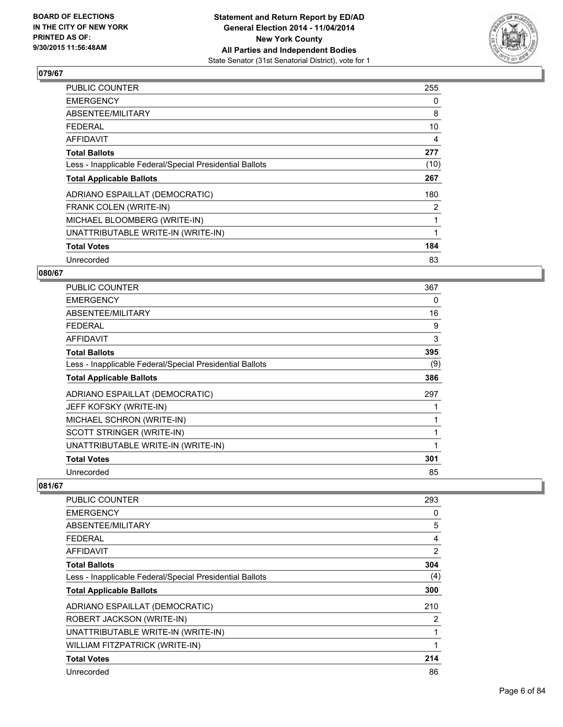

| <b>PUBLIC COUNTER</b>                                    | 255  |
|----------------------------------------------------------|------|
| <b>EMERGENCY</b>                                         | 0    |
| ABSENTEE/MILITARY                                        | 8    |
| FEDERAL                                                  | 10   |
| <b>AFFIDAVIT</b>                                         | 4    |
| <b>Total Ballots</b>                                     | 277  |
| Less - Inapplicable Federal/Special Presidential Ballots | (10) |
| <b>Total Applicable Ballots</b>                          | 267  |
| ADRIANO ESPAILLAT (DEMOCRATIC)                           | 180  |
| FRANK COLEN (WRITE-IN)                                   | 2    |
| MICHAEL BLOOMBERG (WRITE-IN)                             |      |
| UNATTRIBUTABLE WRITE-IN (WRITE-IN)                       | 1    |
| <b>Total Votes</b>                                       | 184  |
| Unrecorded                                               | 83   |

## **080/67**

| <b>PUBLIC COUNTER</b>                                    | 367 |
|----------------------------------------------------------|-----|
| <b>EMERGENCY</b>                                         | 0   |
| ABSENTEE/MILITARY                                        | 16  |
| <b>FEDERAL</b>                                           | 9   |
| AFFIDAVIT                                                | 3   |
| <b>Total Ballots</b>                                     | 395 |
| Less - Inapplicable Federal/Special Presidential Ballots | (9) |
| <b>Total Applicable Ballots</b>                          | 386 |
| ADRIANO ESPAILLAT (DEMOCRATIC)                           | 297 |
| JEFF KOFSKY (WRITE-IN)                                   |     |
| MICHAEL SCHRON (WRITE-IN)                                |     |
| SCOTT STRINGER (WRITE-IN)                                |     |
| UNATTRIBUTABLE WRITE-IN (WRITE-IN)                       | 1   |
| <b>Total Votes</b>                                       | 301 |
| Unrecorded                                               | 85  |

| <b>PUBLIC COUNTER</b>                                    | 293 |
|----------------------------------------------------------|-----|
| <b>EMERGENCY</b>                                         | 0   |
| ABSENTEE/MILITARY                                        | 5   |
| <b>FEDERAL</b>                                           | 4   |
| AFFIDAVIT                                                | 2   |
| <b>Total Ballots</b>                                     | 304 |
| Less - Inapplicable Federal/Special Presidential Ballots | (4) |
| <b>Total Applicable Ballots</b>                          | 300 |
| ADRIANO ESPAILLAT (DEMOCRATIC)                           | 210 |
| ROBERT JACKSON (WRITE-IN)                                | 2   |
| UNATTRIBUTABLE WRITE-IN (WRITE-IN)                       | 1   |
| WILLIAM FITZPATRICK (WRITE-IN)                           | 1   |
| <b>Total Votes</b>                                       | 214 |
| Unrecorded                                               | 86  |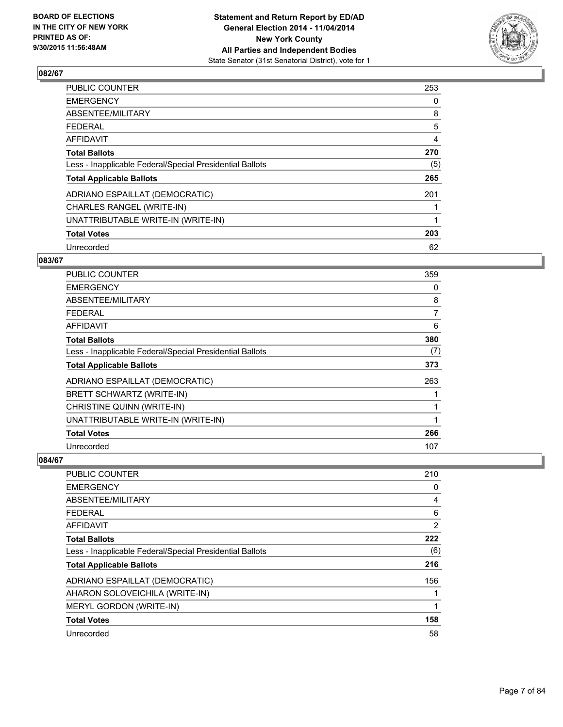

| <b>PUBLIC COUNTER</b>                                    | 253 |
|----------------------------------------------------------|-----|
| <b>EMERGENCY</b>                                         | 0   |
| ABSENTEE/MILITARY                                        | 8   |
| <b>FEDERAL</b>                                           | 5   |
| AFFIDAVIT                                                | 4   |
| <b>Total Ballots</b>                                     | 270 |
| Less - Inapplicable Federal/Special Presidential Ballots | (5) |
| <b>Total Applicable Ballots</b>                          | 265 |
| ADRIANO ESPAILLAT (DEMOCRATIC)                           | 201 |
| CHARLES RANGEL (WRITE-IN)                                |     |
| UNATTRIBUTABLE WRITE-IN (WRITE-IN)                       | 1   |
| <b>Total Votes</b>                                       | 203 |
| Unrecorded                                               | 62  |

#### **083/67**

| <b>PUBLIC COUNTER</b>                                    | 359 |
|----------------------------------------------------------|-----|
| <b>EMERGENCY</b>                                         | 0   |
| ABSENTEE/MILITARY                                        | 8   |
| <b>FEDERAL</b>                                           | 7   |
| AFFIDAVIT                                                | 6   |
| <b>Total Ballots</b>                                     | 380 |
| Less - Inapplicable Federal/Special Presidential Ballots | (7) |
| <b>Total Applicable Ballots</b>                          | 373 |
| ADRIANO ESPAILLAT (DEMOCRATIC)                           | 263 |
| BRETT SCHWARTZ (WRITE-IN)                                |     |
| CHRISTINE QUINN (WRITE-IN)                               | 1   |
| UNATTRIBUTABLE WRITE-IN (WRITE-IN)                       | 1   |
| <b>Total Votes</b>                                       | 266 |
| Unrecorded                                               | 107 |

| PUBLIC COUNTER                                           | 210 |
|----------------------------------------------------------|-----|
| <b>EMERGENCY</b>                                         | 0   |
| ABSENTEE/MILITARY                                        | 4   |
| <b>FEDERAL</b>                                           | 6   |
| AFFIDAVIT                                                | 2   |
| <b>Total Ballots</b>                                     | 222 |
| Less - Inapplicable Federal/Special Presidential Ballots | (6) |
| <b>Total Applicable Ballots</b>                          | 216 |
| ADRIANO ESPAILLAT (DEMOCRATIC)                           | 156 |
| AHARON SOLOVEICHILA (WRITE-IN)                           |     |
| MERYL GORDON (WRITE-IN)                                  | 1   |
| <b>Total Votes</b>                                       | 158 |
| Unrecorded                                               | 58  |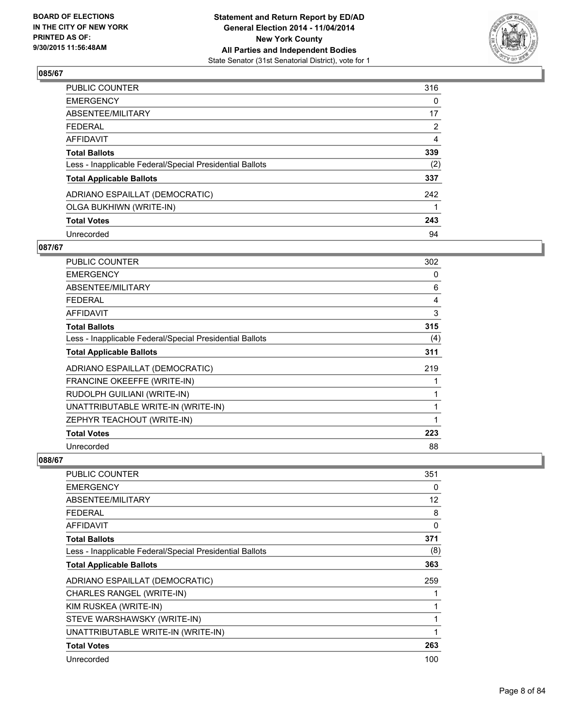

| PUBLIC COUNTER                                           | 316            |
|----------------------------------------------------------|----------------|
| <b>EMERGENCY</b>                                         | 0              |
| ABSENTEE/MILITARY                                        | 17             |
| <b>FEDERAL</b>                                           | $\overline{2}$ |
| <b>AFFIDAVIT</b>                                         | 4              |
| <b>Total Ballots</b>                                     | 339            |
| Less - Inapplicable Federal/Special Presidential Ballots | (2)            |
| <b>Total Applicable Ballots</b>                          | 337            |
| ADRIANO ESPAILLAT (DEMOCRATIC)                           | 242            |
| OLGA BUKHIWN (WRITE-IN)                                  |                |
| <b>Total Votes</b>                                       | 243            |
| Unrecorded                                               | 94             |

#### **087/67**

| <b>PUBLIC COUNTER</b>                                    | 302 |
|----------------------------------------------------------|-----|
| <b>EMERGENCY</b>                                         | 0   |
| ABSENTEE/MILITARY                                        | 6   |
| <b>FEDERAL</b>                                           | 4   |
| AFFIDAVIT                                                | 3   |
| <b>Total Ballots</b>                                     | 315 |
| Less - Inapplicable Federal/Special Presidential Ballots | (4) |
| <b>Total Applicable Ballots</b>                          | 311 |
| ADRIANO ESPAILLAT (DEMOCRATIC)                           | 219 |
| FRANCINE OKEEFFE (WRITE-IN)                              |     |
| RUDOLPH GUILIANI (WRITE-IN)                              | 1   |
| UNATTRIBUTABLE WRITE-IN (WRITE-IN)                       | 1   |
| ZEPHYR TEACHOUT (WRITE-IN)                               | 1   |
| <b>Total Votes</b>                                       | 223 |
| Unrecorded                                               | 88  |

| <b>PUBLIC COUNTER</b>                                    | 351 |
|----------------------------------------------------------|-----|
| <b>EMERGENCY</b>                                         | 0   |
| ABSENTEE/MILITARY                                        | 12  |
| <b>FEDERAL</b>                                           | 8   |
| <b>AFFIDAVIT</b>                                         | 0   |
| <b>Total Ballots</b>                                     | 371 |
| Less - Inapplicable Federal/Special Presidential Ballots | (8) |
| <b>Total Applicable Ballots</b>                          | 363 |
| ADRIANO ESPAILLAT (DEMOCRATIC)                           | 259 |
| CHARLES RANGEL (WRITE-IN)                                |     |
| KIM RUSKEA (WRITE-IN)                                    |     |
| STEVE WARSHAWSKY (WRITE-IN)                              |     |
| UNATTRIBUTABLE WRITE-IN (WRITE-IN)                       | 1   |
| <b>Total Votes</b>                                       | 263 |
| Unrecorded                                               | 100 |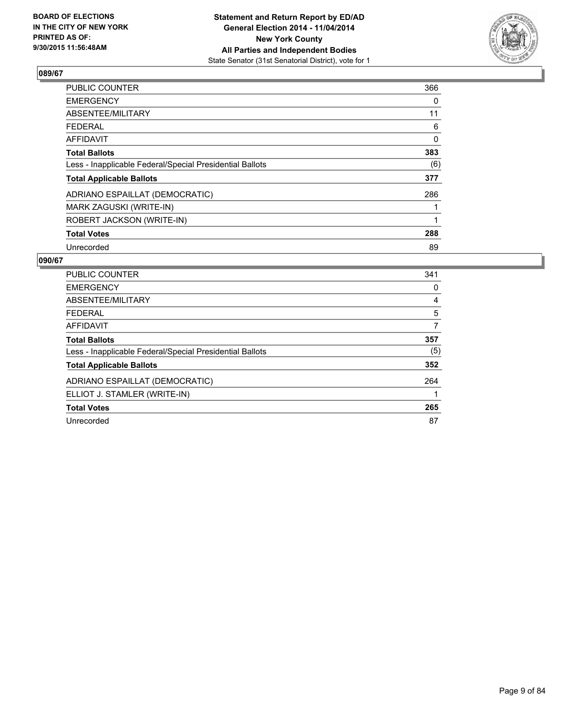

| <b>PUBLIC COUNTER</b>                                    | 366 |
|----------------------------------------------------------|-----|
| <b>EMERGENCY</b>                                         | 0   |
| ABSENTEE/MILITARY                                        | 11  |
| <b>FEDERAL</b>                                           | 6   |
| AFFIDAVIT                                                | 0   |
| <b>Total Ballots</b>                                     | 383 |
| Less - Inapplicable Federal/Special Presidential Ballots | (6) |
| <b>Total Applicable Ballots</b>                          | 377 |
| ADRIANO ESPAILLAT (DEMOCRATIC)                           | 286 |
| MARK ZAGUSKI (WRITE-IN)                                  |     |
| ROBERT JACKSON (WRITE-IN)                                |     |
| <b>Total Votes</b>                                       | 288 |
| Unrecorded                                               | 89  |

| <b>PUBLIC COUNTER</b>                                    | 341 |
|----------------------------------------------------------|-----|
| <b>EMERGENCY</b>                                         | 0   |
| ABSENTEE/MILITARY                                        | 4   |
| <b>FEDERAL</b>                                           | 5   |
| <b>AFFIDAVIT</b>                                         | 7   |
| <b>Total Ballots</b>                                     | 357 |
| Less - Inapplicable Federal/Special Presidential Ballots | (5) |
| <b>Total Applicable Ballots</b>                          | 352 |
| ADRIANO ESPAILLAT (DEMOCRATIC)                           | 264 |
| ELLIOT J. STAMLER (WRITE-IN)                             |     |
| <b>Total Votes</b>                                       | 265 |
| Unrecorded                                               | 87  |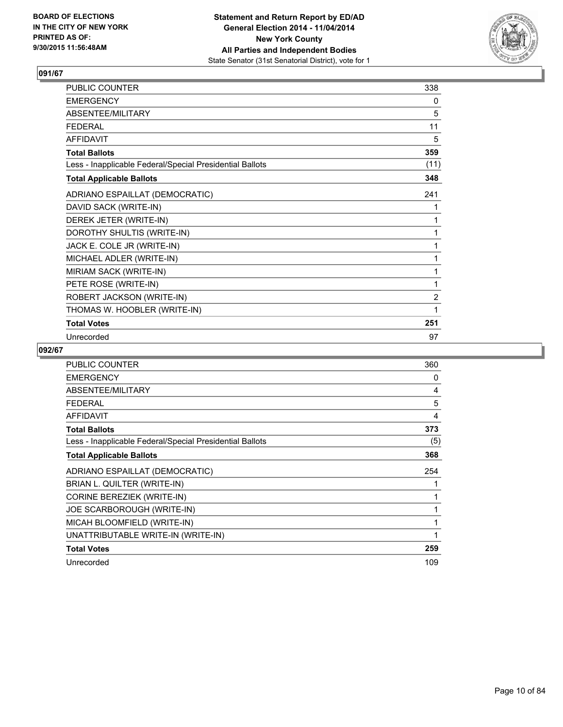

| PUBLIC COUNTER                                           | 338            |
|----------------------------------------------------------|----------------|
| <b>EMERGENCY</b>                                         | 0              |
| ABSENTEE/MILITARY                                        | 5              |
| <b>FFDFRAL</b>                                           | 11             |
| <b>AFFIDAVIT</b>                                         | 5              |
| <b>Total Ballots</b>                                     | 359            |
| Less - Inapplicable Federal/Special Presidential Ballots | (11)           |
| <b>Total Applicable Ballots</b>                          | 348            |
| ADRIANO ESPAILLAT (DEMOCRATIC)                           | 241            |
| DAVID SACK (WRITE-IN)                                    | 1              |
| DEREK JETER (WRITE-IN)                                   | 1              |
| DOROTHY SHULTIS (WRITE-IN)                               | 1              |
| JACK E. COLE JR (WRITE-IN)                               | 1              |
| MICHAEL ADLER (WRITE-IN)                                 | 1              |
| MIRIAM SACK (WRITE-IN)                                   | 1              |
| PETE ROSE (WRITE-IN)                                     | 1              |
| ROBERT JACKSON (WRITE-IN)                                | $\overline{2}$ |
| THOMAS W. HOOBLER (WRITE-IN)                             | 1              |
| <b>Total Votes</b>                                       | 251            |
| Unrecorded                                               | 97             |

| <b>PUBLIC COUNTER</b>                                    | 360 |
|----------------------------------------------------------|-----|
| <b>EMERGENCY</b>                                         | 0   |
| ABSENTEE/MILITARY                                        | 4   |
| <b>FEDERAL</b>                                           | 5   |
| <b>AFFIDAVIT</b>                                         | 4   |
| <b>Total Ballots</b>                                     | 373 |
| Less - Inapplicable Federal/Special Presidential Ballots | (5) |
| <b>Total Applicable Ballots</b>                          | 368 |
| ADRIANO ESPAILLAT (DEMOCRATIC)                           | 254 |
| BRIAN L. QUILTER (WRITE-IN)                              | 1   |
| CORINE BEREZIEK (WRITE-IN)                               | 1   |
| JOE SCARBOROUGH (WRITE-IN)                               | 1   |
| MICAH BLOOMFIELD (WRITE-IN)                              | 1   |
| UNATTRIBUTABLE WRITE-IN (WRITE-IN)                       | 1   |
| <b>Total Votes</b>                                       | 259 |
| Unrecorded                                               | 109 |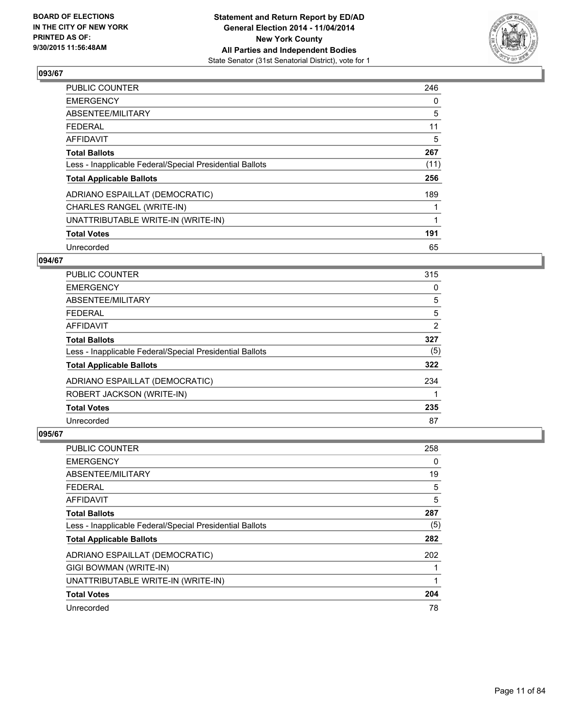

| <b>PUBLIC COUNTER</b>                                    | 246  |
|----------------------------------------------------------|------|
| <b>EMERGENCY</b>                                         | 0    |
| ABSENTEE/MILITARY                                        | 5    |
| <b>FEDERAL</b>                                           | 11   |
| AFFIDAVIT                                                | 5    |
| <b>Total Ballots</b>                                     | 267  |
| Less - Inapplicable Federal/Special Presidential Ballots | (11) |
| <b>Total Applicable Ballots</b>                          | 256  |
| ADRIANO ESPAILLAT (DEMOCRATIC)                           | 189  |
| CHARLES RANGEL (WRITE-IN)                                |      |
| UNATTRIBUTABLE WRITE-IN (WRITE-IN)                       | 1    |
| <b>Total Votes</b>                                       | 191  |
| Unrecorded                                               | 65   |

#### **094/67**

| <b>PUBLIC COUNTER</b>                                    | 315            |
|----------------------------------------------------------|----------------|
| <b>EMERGENCY</b>                                         | 0              |
| ABSENTEE/MILITARY                                        | 5              |
| <b>FEDERAL</b>                                           | 5              |
| AFFIDAVIT                                                | $\overline{2}$ |
| <b>Total Ballots</b>                                     | 327            |
| Less - Inapplicable Federal/Special Presidential Ballots | (5)            |
| <b>Total Applicable Ballots</b>                          | 322            |
| ADRIANO ESPAILLAT (DEMOCRATIC)                           | 234            |
| ROBERT JACKSON (WRITE-IN)                                |                |
| <b>Total Votes</b>                                       | 235            |
| Unrecorded                                               | 87             |

| <b>PUBLIC COUNTER</b>                                    | 258 |
|----------------------------------------------------------|-----|
| <b>EMERGENCY</b>                                         | 0   |
| ABSENTEE/MILITARY                                        | 19  |
| <b>FEDERAL</b>                                           | 5   |
| AFFIDAVIT                                                | 5   |
| <b>Total Ballots</b>                                     | 287 |
| Less - Inapplicable Federal/Special Presidential Ballots | (5) |
| <b>Total Applicable Ballots</b>                          | 282 |
| ADRIANO ESPAILLAT (DEMOCRATIC)                           | 202 |
| GIGI BOWMAN (WRITE-IN)                                   |     |
| UNATTRIBUTABLE WRITE-IN (WRITE-IN)                       | 1   |
| <b>Total Votes</b>                                       | 204 |
| Unrecorded                                               | 78  |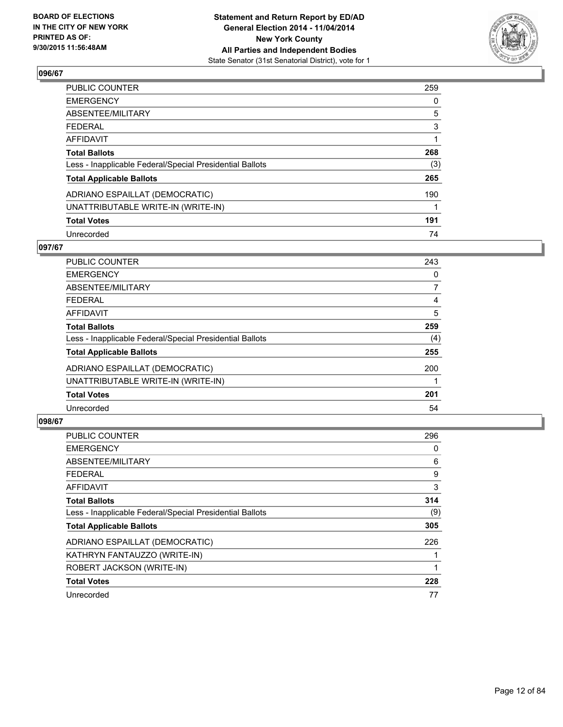

| PUBLIC COUNTER                                           | 259 |
|----------------------------------------------------------|-----|
| <b>EMERGENCY</b>                                         | 0   |
| ABSENTEE/MILITARY                                        | 5   |
| <b>FEDERAL</b>                                           | 3   |
| AFFIDAVIT                                                |     |
| <b>Total Ballots</b>                                     | 268 |
| Less - Inapplicable Federal/Special Presidential Ballots | (3) |
| <b>Total Applicable Ballots</b>                          | 265 |
| ADRIANO ESPAILLAT (DEMOCRATIC)                           | 190 |
| UNATTRIBUTABLE WRITE-IN (WRITE-IN)                       |     |
| <b>Total Votes</b>                                       | 191 |
| Unrecorded                                               | 74  |

#### **097/67**

| PUBLIC COUNTER                                           | 243 |
|----------------------------------------------------------|-----|
| <b>EMERGENCY</b>                                         | 0   |
| ABSENTEE/MILITARY                                        | 7   |
| <b>FEDERAL</b>                                           | 4   |
| AFFIDAVIT                                                | 5   |
| <b>Total Ballots</b>                                     | 259 |
| Less - Inapplicable Federal/Special Presidential Ballots | (4) |
| <b>Total Applicable Ballots</b>                          | 255 |
| ADRIANO ESPAILLAT (DEMOCRATIC)                           | 200 |
| UNATTRIBUTABLE WRITE-IN (WRITE-IN)                       |     |
| <b>Total Votes</b>                                       | 201 |
| Unrecorded                                               | 54  |

| <b>PUBLIC COUNTER</b>                                    | 296 |
|----------------------------------------------------------|-----|
| <b>EMERGENCY</b>                                         | 0   |
| ABSENTEE/MILITARY                                        | 6   |
| <b>FEDERAL</b>                                           | 9   |
| <b>AFFIDAVIT</b>                                         | 3   |
| <b>Total Ballots</b>                                     | 314 |
| Less - Inapplicable Federal/Special Presidential Ballots | (9) |
| <b>Total Applicable Ballots</b>                          | 305 |
| ADRIANO ESPAILLAT (DEMOCRATIC)                           | 226 |
| KATHRYN FANTAUZZO (WRITE-IN)                             |     |
| ROBERT JACKSON (WRITE-IN)                                |     |
| <b>Total Votes</b>                                       | 228 |
| Unrecorded                                               | 77  |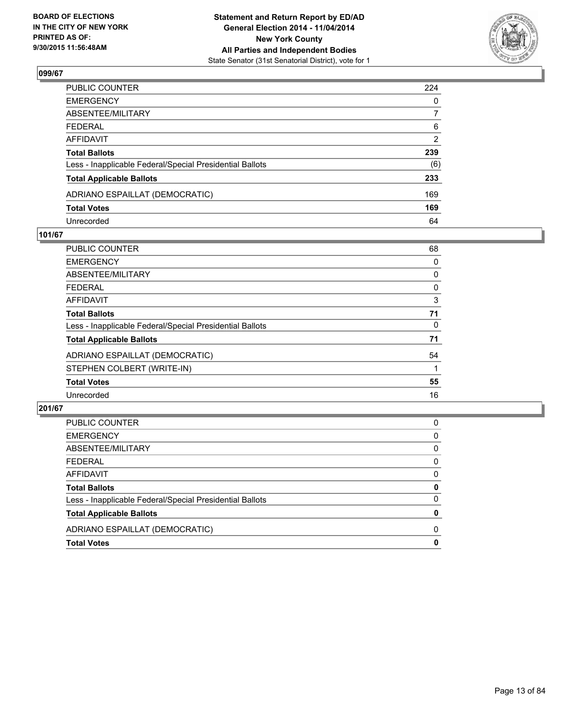

| PUBLIC COUNTER                                           | 224 |
|----------------------------------------------------------|-----|
| EMERGENCY                                                | 0   |
| ABSENTEE/MILITARY                                        | 7   |
| FEDERAL                                                  | 6   |
| AFFIDAVIT                                                | 2   |
| Total Ballots                                            | 239 |
| Less - Inapplicable Federal/Special Presidential Ballots | (6) |
| <b>Total Applicable Ballots</b>                          | 233 |
| ADRIANO ESPAILLAT (DEMOCRATIC)                           | 169 |
| <b>Total Votes</b>                                       | 169 |
| Unrecorded                                               | 64  |

#### **101/67**

| PUBLIC COUNTER                                           | 68 |
|----------------------------------------------------------|----|
| <b>EMERGENCY</b>                                         | 0  |
| ABSENTEE/MILITARY                                        | 0  |
| <b>FEDERAL</b>                                           | 0  |
| <b>AFFIDAVIT</b>                                         | 3  |
| <b>Total Ballots</b>                                     | 71 |
| Less - Inapplicable Federal/Special Presidential Ballots | 0  |
| <b>Total Applicable Ballots</b>                          | 71 |
| ADRIANO ESPAILLAT (DEMOCRATIC)                           | 54 |
| STEPHEN COLBERT (WRITE-IN)                               |    |
| <b>Total Votes</b>                                       | 55 |
| Unrecorded                                               | 16 |
|                                                          |    |

| <b>Total Votes</b>                                       | 0 |
|----------------------------------------------------------|---|
| ADRIANO ESPAILLAT (DEMOCRATIC)                           | 0 |
| <b>Total Applicable Ballots</b>                          | 0 |
| Less - Inapplicable Federal/Special Presidential Ballots | 0 |
| <b>Total Ballots</b>                                     | 0 |
| AFFIDAVIT                                                | 0 |
| <b>FEDERAL</b>                                           | 0 |
| ABSENTEE/MILITARY                                        | 0 |
| <b>EMERGENCY</b>                                         | 0 |
| PUBLIC COUNTER                                           | 0 |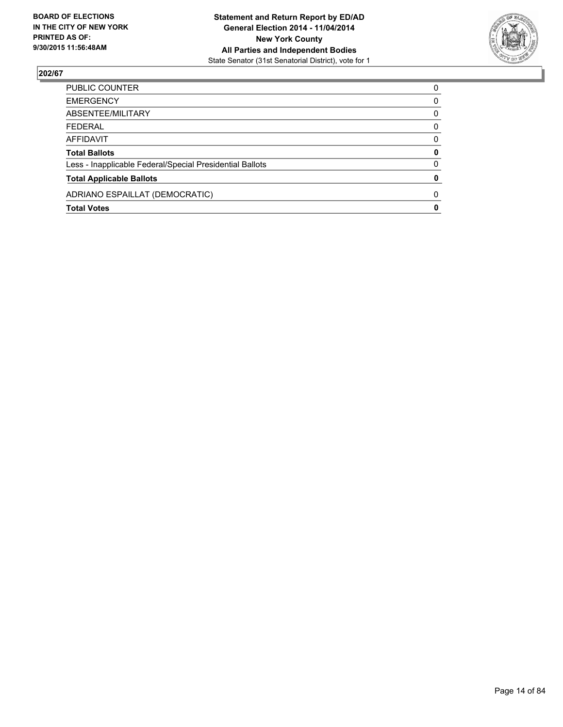

| <b>EMERGENCY</b><br>0<br>ABSENTEE/MILITARY<br>0<br><b>FEDERAL</b><br>0<br>AFFIDAVIT<br>0<br>0<br><b>Total Ballots</b><br>0<br>Less - Inapplicable Federal/Special Presidential Ballots<br>0<br><b>Total Applicable Ballots</b><br>ADRIANO ESPAILLAT (DEMOCRATIC)<br>$\Omega$<br>0<br><b>Total Votes</b> | PUBLIC COUNTER | $\Omega$ |
|---------------------------------------------------------------------------------------------------------------------------------------------------------------------------------------------------------------------------------------------------------------------------------------------------------|----------------|----------|
|                                                                                                                                                                                                                                                                                                         |                |          |
|                                                                                                                                                                                                                                                                                                         |                |          |
|                                                                                                                                                                                                                                                                                                         |                |          |
|                                                                                                                                                                                                                                                                                                         |                |          |
|                                                                                                                                                                                                                                                                                                         |                |          |
|                                                                                                                                                                                                                                                                                                         |                |          |
|                                                                                                                                                                                                                                                                                                         |                |          |
|                                                                                                                                                                                                                                                                                                         |                |          |
|                                                                                                                                                                                                                                                                                                         |                |          |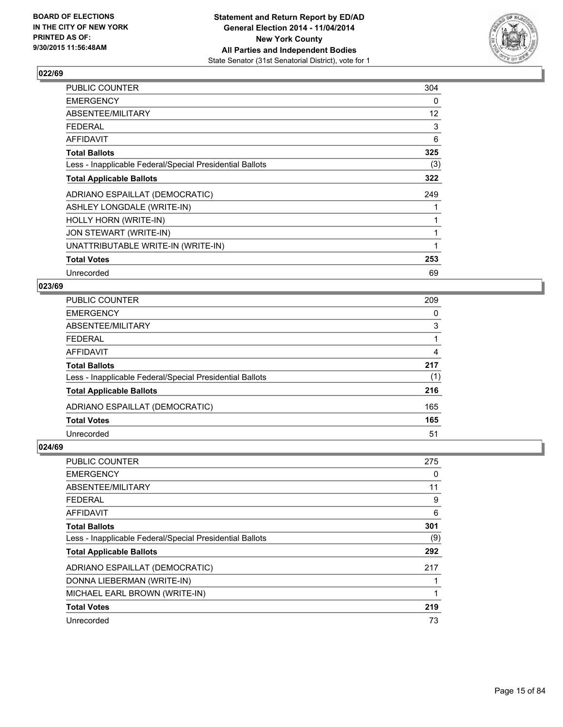

| PUBLIC COUNTER                                           | 304 |
|----------------------------------------------------------|-----|
| <b>EMERGENCY</b>                                         | 0   |
| ABSENTEE/MILITARY                                        | 12  |
| <b>FEDERAL</b>                                           | 3   |
| AFFIDAVIT                                                | 6   |
| <b>Total Ballots</b>                                     | 325 |
| Less - Inapplicable Federal/Special Presidential Ballots | (3) |
| <b>Total Applicable Ballots</b>                          | 322 |
| ADRIANO ESPAILLAT (DEMOCRATIC)                           | 249 |
| ASHLEY LONGDALE (WRITE-IN)                               |     |
| HOLLY HORN (WRITE-IN)                                    |     |
| JON STEWART (WRITE-IN)                                   | 1   |
| UNATTRIBUTABLE WRITE-IN (WRITE-IN)                       | 1   |
| <b>Total Votes</b>                                       | 253 |
| Unrecorded                                               | 69  |

#### **023/69**

| <b>PUBLIC COUNTER</b>                                    | 209 |
|----------------------------------------------------------|-----|
| <b>EMERGENCY</b>                                         | 0   |
| ABSENTEE/MILITARY                                        | 3   |
| <b>FEDERAL</b>                                           |     |
| <b>AFFIDAVIT</b>                                         | 4   |
| <b>Total Ballots</b>                                     | 217 |
| Less - Inapplicable Federal/Special Presidential Ballots | (1) |
| <b>Total Applicable Ballots</b>                          | 216 |
| ADRIANO ESPAILLAT (DEMOCRATIC)                           | 165 |
| <b>Total Votes</b>                                       | 165 |
| Unrecorded                                               | 51  |

| <b>PUBLIC COUNTER</b>                                    | 275 |
|----------------------------------------------------------|-----|
| <b>EMERGENCY</b>                                         | 0   |
| ABSENTEE/MILITARY                                        | 11  |
| <b>FEDERAL</b>                                           | 9   |
| <b>AFFIDAVIT</b>                                         | 6   |
| <b>Total Ballots</b>                                     | 301 |
| Less - Inapplicable Federal/Special Presidential Ballots | (9) |
| <b>Total Applicable Ballots</b>                          | 292 |
| ADRIANO ESPAILLAT (DEMOCRATIC)                           | 217 |
| DONNA LIEBERMAN (WRITE-IN)                               |     |
| MICHAEL EARL BROWN (WRITE-IN)                            | 1   |
| <b>Total Votes</b>                                       | 219 |
| Unrecorded                                               | 73  |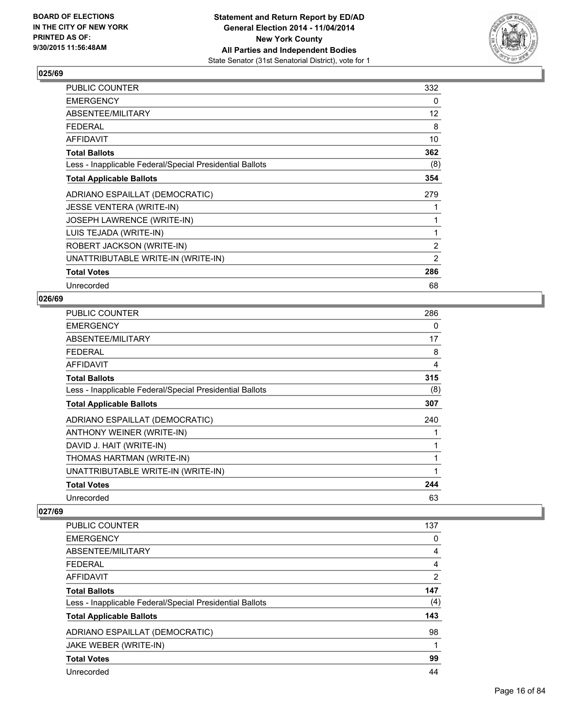

| PUBLIC COUNTER                                           | 332            |
|----------------------------------------------------------|----------------|
| <b>EMERGENCY</b>                                         | 0              |
| ABSENTEE/MILITARY                                        | 12             |
| <b>FEDERAL</b>                                           | 8              |
| AFFIDAVIT                                                | 10             |
| <b>Total Ballots</b>                                     | 362            |
| Less - Inapplicable Federal/Special Presidential Ballots | (8)            |
| <b>Total Applicable Ballots</b>                          | 354            |
| ADRIANO ESPAILLAT (DEMOCRATIC)                           | 279            |
| <b>JESSE VENTERA (WRITE-IN)</b>                          |                |
| JOSEPH LAWRENCE (WRITE-IN)                               | 1              |
| LUIS TEJADA (WRITE-IN)                                   | $\mathbf{1}$   |
| ROBERT JACKSON (WRITE-IN)                                | $\overline{2}$ |
| UNATTRIBUTABLE WRITE-IN (WRITE-IN)                       | 2              |
| <b>Total Votes</b>                                       | 286            |
| Unrecorded                                               | 68             |

#### **026/69**

| PUBLIC COUNTER                                           | 286 |
|----------------------------------------------------------|-----|
| <b>EMERGENCY</b>                                         | 0   |
| ABSENTEE/MILITARY                                        | 17  |
| <b>FEDERAL</b>                                           | 8   |
| <b>AFFIDAVIT</b>                                         | 4   |
| <b>Total Ballots</b>                                     | 315 |
| Less - Inapplicable Federal/Special Presidential Ballots | (8) |
| <b>Total Applicable Ballots</b>                          | 307 |
| ADRIANO ESPAILLAT (DEMOCRATIC)                           | 240 |
| ANTHONY WEINER (WRITE-IN)                                | 1   |
| DAVID J. HAIT (WRITE-IN)                                 | 1   |
| THOMAS HARTMAN (WRITE-IN)                                | 1   |
| UNATTRIBUTABLE WRITE-IN (WRITE-IN)                       | 1   |
| <b>Total Votes</b>                                       | 244 |
| Unrecorded                                               | 63  |

| <b>PUBLIC COUNTER</b>                                    | 137            |
|----------------------------------------------------------|----------------|
| <b>EMERGENCY</b>                                         | 0              |
| ABSENTEE/MILITARY                                        | 4              |
| <b>FEDERAL</b>                                           | 4              |
| <b>AFFIDAVIT</b>                                         | $\overline{2}$ |
| <b>Total Ballots</b>                                     | 147            |
| Less - Inapplicable Federal/Special Presidential Ballots | (4)            |
| <b>Total Applicable Ballots</b>                          | 143            |
| ADRIANO ESPAILLAT (DEMOCRATIC)                           | 98             |
| JAKE WEBER (WRITE-IN)                                    | 1              |
| <b>Total Votes</b>                                       | 99             |
| Unrecorded                                               | 44             |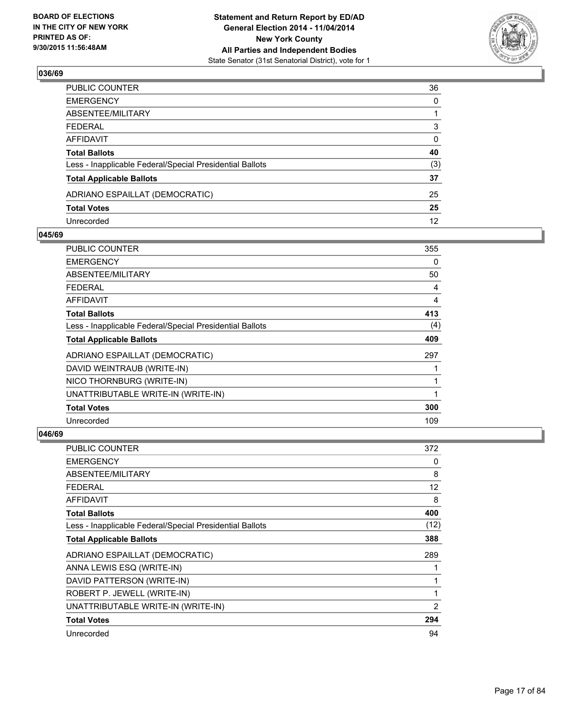

| PUBLIC COUNTER                                           | 36                |
|----------------------------------------------------------|-------------------|
| EMERGENCY                                                | $\mathbf{0}$      |
| ABSENTEE/MILITARY                                        |                   |
| FEDERAL                                                  | 3                 |
| AFFIDAVIT                                                | 0                 |
| <b>Total Ballots</b>                                     | 40                |
| Less - Inapplicable Federal/Special Presidential Ballots | (3)               |
| <b>Total Applicable Ballots</b>                          | 37                |
| ADRIANO ESPAILLAT (DEMOCRATIC)                           | 25                |
| <b>Total Votes</b>                                       | 25                |
| Unrecorded                                               | $12 \overline{ }$ |

#### **045/69**

| PUBLIC COUNTER                                           | 355 |
|----------------------------------------------------------|-----|
| <b>EMERGENCY</b>                                         | 0   |
| ABSENTEE/MILITARY                                        | 50  |
| <b>FEDERAL</b>                                           | 4   |
| AFFIDAVIT                                                | 4   |
| <b>Total Ballots</b>                                     | 413 |
| Less - Inapplicable Federal/Special Presidential Ballots | (4) |
| <b>Total Applicable Ballots</b>                          | 409 |
| ADRIANO ESPAILLAT (DEMOCRATIC)                           | 297 |
| DAVID WEINTRAUB (WRITE-IN)                               |     |
| NICO THORNBURG (WRITE-IN)                                |     |
| UNATTRIBUTABLE WRITE-IN (WRITE-IN)                       |     |
| <b>Total Votes</b>                                       | 300 |
| Unrecorded                                               | 109 |

| <b>PUBLIC COUNTER</b>                                    | 372            |
|----------------------------------------------------------|----------------|
| <b>EMERGENCY</b>                                         | 0              |
| ABSENTEE/MILITARY                                        | 8              |
| <b>FEDERAL</b>                                           | 12             |
| AFFIDAVIT                                                | 8              |
| <b>Total Ballots</b>                                     | 400            |
| Less - Inapplicable Federal/Special Presidential Ballots | (12)           |
| <b>Total Applicable Ballots</b>                          | 388            |
| ADRIANO ESPAILLAT (DEMOCRATIC)                           | 289            |
| ANNA LEWIS ESQ (WRITE-IN)                                |                |
| DAVID PATTERSON (WRITE-IN)                               | 1              |
| ROBERT P. JEWELL (WRITE-IN)                              | 1              |
| UNATTRIBUTABLE WRITE-IN (WRITE-IN)                       | $\overline{2}$ |
| <b>Total Votes</b>                                       | 294            |
| Unrecorded                                               | 94             |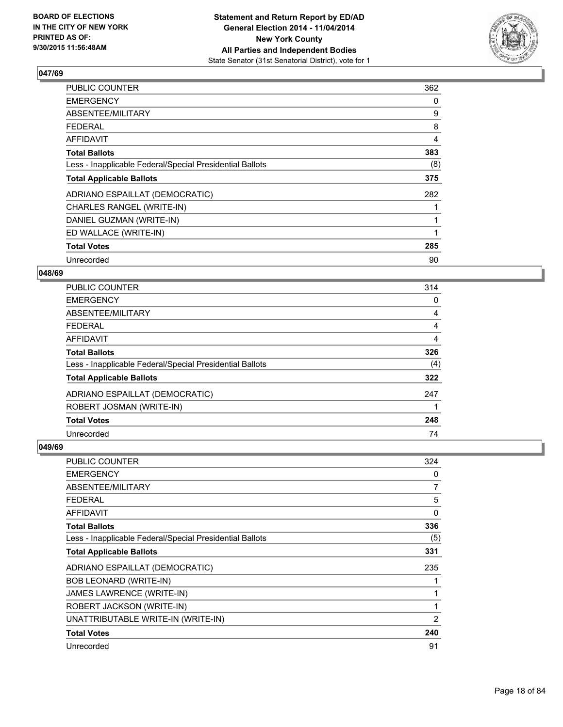

| <b>PUBLIC COUNTER</b>                                    | 362 |
|----------------------------------------------------------|-----|
| <b>EMERGENCY</b>                                         | 0   |
| ABSENTEE/MILITARY                                        | 9   |
| <b>FEDERAL</b>                                           | 8   |
| AFFIDAVIT                                                | 4   |
| <b>Total Ballots</b>                                     | 383 |
| Less - Inapplicable Federal/Special Presidential Ballots | (8) |
| <b>Total Applicable Ballots</b>                          | 375 |
| ADRIANO ESPAILLAT (DEMOCRATIC)                           | 282 |
| CHARLES RANGEL (WRITE-IN)                                |     |
| DANIEL GUZMAN (WRITE-IN)                                 |     |
| ED WALLACE (WRITE-IN)                                    |     |
| <b>Total Votes</b>                                       | 285 |
| Unrecorded                                               | 90  |

## **048/69**

| PUBLIC COUNTER                                           | 314 |
|----------------------------------------------------------|-----|
| <b>EMERGENCY</b>                                         | 0   |
| ABSENTEE/MILITARY                                        | 4   |
| <b>FEDERAL</b>                                           | 4   |
| <b>AFFIDAVIT</b>                                         | 4   |
| <b>Total Ballots</b>                                     | 326 |
| Less - Inapplicable Federal/Special Presidential Ballots | (4) |
| <b>Total Applicable Ballots</b>                          | 322 |
| ADRIANO ESPAILLAT (DEMOCRATIC)                           | 247 |
| ROBERT JOSMAN (WRITE-IN)                                 |     |
| <b>Total Votes</b>                                       | 248 |
| Unrecorded                                               | 74  |

| PUBLIC COUNTER                                           | 324            |
|----------------------------------------------------------|----------------|
| <b>EMERGENCY</b>                                         | 0              |
| ABSENTEE/MILITARY                                        | 7              |
| <b>FEDERAL</b>                                           | 5              |
| <b>AFFIDAVIT</b>                                         | 0              |
| <b>Total Ballots</b>                                     | 336            |
| Less - Inapplicable Federal/Special Presidential Ballots | (5)            |
| <b>Total Applicable Ballots</b>                          | 331            |
| ADRIANO ESPAILLAT (DEMOCRATIC)                           | 235            |
| BOB LEONARD (WRITE-IN)                                   | 1              |
| <b>JAMES LAWRENCE (WRITE-IN)</b>                         | 1              |
| ROBERT JACKSON (WRITE-IN)                                | 1              |
| UNATTRIBUTABLE WRITE-IN (WRITE-IN)                       | $\overline{2}$ |
| <b>Total Votes</b>                                       | 240            |
| Unrecorded                                               | 91             |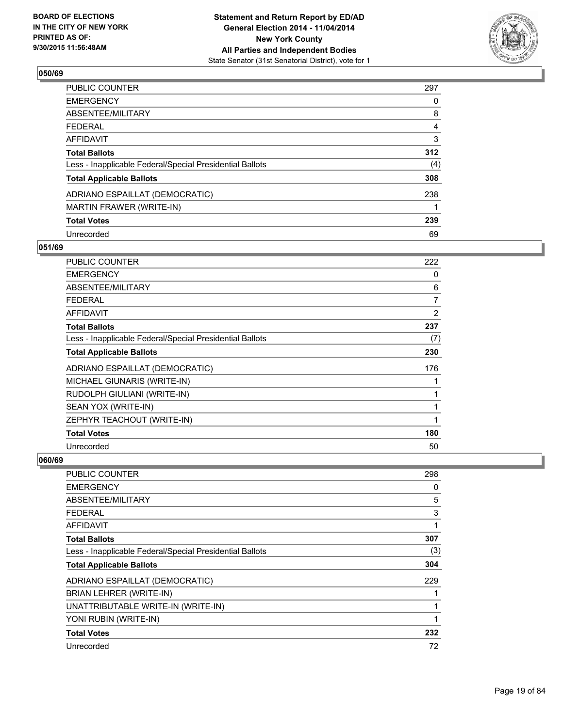

| PUBLIC COUNTER                                           | 297            |
|----------------------------------------------------------|----------------|
| <b>EMERGENCY</b>                                         | 0              |
| ABSENTEE/MILITARY                                        | 8              |
| <b>FEDERAL</b>                                           | $\overline{4}$ |
| <b>AFFIDAVIT</b>                                         | 3              |
| <b>Total Ballots</b>                                     | 312            |
| Less - Inapplicable Federal/Special Presidential Ballots | (4)            |
| <b>Total Applicable Ballots</b>                          | 308            |
| ADRIANO ESPAILLAT (DEMOCRATIC)                           | 238            |
| MARTIN FRAWER (WRITE-IN)                                 |                |
| <b>Total Votes</b>                                       | 239            |
| Unrecorded                                               | 69             |

#### **051/69**

| PUBLIC COUNTER                                           | 222 |
|----------------------------------------------------------|-----|
| <b>EMERGENCY</b>                                         | 0   |
| ABSENTEE/MILITARY                                        | 6   |
| <b>FEDERAL</b>                                           | 7   |
| <b>AFFIDAVIT</b>                                         | 2   |
| <b>Total Ballots</b>                                     | 237 |
| Less - Inapplicable Federal/Special Presidential Ballots | (7) |
| <b>Total Applicable Ballots</b>                          | 230 |
| ADRIANO ESPAILLAT (DEMOCRATIC)                           | 176 |
| MICHAEL GIUNARIS (WRITE-IN)                              | 1   |
| RUDOLPH GIULIANI (WRITE-IN)                              | 1   |
| SEAN YOX (WRITE-IN)                                      | 1   |
| ZEPHYR TEACHOUT (WRITE-IN)                               | 1   |
| <b>Total Votes</b>                                       | 180 |
| Unrecorded                                               | 50  |

| PUBLIC COUNTER                                           | 298 |
|----------------------------------------------------------|-----|
| <b>EMERGENCY</b>                                         | 0   |
| ABSENTEE/MILITARY                                        | 5   |
| <b>FEDERAL</b>                                           | 3   |
| AFFIDAVIT                                                | 1   |
| <b>Total Ballots</b>                                     | 307 |
| Less - Inapplicable Federal/Special Presidential Ballots | (3) |
| <b>Total Applicable Ballots</b>                          | 304 |
| ADRIANO ESPAILLAT (DEMOCRATIC)                           | 229 |
| BRIAN LEHRER (WRITE-IN)                                  |     |
| UNATTRIBUTABLE WRITE-IN (WRITE-IN)                       | 1   |
| YONI RUBIN (WRITE-IN)                                    | 1   |
| <b>Total Votes</b>                                       | 232 |
| Unrecorded                                               | 72  |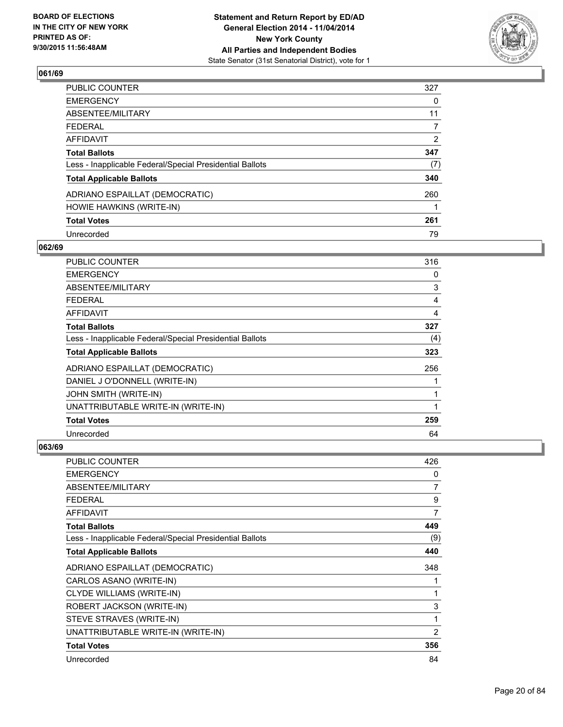

| <b>PUBLIC COUNTER</b>                                    | 327            |
|----------------------------------------------------------|----------------|
| <b>EMERGENCY</b>                                         | 0              |
| ABSENTEE/MILITARY                                        | 11             |
| <b>FEDERAL</b>                                           | 7              |
| <b>AFFIDAVIT</b>                                         | $\overline{2}$ |
| <b>Total Ballots</b>                                     | 347            |
| Less - Inapplicable Federal/Special Presidential Ballots | (7)            |
| <b>Total Applicable Ballots</b>                          | 340            |
| ADRIANO ESPAILLAT (DEMOCRATIC)                           | 260            |
| HOWIE HAWKINS (WRITE-IN)                                 |                |
| <b>Total Votes</b>                                       | 261            |
| Unrecorded                                               | 79             |

#### **062/69**

| PUBLIC COUNTER                                           | 316            |
|----------------------------------------------------------|----------------|
| <b>EMERGENCY</b>                                         | 0              |
| ABSENTEE/MILITARY                                        | 3              |
| <b>FEDERAL</b>                                           | $\overline{4}$ |
| AFFIDAVIT                                                | 4              |
| <b>Total Ballots</b>                                     | 327            |
| Less - Inapplicable Federal/Special Presidential Ballots | (4)            |
| <b>Total Applicable Ballots</b>                          | 323            |
| ADRIANO ESPAILLAT (DEMOCRATIC)                           | 256            |
| DANIEL J O'DONNELL (WRITE-IN)                            |                |
| JOHN SMITH (WRITE-IN)                                    | 1              |
| UNATTRIBUTABLE WRITE-IN (WRITE-IN)                       | 1              |
| <b>Total Votes</b>                                       | 259            |
| Unrecorded                                               | 64             |

| <b>PUBLIC COUNTER</b>                                    | 426            |
|----------------------------------------------------------|----------------|
| <b>EMERGENCY</b>                                         | 0              |
| ABSENTEE/MILITARY                                        | $\overline{7}$ |
| <b>FEDERAL</b>                                           | 9              |
| <b>AFFIDAVIT</b>                                         | 7              |
| <b>Total Ballots</b>                                     | 449            |
| Less - Inapplicable Federal/Special Presidential Ballots | (9)            |
| <b>Total Applicable Ballots</b>                          | 440            |
| ADRIANO ESPAILLAT (DEMOCRATIC)                           | 348            |
| CARLOS ASANO (WRITE-IN)                                  | 1              |
| <b>CLYDE WILLIAMS (WRITE-IN)</b>                         | 1              |
| ROBERT JACKSON (WRITE-IN)                                | 3              |
| STEVE STRAVES (WRITE-IN)                                 | 1              |
| UNATTRIBUTABLE WRITE-IN (WRITE-IN)                       | 2              |
| <b>Total Votes</b>                                       | 356            |
| Unrecorded                                               | 84             |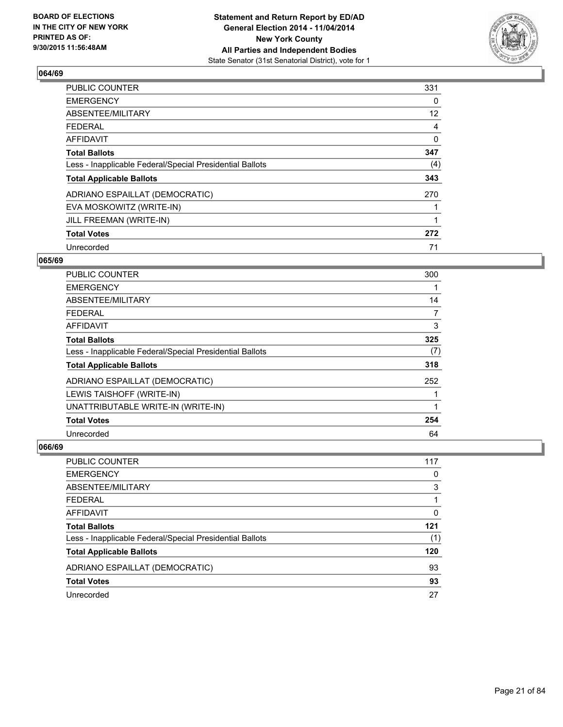

| PUBLIC COUNTER                                           | 331 |
|----------------------------------------------------------|-----|
| <b>EMERGENCY</b>                                         | 0   |
| ABSENTEE/MILITARY                                        | 12  |
| <b>FEDERAL</b>                                           | 4   |
| AFFIDAVIT                                                | 0   |
| <b>Total Ballots</b>                                     | 347 |
| Less - Inapplicable Federal/Special Presidential Ballots | (4) |
| <b>Total Applicable Ballots</b>                          | 343 |
| ADRIANO ESPAILLAT (DEMOCRATIC)                           | 270 |
| EVA MOSKOWITZ (WRITE-IN)                                 |     |
| JILL FREEMAN (WRITE-IN)                                  | 1   |
| <b>Total Votes</b>                                       | 272 |
| Unrecorded                                               | 71  |

#### **065/69**

| PUBLIC COUNTER                                           | 300 |
|----------------------------------------------------------|-----|
| <b>EMERGENCY</b>                                         |     |
| ABSENTEE/MILITARY                                        | 14  |
| <b>FEDERAL</b>                                           | 7   |
| <b>AFFIDAVIT</b>                                         | 3   |
| <b>Total Ballots</b>                                     | 325 |
| Less - Inapplicable Federal/Special Presidential Ballots | (7) |
| <b>Total Applicable Ballots</b>                          | 318 |
| ADRIANO ESPAILLAT (DEMOCRATIC)                           | 252 |
| LEWIS TAISHOFF (WRITE-IN)                                |     |
| UNATTRIBUTABLE WRITE-IN (WRITE-IN)                       |     |
| <b>Total Votes</b>                                       | 254 |
| Unrecorded                                               | 64  |

| <b>PUBLIC COUNTER</b>                                    | 117 |
|----------------------------------------------------------|-----|
| <b>EMERGENCY</b>                                         | 0   |
| ABSENTEE/MILITARY                                        | 3   |
| <b>FEDERAL</b>                                           |     |
| <b>AFFIDAVIT</b>                                         | 0   |
| <b>Total Ballots</b>                                     | 121 |
| Less - Inapplicable Federal/Special Presidential Ballots | (1) |
| <b>Total Applicable Ballots</b>                          | 120 |
| ADRIANO ESPAILLAT (DEMOCRATIC)                           | 93  |
| <b>Total Votes</b>                                       | 93  |
| Unrecorded                                               | 27  |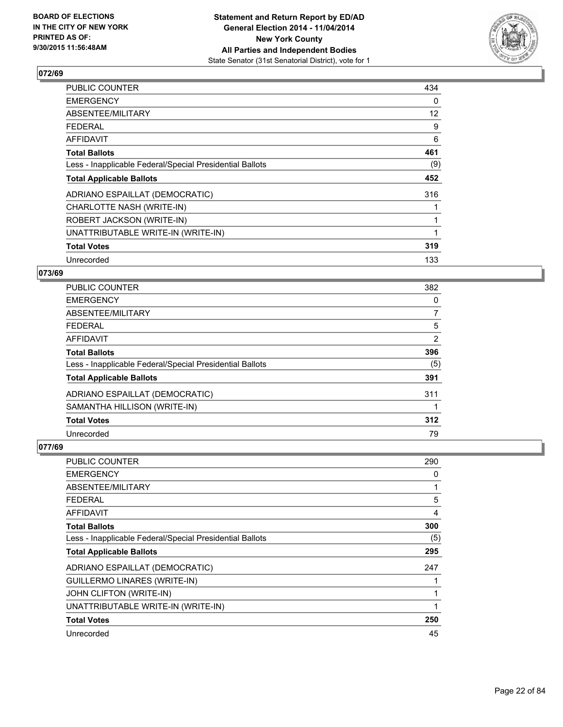

| <b>PUBLIC COUNTER</b>                                    | 434 |
|----------------------------------------------------------|-----|
| <b>EMERGENCY</b>                                         | 0   |
| ABSENTEE/MILITARY                                        | 12  |
| <b>FEDERAL</b>                                           | 9   |
| <b>AFFIDAVIT</b>                                         | 6   |
| <b>Total Ballots</b>                                     | 461 |
| Less - Inapplicable Federal/Special Presidential Ballots | (9) |
| <b>Total Applicable Ballots</b>                          | 452 |
| ADRIANO ESPAILLAT (DEMOCRATIC)                           | 316 |
| CHARLOTTE NASH (WRITE-IN)                                |     |
| ROBERT JACKSON (WRITE-IN)                                |     |
| UNATTRIBUTABLE WRITE-IN (WRITE-IN)                       |     |
| <b>Total Votes</b>                                       | 319 |
| Unrecorded                                               | 133 |

## **073/69**

| <b>PUBLIC COUNTER</b>                                    | 382            |
|----------------------------------------------------------|----------------|
| <b>EMERGENCY</b>                                         | 0              |
| ABSENTEE/MILITARY                                        | 7              |
| <b>FEDERAL</b>                                           | 5              |
| <b>AFFIDAVIT</b>                                         | $\overline{2}$ |
| <b>Total Ballots</b>                                     | 396            |
| Less - Inapplicable Federal/Special Presidential Ballots | (5)            |
| <b>Total Applicable Ballots</b>                          | 391            |
| ADRIANO ESPAILLAT (DEMOCRATIC)                           | 311            |
| SAMANTHA HILLISON (WRITE-IN)                             |                |
| <b>Total Votes</b>                                       | 312            |
| Unrecorded                                               | 79             |

| PUBLIC COUNTER                                           | 290            |
|----------------------------------------------------------|----------------|
| <b>EMERGENCY</b>                                         | 0              |
| ABSENTEE/MILITARY                                        | 1              |
| <b>FEDERAL</b>                                           | 5              |
| AFFIDAVIT                                                | $\overline{4}$ |
| <b>Total Ballots</b>                                     | 300            |
| Less - Inapplicable Federal/Special Presidential Ballots | (5)            |
| <b>Total Applicable Ballots</b>                          | 295            |
| ADRIANO ESPAILLAT (DEMOCRATIC)                           | 247            |
| <b>GUILLERMO LINARES (WRITE-IN)</b>                      |                |
| JOHN CLIFTON (WRITE-IN)                                  | 1              |
| UNATTRIBUTABLE WRITE-IN (WRITE-IN)                       | 1              |
| <b>Total Votes</b>                                       | 250            |
| Unrecorded                                               | 45             |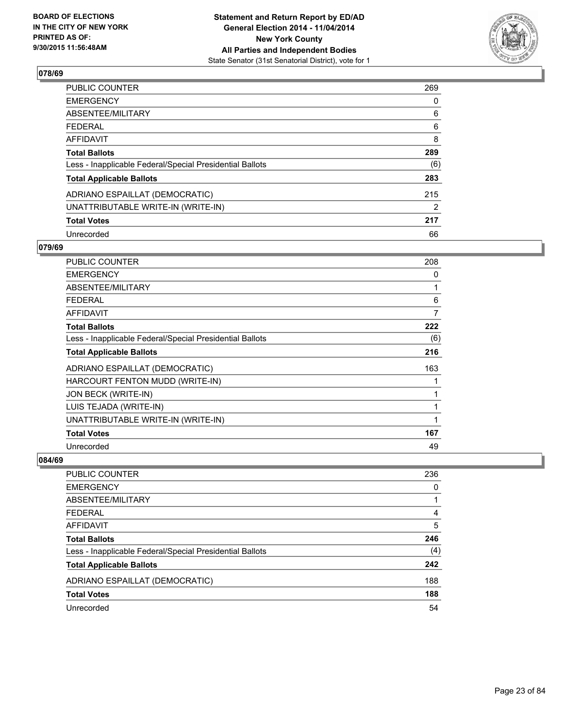

| PUBLIC COUNTER                                           | 269 |
|----------------------------------------------------------|-----|
| <b>EMERGENCY</b>                                         | 0   |
| ABSENTEE/MILITARY                                        | 6   |
| <b>FEDERAL</b>                                           | 6   |
| AFFIDAVIT                                                | 8   |
| <b>Total Ballots</b>                                     | 289 |
| Less - Inapplicable Federal/Special Presidential Ballots | (6) |
| <b>Total Applicable Ballots</b>                          | 283 |
| ADRIANO ESPAILLAT (DEMOCRATIC)                           | 215 |
| UNATTRIBUTABLE WRITE-IN (WRITE-IN)                       | 2   |
| <b>Total Votes</b>                                       | 217 |
| Unrecorded                                               | 66  |

#### **079/69**

| PUBLIC COUNTER                                           | 208            |
|----------------------------------------------------------|----------------|
| <b>EMERGENCY</b>                                         | 0              |
| ABSENTEE/MILITARY                                        | 1              |
| <b>FEDERAL</b>                                           | 6              |
| <b>AFFIDAVIT</b>                                         | $\overline{7}$ |
| <b>Total Ballots</b>                                     | 222            |
| Less - Inapplicable Federal/Special Presidential Ballots | (6)            |
| <b>Total Applicable Ballots</b>                          | 216            |
| ADRIANO ESPAILLAT (DEMOCRATIC)                           | 163            |
| HARCOURT FENTON MUDD (WRITE-IN)                          | 1              |
| JON BECK (WRITE-IN)                                      | 1              |
| LUIS TEJADA (WRITE-IN)                                   | 1              |
| UNATTRIBUTABLE WRITE-IN (WRITE-IN)                       | 1              |
| <b>Total Votes</b>                                       | 167            |
| Unrecorded                                               | 49             |

| <b>PUBLIC COUNTER</b>                                    | 236 |
|----------------------------------------------------------|-----|
| <b>EMERGENCY</b>                                         | 0   |
| ABSENTEE/MILITARY                                        |     |
| <b>FEDERAL</b>                                           | 4   |
| <b>AFFIDAVIT</b>                                         | 5   |
| <b>Total Ballots</b>                                     | 246 |
| Less - Inapplicable Federal/Special Presidential Ballots | (4) |
| <b>Total Applicable Ballots</b>                          | 242 |
| ADRIANO ESPAILLAT (DEMOCRATIC)                           | 188 |
| <b>Total Votes</b>                                       | 188 |
| Unrecorded                                               | 54  |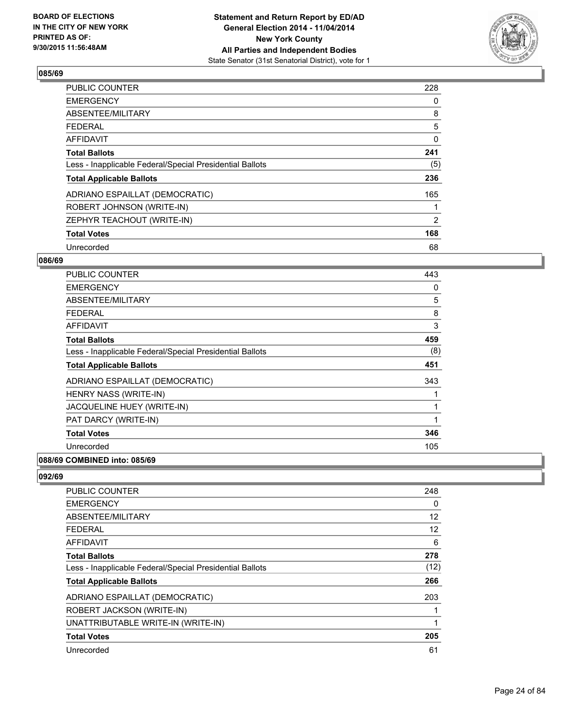

| <b>PUBLIC COUNTER</b>                                    | 228            |
|----------------------------------------------------------|----------------|
| <b>EMERGENCY</b>                                         | 0              |
| ABSENTEE/MILITARY                                        | 8              |
| <b>FEDERAL</b>                                           | 5              |
| <b>AFFIDAVIT</b>                                         | 0              |
| <b>Total Ballots</b>                                     | 241            |
| Less - Inapplicable Federal/Special Presidential Ballots | (5)            |
| <b>Total Applicable Ballots</b>                          | 236            |
| ADRIANO ESPAILLAT (DEMOCRATIC)                           | 165            |
| ROBERT JOHNSON (WRITE-IN)                                |                |
| ZEPHYR TEACHOUT (WRITE-IN)                               | $\overline{2}$ |
| <b>Total Votes</b>                                       | 168            |
| Unrecorded                                               | 68             |

#### **086/69**

| <b>PUBLIC COUNTER</b>                                    | 443 |
|----------------------------------------------------------|-----|
| <b>EMERGENCY</b>                                         | 0   |
| ABSENTEE/MILITARY                                        | 5   |
| <b>FEDERAL</b>                                           | 8   |
| <b>AFFIDAVIT</b>                                         | 3   |
| <b>Total Ballots</b>                                     | 459 |
| Less - Inapplicable Federal/Special Presidential Ballots | (8) |
| <b>Total Applicable Ballots</b>                          | 451 |
| ADRIANO ESPAILLAT (DEMOCRATIC)                           | 343 |
| HENRY NASS (WRITE-IN)                                    |     |
| JACQUELINE HUEY (WRITE-IN)                               |     |
| PAT DARCY (WRITE-IN)                                     | 1   |
| <b>Total Votes</b>                                       | 346 |
| Unrecorded                                               | 105 |
| 088/69 COMBINED into: 085/69                             |     |

| <b>PUBLIC COUNTER</b>                                    | 248  |
|----------------------------------------------------------|------|
| <b>EMERGENCY</b>                                         | 0    |
| ABSENTEE/MILITARY                                        | 12   |
| <b>FEDERAL</b>                                           | 12   |
| AFFIDAVIT                                                | 6    |
| <b>Total Ballots</b>                                     | 278  |
| Less - Inapplicable Federal/Special Presidential Ballots | (12) |
| <b>Total Applicable Ballots</b>                          | 266  |
| ADRIANO ESPAILLAT (DEMOCRATIC)                           | 203  |
| ROBERT JACKSON (WRITE-IN)                                |      |
| UNATTRIBUTABLE WRITE-IN (WRITE-IN)                       | 1    |
| <b>Total Votes</b>                                       | 205  |
| Unrecorded                                               | 61   |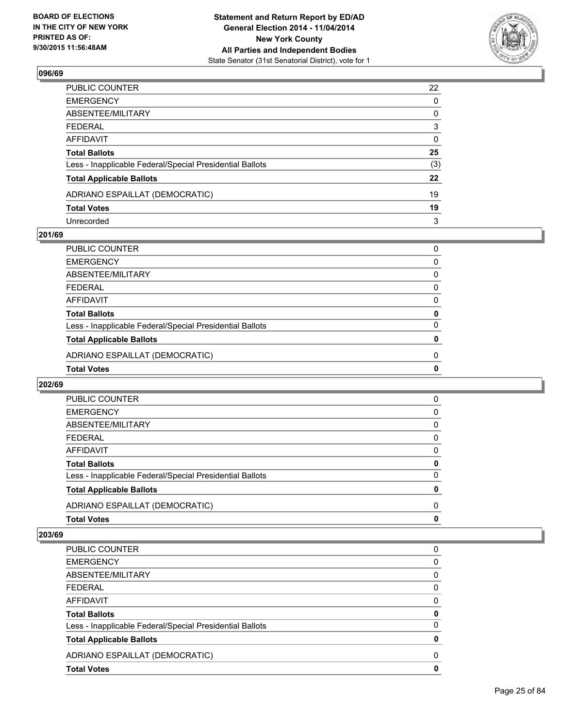

| PUBLIC COUNTER                                           | 22           |
|----------------------------------------------------------|--------------|
| EMERGENCY                                                | $\mathbf{0}$ |
| ABSENTEE/MILITARY                                        | 0            |
| FEDERAL                                                  | 3            |
| AFFIDAVIT                                                | 0            |
| <b>Total Ballots</b>                                     | 25           |
| Less - Inapplicable Federal/Special Presidential Ballots | (3)          |
| <b>Total Applicable Ballots</b>                          | 22           |
| ADRIANO ESPAILLAT (DEMOCRATIC)                           | 19           |
| <b>Total Votes</b>                                       | 19           |
| Unrecorded                                               | 3            |

## **201/69**

| PUBLIC COUNTER                                           | 0 |
|----------------------------------------------------------|---|
| <b>EMERGENCY</b>                                         | 0 |
| ABSENTEE/MILITARY                                        | 0 |
| <b>FEDERAL</b>                                           | 0 |
| AFFIDAVIT                                                | 0 |
| <b>Total Ballots</b>                                     | 0 |
| Less - Inapplicable Federal/Special Presidential Ballots | 0 |
| <b>Total Applicable Ballots</b>                          | 0 |
| ADRIANO ESPAILLAT (DEMOCRATIC)                           | 0 |
| <b>Total Votes</b>                                       | 0 |
|                                                          |   |

#### **202/69**

| <b>Total Votes</b>                                       | 0        |
|----------------------------------------------------------|----------|
| ADRIANO ESPAILLAT (DEMOCRATIC)                           | $\Omega$ |
| <b>Total Applicable Ballots</b>                          | 0        |
| Less - Inapplicable Federal/Special Presidential Ballots | 0        |
| <b>Total Ballots</b>                                     | 0        |
| AFFIDAVIT                                                | 0        |
| <b>FEDERAL</b>                                           | 0        |
| ABSENTEE/MILITARY                                        | 0        |
| <b>EMERGENCY</b>                                         | 0        |
| PUBLIC COUNTER                                           | 0        |

| <b>PUBLIC COUNTER</b>                                    | 0 |
|----------------------------------------------------------|---|
| <b>EMERGENCY</b>                                         | 0 |
| ABSENTEE/MILITARY                                        | 0 |
| <b>FEDERAL</b>                                           | 0 |
| AFFIDAVIT                                                | 0 |
| <b>Total Ballots</b>                                     | 0 |
| Less - Inapplicable Federal/Special Presidential Ballots | 0 |
| <b>Total Applicable Ballots</b>                          | 0 |
| ADRIANO ESPAILLAT (DEMOCRATIC)                           | 0 |
| <b>Total Votes</b>                                       | 0 |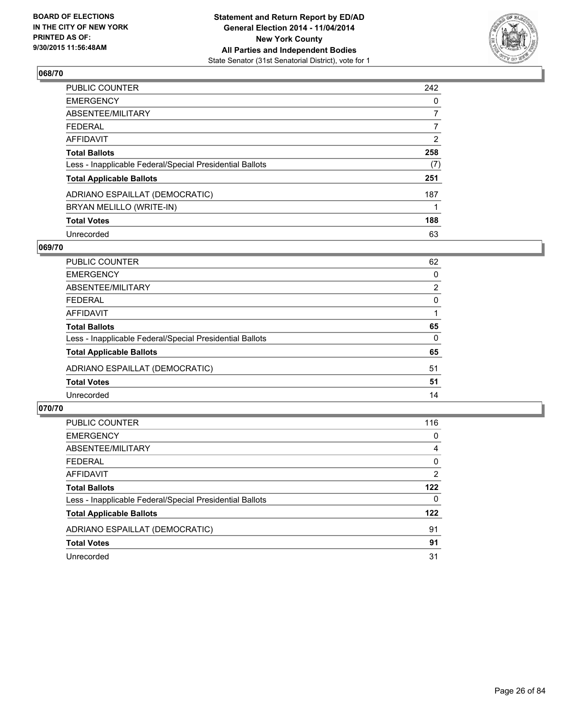

| PUBLIC COUNTER                                           | 242            |
|----------------------------------------------------------|----------------|
| EMERGENCY                                                | 0              |
| ABSENTEE/MILITARY                                        | $\overline{7}$ |
| FEDERAL                                                  | $\overline{7}$ |
| <b>AFFIDAVIT</b>                                         | $\overline{2}$ |
| Total Ballots                                            | 258            |
| Less - Inapplicable Federal/Special Presidential Ballots | (7)            |
| <b>Total Applicable Ballots</b>                          | 251            |
| ADRIANO ESPAILLAT (DEMOCRATIC)                           | 187            |
| BRYAN MELILLO (WRITE-IN)                                 |                |
| <b>Total Votes</b>                                       | 188            |
| Unrecorded                                               | 63             |

#### **069/70**

| <b>PUBLIC COUNTER</b>                                    | 62             |
|----------------------------------------------------------|----------------|
| <b>EMERGENCY</b>                                         | 0              |
| ABSENTEE/MILITARY                                        | $\overline{2}$ |
| <b>FEDERAL</b>                                           | 0              |
| <b>AFFIDAVIT</b>                                         |                |
| <b>Total Ballots</b>                                     | 65             |
| Less - Inapplicable Federal/Special Presidential Ballots | $\Omega$       |
| <b>Total Applicable Ballots</b>                          | 65             |
| ADRIANO ESPAILLAT (DEMOCRATIC)                           | 51             |
| <b>Total Votes</b>                                       | 51             |
| Unrecorded                                               | 14             |
|                                                          |                |

| PUBLIC COUNTER                                           | 116      |
|----------------------------------------------------------|----------|
| <b>EMERGENCY</b>                                         | 0        |
| ABSENTEE/MILITARY                                        | 4        |
| <b>FEDERAL</b>                                           | 0        |
| AFFIDAVIT                                                | 2        |
| <b>Total Ballots</b>                                     | 122      |
| Less - Inapplicable Federal/Special Presidential Ballots | $\Omega$ |
| <b>Total Applicable Ballots</b>                          | 122      |
| ADRIANO ESPAILLAT (DEMOCRATIC)                           | 91       |
| <b>Total Votes</b>                                       | 91       |
| Unrecorded                                               | 31       |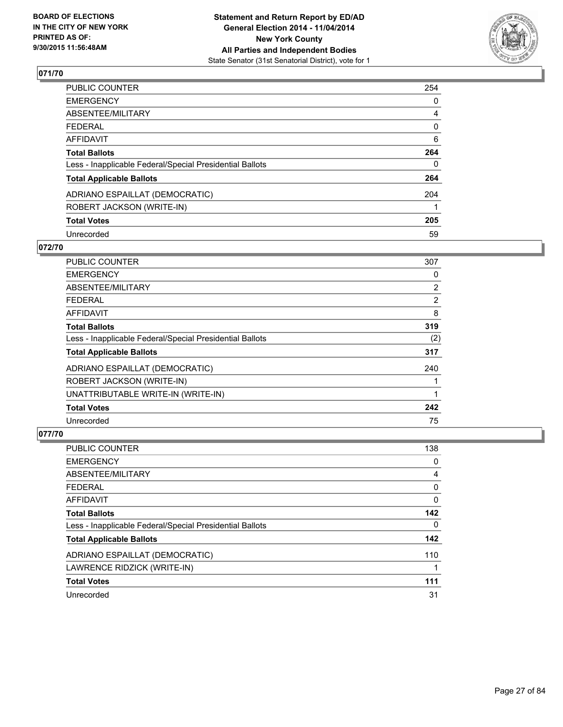

| PUBLIC COUNTER                                           | 254            |
|----------------------------------------------------------|----------------|
| <b>EMERGENCY</b>                                         | 0              |
| ABSENTEE/MILITARY                                        | $\overline{4}$ |
| <b>FEDERAL</b>                                           | 0              |
| AFFIDAVIT                                                | 6              |
| <b>Total Ballots</b>                                     | 264            |
| Less - Inapplicable Federal/Special Presidential Ballots | $\Omega$       |
| <b>Total Applicable Ballots</b>                          | 264            |
| ADRIANO ESPAILLAT (DEMOCRATIC)                           | 204            |
| ROBERT JACKSON (WRITE-IN)                                |                |
| <b>Total Votes</b>                                       | 205            |
| Unrecorded                                               | 59             |

#### **072/70**

| <b>PUBLIC COUNTER</b>                                    | 307            |
|----------------------------------------------------------|----------------|
| <b>EMERGENCY</b>                                         | 0              |
| ABSENTEE/MILITARY                                        | $\overline{2}$ |
| <b>FEDERAL</b>                                           | $\overline{2}$ |
| AFFIDAVIT                                                | 8              |
| <b>Total Ballots</b>                                     | 319            |
| Less - Inapplicable Federal/Special Presidential Ballots | (2)            |
| <b>Total Applicable Ballots</b>                          | 317            |
| ADRIANO ESPAILLAT (DEMOCRATIC)                           | 240            |
| ROBERT JACKSON (WRITE-IN)                                |                |
| UNATTRIBUTABLE WRITE-IN (WRITE-IN)                       |                |
| <b>Total Votes</b>                                       | 242            |
| Unrecorded                                               | 75             |

| <b>PUBLIC COUNTER</b>                                    | 138 |
|----------------------------------------------------------|-----|
| <b>EMERGENCY</b>                                         | 0   |
| ABSENTEE/MILITARY                                        | 4   |
| <b>FEDERAL</b>                                           | 0   |
| <b>AFFIDAVIT</b>                                         | 0   |
| <b>Total Ballots</b>                                     | 142 |
| Less - Inapplicable Federal/Special Presidential Ballots | 0   |
| <b>Total Applicable Ballots</b>                          | 142 |
| ADRIANO ESPAILLAT (DEMOCRATIC)                           | 110 |
| LAWRENCE RIDZICK (WRITE-IN)                              | 1   |
| <b>Total Votes</b>                                       | 111 |
| Unrecorded                                               | 31  |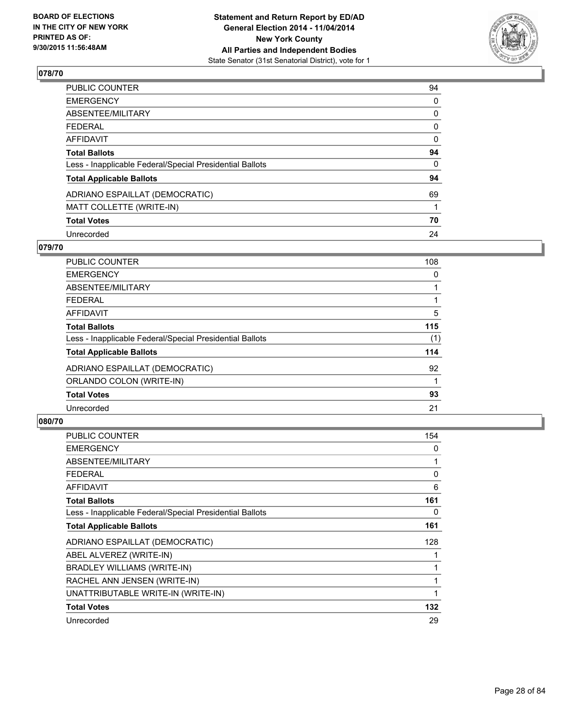

| PUBLIC COUNTER                                           | 94       |
|----------------------------------------------------------|----------|
| <b>EMERGENCY</b>                                         | 0        |
| ABSENTEE/MILITARY                                        | 0        |
| <b>FEDERAL</b>                                           | 0        |
| AFFIDAVIT                                                | 0        |
| <b>Total Ballots</b>                                     | 94       |
| Less - Inapplicable Federal/Special Presidential Ballots | $\Omega$ |
| <b>Total Applicable Ballots</b>                          | 94       |
| ADRIANO ESPAILLAT (DEMOCRATIC)                           | 69       |
| MATT COLLETTE (WRITE-IN)                                 |          |
| <b>Total Votes</b>                                       | 70       |
| Unrecorded                                               | 24       |

#### **079/70**

| <b>PUBLIC COUNTER</b>                                    | 108 |
|----------------------------------------------------------|-----|
| <b>EMERGENCY</b>                                         | 0   |
| ABSENTEE/MILITARY                                        |     |
| <b>FEDERAL</b>                                           |     |
| <b>AFFIDAVIT</b>                                         | 5   |
| <b>Total Ballots</b>                                     | 115 |
| Less - Inapplicable Federal/Special Presidential Ballots | (1) |
| <b>Total Applicable Ballots</b>                          | 114 |
| ADRIANO ESPAILLAT (DEMOCRATIC)                           | 92  |
| ORLANDO COLON (WRITE-IN)                                 |     |
| <b>Total Votes</b>                                       | 93  |
| Unrecorded                                               | 21  |

| PUBLIC COUNTER                                           | 154          |
|----------------------------------------------------------|--------------|
| <b>EMERGENCY</b>                                         | 0            |
| ABSENTEE/MILITARY                                        | $\mathbf{1}$ |
| <b>FEDERAL</b>                                           | 0            |
| AFFIDAVIT                                                | 6            |
| <b>Total Ballots</b>                                     | 161          |
| Less - Inapplicable Federal/Special Presidential Ballots | 0            |
| <b>Total Applicable Ballots</b>                          | 161          |
| ADRIANO ESPAILLAT (DEMOCRATIC)                           | 128          |
| ABEL ALVEREZ (WRITE-IN)                                  | 1            |
| <b>BRADLEY WILLIAMS (WRITE-IN)</b>                       | 1            |
| RACHEL ANN JENSEN (WRITE-IN)                             | 1            |
| UNATTRIBUTABLE WRITE-IN (WRITE-IN)                       | 1            |
| <b>Total Votes</b>                                       | 132          |
| Unrecorded                                               | 29           |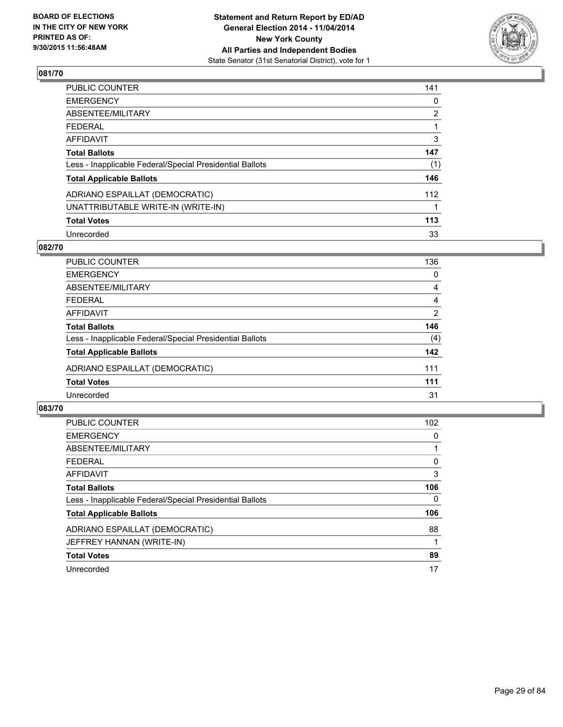

| PUBLIC COUNTER                                           | 141            |
|----------------------------------------------------------|----------------|
| <b>EMERGENCY</b>                                         | 0              |
| ABSENTEE/MILITARY                                        | $\overline{2}$ |
| <b>FEDERAL</b>                                           |                |
| AFFIDAVIT                                                | 3              |
| <b>Total Ballots</b>                                     | 147            |
| Less - Inapplicable Federal/Special Presidential Ballots | (1)            |
| <b>Total Applicable Ballots</b>                          | 146            |
| ADRIANO ESPAILLAT (DEMOCRATIC)                           | 112            |
| UNATTRIBUTABLE WRITE-IN (WRITE-IN)                       |                |
| <b>Total Votes</b>                                       | 113            |
| Unrecorded                                               | 33             |

#### **082/70**

| PUBLIC COUNTER                                           | 136            |
|----------------------------------------------------------|----------------|
| <b>EMERGENCY</b>                                         | $\Omega$       |
| ABSENTEE/MILITARY                                        | 4              |
| <b>FEDERAL</b>                                           | 4              |
| AFFIDAVIT                                                | $\overline{2}$ |
| <b>Total Ballots</b>                                     | 146            |
| Less - Inapplicable Federal/Special Presidential Ballots | (4)            |
| <b>Total Applicable Ballots</b>                          | 142            |
| ADRIANO ESPAILLAT (DEMOCRATIC)                           | 111            |
| <b>Total Votes</b>                                       | 111            |
| Unrecorded                                               | 31             |
|                                                          |                |

| <b>PUBLIC COUNTER</b>                                    | 102 |
|----------------------------------------------------------|-----|
| <b>EMERGENCY</b>                                         | 0   |
| ABSENTEE/MILITARY                                        |     |
| <b>FEDERAL</b>                                           | 0   |
| AFFIDAVIT                                                | 3   |
| <b>Total Ballots</b>                                     | 106 |
| Less - Inapplicable Federal/Special Presidential Ballots | 0   |
| <b>Total Applicable Ballots</b>                          | 106 |
| ADRIANO ESPAILLAT (DEMOCRATIC)                           | 88  |
| JEFFREY HANNAN (WRITE-IN)                                |     |
| <b>Total Votes</b>                                       | 89  |
| Unrecorded                                               | 17  |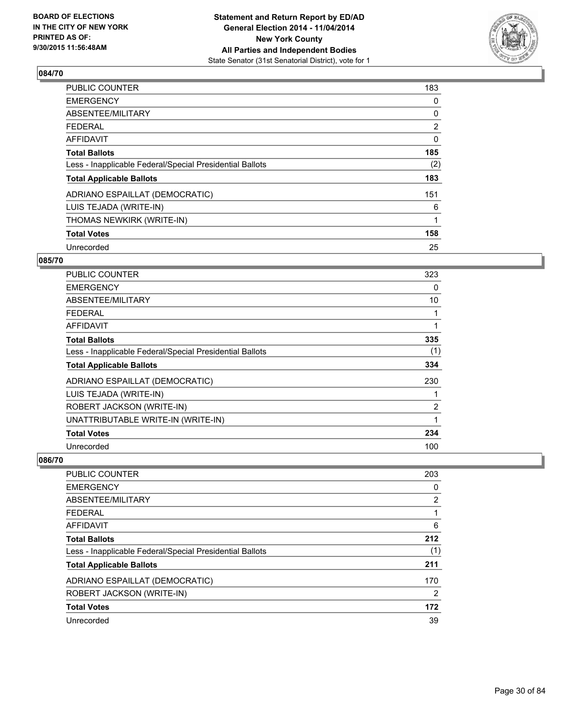

| <b>PUBLIC COUNTER</b>                                    | 183            |
|----------------------------------------------------------|----------------|
| <b>EMERGENCY</b>                                         | 0              |
| ABSENTEE/MILITARY                                        | 0              |
| FEDERAL                                                  | $\overline{2}$ |
| <b>AFFIDAVIT</b>                                         | 0              |
| <b>Total Ballots</b>                                     | 185            |
| Less - Inapplicable Federal/Special Presidential Ballots | (2)            |
| <b>Total Applicable Ballots</b>                          | 183            |
| ADRIANO ESPAILLAT (DEMOCRATIC)                           | 151            |
| LUIS TEJADA (WRITE-IN)                                   | 6              |
| THOMAS NEWKIRK (WRITE-IN)                                | 1              |
| <b>Total Votes</b>                                       | 158            |
| Unrecorded                                               | 25             |

## **085/70**

| <b>PUBLIC COUNTER</b>                                    | 323 |
|----------------------------------------------------------|-----|
| <b>EMERGENCY</b>                                         | 0   |
| ABSENTEE/MILITARY                                        | 10  |
| <b>FEDERAL</b>                                           | 1   |
| AFFIDAVIT                                                | 1   |
| <b>Total Ballots</b>                                     | 335 |
| Less - Inapplicable Federal/Special Presidential Ballots | (1) |
| <b>Total Applicable Ballots</b>                          | 334 |
| ADRIANO ESPAILLAT (DEMOCRATIC)                           | 230 |
| LUIS TEJADA (WRITE-IN)                                   | 1   |
| ROBERT JACKSON (WRITE-IN)                                | 2   |
| UNATTRIBUTABLE WRITE-IN (WRITE-IN)                       | 1   |
| <b>Total Votes</b>                                       | 234 |
| Unrecorded                                               | 100 |

| PUBLIC COUNTER                                           | 203                   |
|----------------------------------------------------------|-----------------------|
| <b>EMERGENCY</b>                                         | 0                     |
| ABSENTEE/MILITARY                                        | $\mathbf{2}^{\prime}$ |
| <b>FEDERAL</b>                                           |                       |
| AFFIDAVIT                                                | 6                     |
| <b>Total Ballots</b>                                     | 212                   |
| Less - Inapplicable Federal/Special Presidential Ballots | (1)                   |
| <b>Total Applicable Ballots</b>                          | 211                   |
| ADRIANO ESPAILLAT (DEMOCRATIC)                           | 170                   |
| ROBERT JACKSON (WRITE-IN)                                | 2                     |
| <b>Total Votes</b>                                       | 172                   |
| Unrecorded                                               | 39                    |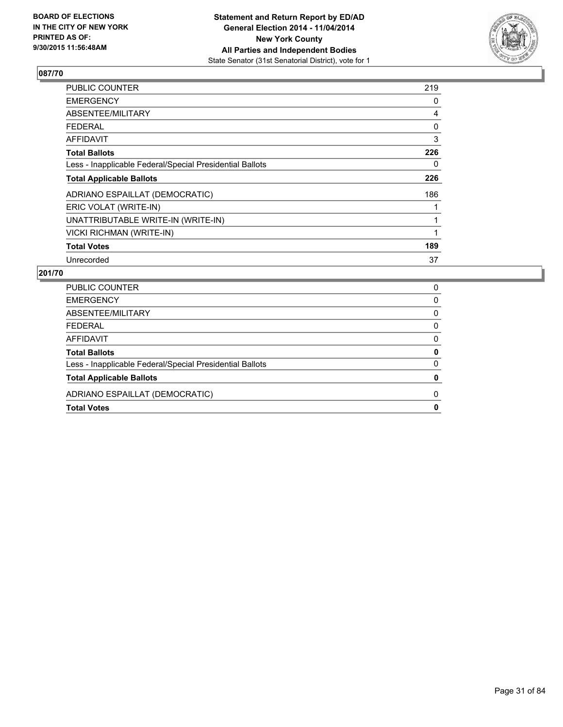

| <b>PUBLIC COUNTER</b>                                    | 219 |
|----------------------------------------------------------|-----|
| <b>EMERGENCY</b>                                         | 0   |
| ABSENTEE/MILITARY                                        | 4   |
| <b>FEDERAL</b>                                           | 0   |
| AFFIDAVIT                                                | 3   |
| <b>Total Ballots</b>                                     | 226 |
| Less - Inapplicable Federal/Special Presidential Ballots | 0   |
| <b>Total Applicable Ballots</b>                          | 226 |
| ADRIANO ESPAILLAT (DEMOCRATIC)                           | 186 |
| ERIC VOLAT (WRITE-IN)                                    |     |
| UNATTRIBUTABLE WRITE-IN (WRITE-IN)                       |     |
| <b>VICKI RICHMAN (WRITE-IN)</b>                          |     |
| <b>Total Votes</b>                                       | 189 |
| Unrecorded                                               | 37  |

| <b>PUBLIC COUNTER</b>                                    | 0 |
|----------------------------------------------------------|---|
| <b>EMERGENCY</b>                                         | 0 |
| ABSENTEE/MILITARY                                        | 0 |
| <b>FEDERAL</b>                                           | 0 |
| AFFIDAVIT                                                | 0 |
| <b>Total Ballots</b>                                     | 0 |
| Less - Inapplicable Federal/Special Presidential Ballots | 0 |
| <b>Total Applicable Ballots</b>                          | 0 |
| ADRIANO ESPAILLAT (DEMOCRATIC)                           | 0 |
| <b>Total Votes</b>                                       | 0 |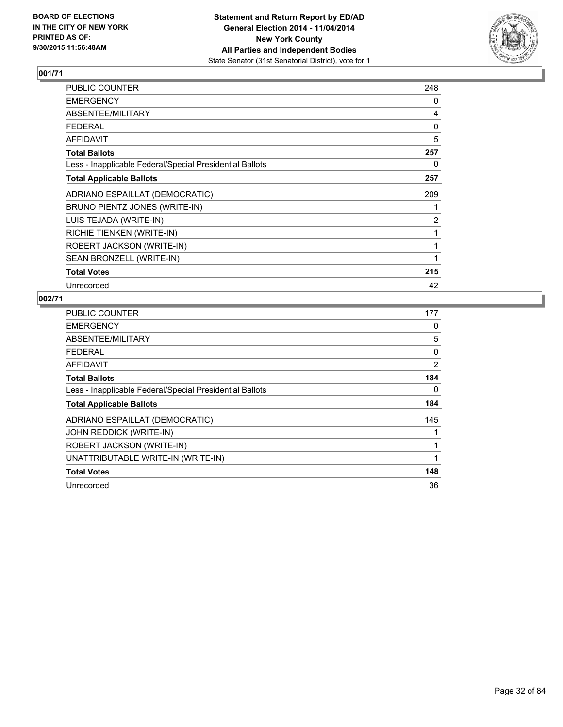

| PUBLIC COUNTER                                           | 248            |
|----------------------------------------------------------|----------------|
| <b>EMERGENCY</b>                                         | 0              |
| ABSENTEE/MILITARY                                        | 4              |
| <b>FEDERAL</b>                                           | 0              |
| <b>AFFIDAVIT</b>                                         | 5              |
| <b>Total Ballots</b>                                     | 257            |
| Less - Inapplicable Federal/Special Presidential Ballots | 0              |
| <b>Total Applicable Ballots</b>                          | 257            |
| ADRIANO ESPAILLAT (DEMOCRATIC)                           | 209            |
| BRUNO PIENTZ JONES (WRITE-IN)                            |                |
| LUIS TEJADA (WRITE-IN)                                   | $\overline{2}$ |
| RICHIE TIENKEN (WRITE-IN)                                | 1              |
| ROBERT JACKSON (WRITE-IN)                                | 1              |
| SEAN BRONZELL (WRITE-IN)                                 | 1              |
| <b>Total Votes</b>                                       | 215            |
| Unrecorded                                               | 42             |

| PUBLIC COUNTER                                           | 177 |
|----------------------------------------------------------|-----|
| <b>EMERGENCY</b>                                         | 0   |
| ABSENTEE/MILITARY                                        | 5   |
| <b>FEDERAL</b>                                           | 0   |
| AFFIDAVIT                                                | 2   |
| <b>Total Ballots</b>                                     | 184 |
| Less - Inapplicable Federal/Special Presidential Ballots | 0   |
| <b>Total Applicable Ballots</b>                          | 184 |
| ADRIANO ESPAILLAT (DEMOCRATIC)                           | 145 |
| JOHN REDDICK (WRITE-IN)                                  |     |
| ROBERT JACKSON (WRITE-IN)                                | 1   |
| UNATTRIBUTABLE WRITE-IN (WRITE-IN)                       |     |
| <b>Total Votes</b>                                       | 148 |
| Unrecorded                                               | 36  |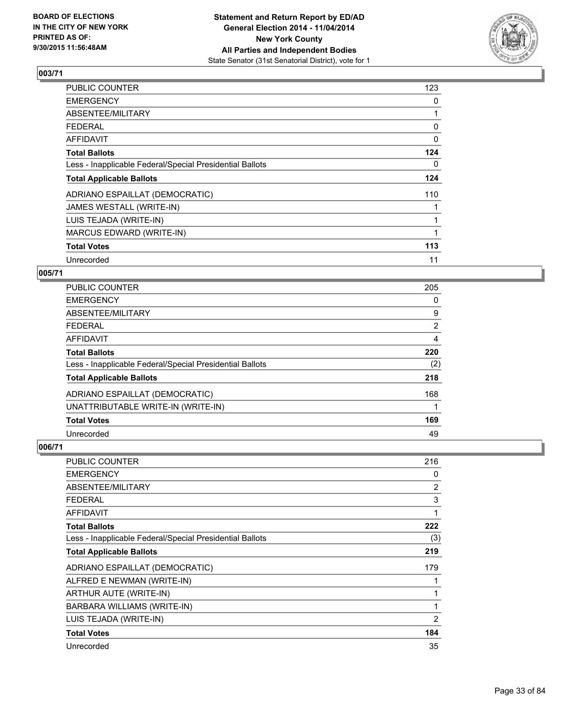

| <b>PUBLIC COUNTER</b>                                    | 123      |
|----------------------------------------------------------|----------|
| <b>EMERGENCY</b>                                         | 0        |
| ABSENTEE/MILITARY                                        |          |
| <b>FEDERAL</b>                                           | 0        |
| AFFIDAVIT                                                | $\Omega$ |
| <b>Total Ballots</b>                                     | 124      |
| Less - Inapplicable Federal/Special Presidential Ballots | 0        |
| <b>Total Applicable Ballots</b>                          | 124      |
| ADRIANO ESPAILLAT (DEMOCRATIC)                           | 110      |
| JAMES WESTALL (WRITE-IN)                                 |          |
| LUIS TEJADA (WRITE-IN)                                   |          |
| MARCUS EDWARD (WRITE-IN)                                 |          |
| <b>Total Votes</b>                                       | 113      |
| Unrecorded                                               | 11       |

## **005/71**

| PUBLIC COUNTER                                           | 205 |
|----------------------------------------------------------|-----|
| <b>EMERGENCY</b>                                         | 0   |
| ABSENTEE/MILITARY                                        | 9   |
| <b>FEDERAL</b>                                           | 2   |
| AFFIDAVIT                                                | 4   |
| <b>Total Ballots</b>                                     | 220 |
| Less - Inapplicable Federal/Special Presidential Ballots | (2) |
| <b>Total Applicable Ballots</b>                          | 218 |
| ADRIANO ESPAILLAT (DEMOCRATIC)                           | 168 |
| UNATTRIBUTABLE WRITE-IN (WRITE-IN)                       |     |
| <b>Total Votes</b>                                       | 169 |
| Unrecorded                                               | 49  |

| PUBLIC COUNTER                                           | 216            |
|----------------------------------------------------------|----------------|
| <b>EMERGENCY</b>                                         | 0              |
| ABSENTEE/MILITARY                                        | 2              |
| <b>FEDERAL</b>                                           | 3              |
| <b>AFFIDAVIT</b>                                         | 1              |
| <b>Total Ballots</b>                                     | 222            |
| Less - Inapplicable Federal/Special Presidential Ballots | (3)            |
| <b>Total Applicable Ballots</b>                          | 219            |
| ADRIANO ESPAILLAT (DEMOCRATIC)                           | 179            |
| ALFRED E NEWMAN (WRITE-IN)                               | 1              |
| ARTHUR AUTE (WRITE-IN)                                   | 1              |
| BARBARA WILLIAMS (WRITE-IN)                              | 1              |
| LUIS TEJADA (WRITE-IN)                                   | $\overline{2}$ |
| <b>Total Votes</b>                                       | 184            |
| Unrecorded                                               | 35             |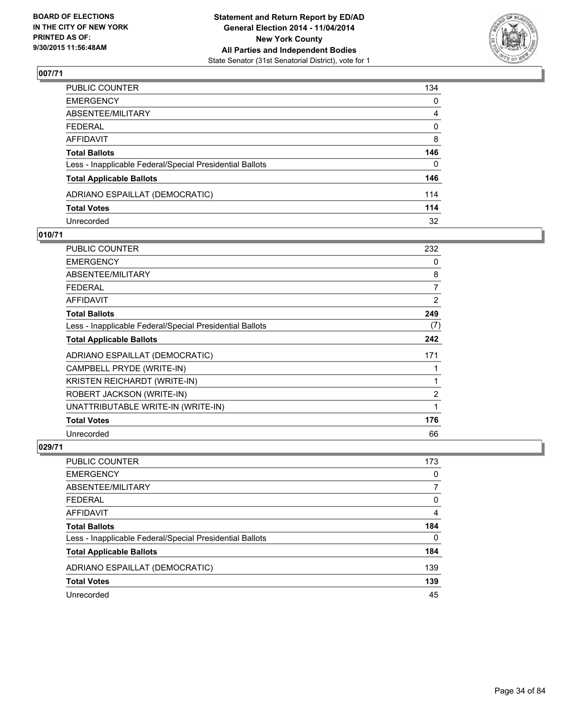

| PUBLIC COUNTER                                           | 134          |
|----------------------------------------------------------|--------------|
| EMERGENCY                                                | $\mathbf{0}$ |
| ABSENTEE/MILITARY                                        | 4            |
| FEDERAL                                                  | $\mathbf 0$  |
| AFFIDAVIT                                                | 8            |
| <b>Total Ballots</b>                                     | 146          |
| Less - Inapplicable Federal/Special Presidential Ballots | 0            |
| <b>Total Applicable Ballots</b>                          | 146          |
| ADRIANO ESPAILLAT (DEMOCRATIC)                           | 114          |
| <b>Total Votes</b>                                       | 114          |
| Unrecorded                                               | 32           |

#### **010/71**

| PUBLIC COUNTER                                           | 232            |
|----------------------------------------------------------|----------------|
| <b>EMERGENCY</b>                                         | 0              |
| ABSENTEE/MILITARY                                        | 8              |
| <b>FEDERAL</b>                                           | 7              |
| <b>AFFIDAVIT</b>                                         | $\overline{2}$ |
| <b>Total Ballots</b>                                     | 249            |
| Less - Inapplicable Federal/Special Presidential Ballots | (7)            |
| <b>Total Applicable Ballots</b>                          | 242            |
| ADRIANO ESPAILLAT (DEMOCRATIC)                           | 171            |
| CAMPBELL PRYDE (WRITE-IN)                                |                |
| KRISTEN REICHARDT (WRITE-IN)                             | 1              |
| ROBERT JACKSON (WRITE-IN)                                | $\overline{2}$ |
| UNATTRIBUTABLE WRITE-IN (WRITE-IN)                       | 1              |
| <b>Total Votes</b>                                       | 176            |
| Unrecorded                                               | 66             |

| <b>PUBLIC COUNTER</b>                                    | 173 |
|----------------------------------------------------------|-----|
| <b>EMERGENCY</b>                                         | 0   |
| ABSENTEE/MILITARY                                        |     |
| FEDERAL                                                  | 0   |
| AFFIDAVIT                                                | 4   |
| <b>Total Ballots</b>                                     | 184 |
| Less - Inapplicable Federal/Special Presidential Ballots | 0   |
| <b>Total Applicable Ballots</b>                          | 184 |
| ADRIANO ESPAILLAT (DEMOCRATIC)                           | 139 |
| <b>Total Votes</b>                                       | 139 |
| Unrecorded                                               | 45  |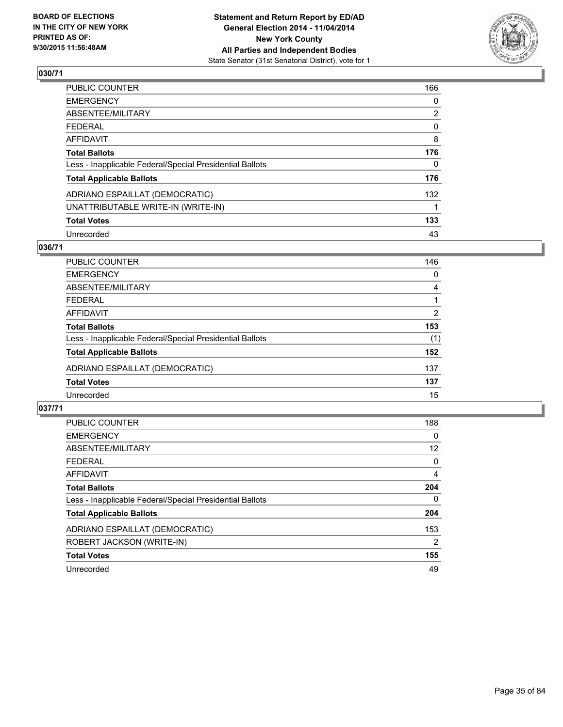

| PUBLIC COUNTER                                           | 166            |
|----------------------------------------------------------|----------------|
| EMERGENCY                                                | 0              |
| ABSENTEE/MILITARY                                        | $\overline{2}$ |
| FEDERAL                                                  | 0              |
| AFFIDAVIT                                                | 8              |
| Total Ballots                                            | 176            |
| Less - Inapplicable Federal/Special Presidential Ballots | 0              |
| <b>Total Applicable Ballots</b>                          | 176            |
| ADRIANO ESPAILLAT (DEMOCRATIC)                           | 132            |
| UNATTRIBUTABLE WRITE-IN (WRITE-IN)                       |                |
| <b>Total Votes</b>                                       | 133            |
| Unrecorded                                               | 43             |

#### **036/71**

| PUBLIC COUNTER                                           | 146 |
|----------------------------------------------------------|-----|
| <b>EMERGENCY</b>                                         | 0   |
| ABSENTEE/MILITARY                                        | 4   |
| <b>FEDERAL</b>                                           |     |
| <b>AFFIDAVIT</b>                                         | 2   |
| <b>Total Ballots</b>                                     | 153 |
| Less - Inapplicable Federal/Special Presidential Ballots | (1) |
| <b>Total Applicable Ballots</b>                          | 152 |
| ADRIANO ESPAILLAT (DEMOCRATIC)                           | 137 |
| <b>Total Votes</b>                                       | 137 |
| Unrecorded                                               | 15  |
|                                                          |     |

| <b>PUBLIC COUNTER</b>                                    | 188 |
|----------------------------------------------------------|-----|
| <b>EMERGENCY</b>                                         | 0   |
| ABSENTEE/MILITARY                                        | 12  |
| <b>FEDERAL</b>                                           | 0   |
| AFFIDAVIT                                                | 4   |
| <b>Total Ballots</b>                                     | 204 |
| Less - Inapplicable Federal/Special Presidential Ballots | 0   |
| <b>Total Applicable Ballots</b>                          | 204 |
| ADRIANO ESPAILLAT (DEMOCRATIC)                           | 153 |
| ROBERT JACKSON (WRITE-IN)                                | 2   |
| <b>Total Votes</b>                                       | 155 |
| Unrecorded                                               | 49  |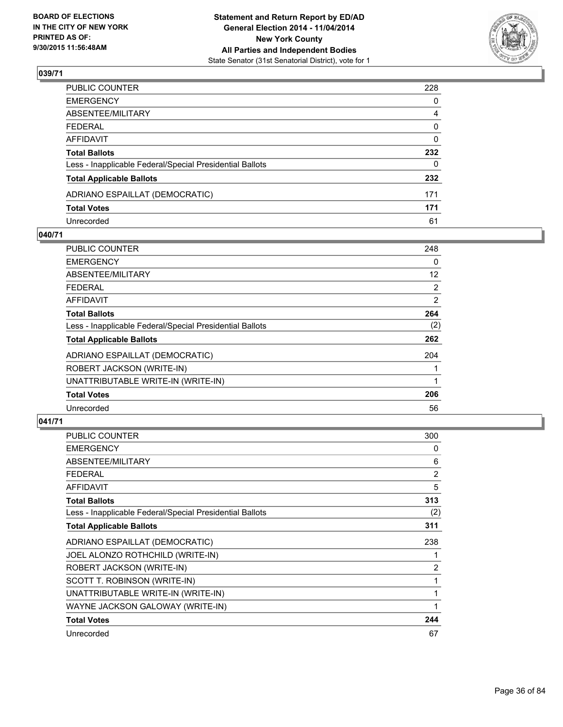

| PUBLIC COUNTER                                           | 228          |
|----------------------------------------------------------|--------------|
| EMERGENCY                                                | 0            |
| ABSENTEE/MILITARY                                        | 4            |
| FEDERAL                                                  | 0            |
| AFFIDAVIT                                                | 0            |
| Total Ballots                                            | 232          |
| Less - Inapplicable Federal/Special Presidential Ballots | $\mathbf{0}$ |
| <b>Total Applicable Ballots</b>                          | 232          |
| ADRIANO ESPAILLAT (DEMOCRATIC)                           | 171          |
| Total Votes                                              | 171          |
| Unrecorded                                               | 61           |

#### **040/71**

| <b>PUBLIC COUNTER</b>                                    | 248            |
|----------------------------------------------------------|----------------|
| <b>EMERGENCY</b>                                         | 0              |
| ABSENTEE/MILITARY                                        | 12             |
| <b>FEDERAL</b>                                           | $\overline{2}$ |
| AFFIDAVIT                                                | 2              |
| <b>Total Ballots</b>                                     | 264            |
| Less - Inapplicable Federal/Special Presidential Ballots | (2)            |
| <b>Total Applicable Ballots</b>                          | 262            |
| ADRIANO ESPAILLAT (DEMOCRATIC)                           | 204            |
| ROBERT JACKSON (WRITE-IN)                                |                |
| UNATTRIBUTABLE WRITE-IN (WRITE-IN)                       |                |
| <b>Total Votes</b>                                       | 206            |
| Unrecorded                                               | 56             |
|                                                          |                |

| <b>PUBLIC COUNTER</b>                                    | 300 |
|----------------------------------------------------------|-----|
| <b>EMERGENCY</b>                                         | 0   |
| ABSENTEE/MILITARY                                        | 6   |
| <b>FEDERAL</b>                                           | 2   |
| <b>AFFIDAVIT</b>                                         | 5   |
| <b>Total Ballots</b>                                     | 313 |
| Less - Inapplicable Federal/Special Presidential Ballots | (2) |
| <b>Total Applicable Ballots</b>                          | 311 |
| ADRIANO ESPAILLAT (DEMOCRATIC)                           | 238 |
| JOEL ALONZO ROTHCHILD (WRITE-IN)                         |     |
| ROBERT JACKSON (WRITE-IN)                                | 2   |
| SCOTT T. ROBINSON (WRITE-IN)                             | 1   |
| UNATTRIBUTABLE WRITE-IN (WRITE-IN)                       | 1   |
| WAYNE JACKSON GALOWAY (WRITE-IN)                         | 1   |
| <b>Total Votes</b>                                       | 244 |
| Unrecorded                                               | 67  |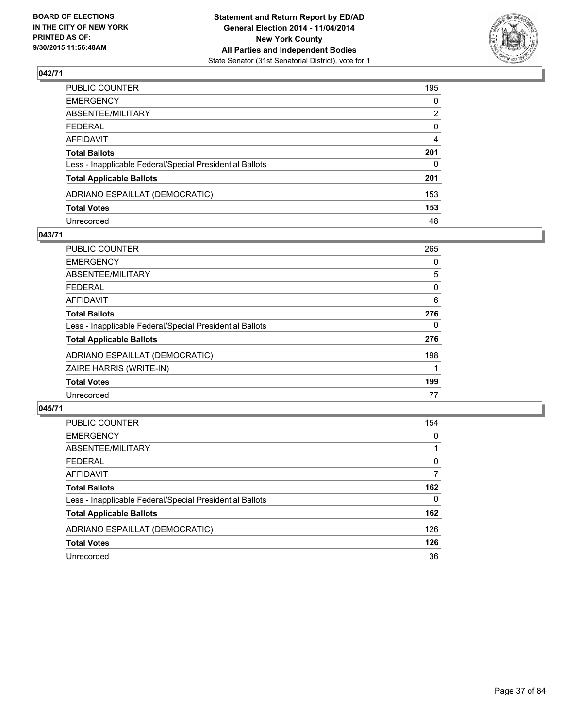

| PUBLIC COUNTER                                           | 195          |
|----------------------------------------------------------|--------------|
| EMERGENCY                                                | $\mathbf{0}$ |
| ABSENTEE/MILITARY                                        | 2            |
| FEDERAL                                                  | $\mathbf 0$  |
| AFFIDAVIT                                                | 4            |
| <b>Total Ballots</b>                                     | 201          |
| Less - Inapplicable Federal/Special Presidential Ballots | 0            |
| <b>Total Applicable Ballots</b>                          | 201          |
| ADRIANO ESPAILLAT (DEMOCRATIC)                           | 153          |
| <b>Total Votes</b>                                       | 153          |
| Unrecorded                                               | 48           |

#### **043/71**

| PUBLIC COUNTER                                           | 265 |
|----------------------------------------------------------|-----|
| <b>EMERGENCY</b>                                         | 0   |
| ABSENTEE/MILITARY                                        | 5   |
| FEDERAL                                                  | 0   |
| AFFIDAVIT                                                | 6   |
| <b>Total Ballots</b>                                     | 276 |
| Less - Inapplicable Federal/Special Presidential Ballots | 0   |
| <b>Total Applicable Ballots</b>                          | 276 |
| ADRIANO ESPAILLAT (DEMOCRATIC)                           | 198 |
| ZAIRE HARRIS (WRITE-IN)                                  |     |
| <b>Total Votes</b>                                       | 199 |
| Unrecorded                                               | 77  |

| <b>PUBLIC COUNTER</b>                                    | 154      |
|----------------------------------------------------------|----------|
| <b>EMERGENCY</b>                                         | 0        |
| ABSENTEE/MILITARY                                        |          |
| <b>FEDERAL</b>                                           | 0        |
| AFFIDAVIT                                                | 7        |
| <b>Total Ballots</b>                                     | 162      |
| Less - Inapplicable Federal/Special Presidential Ballots | $\Omega$ |
| <b>Total Applicable Ballots</b>                          | 162      |
| ADRIANO ESPAILLAT (DEMOCRATIC)                           | 126      |
| <b>Total Votes</b>                                       | 126      |
| Unrecorded                                               | 36       |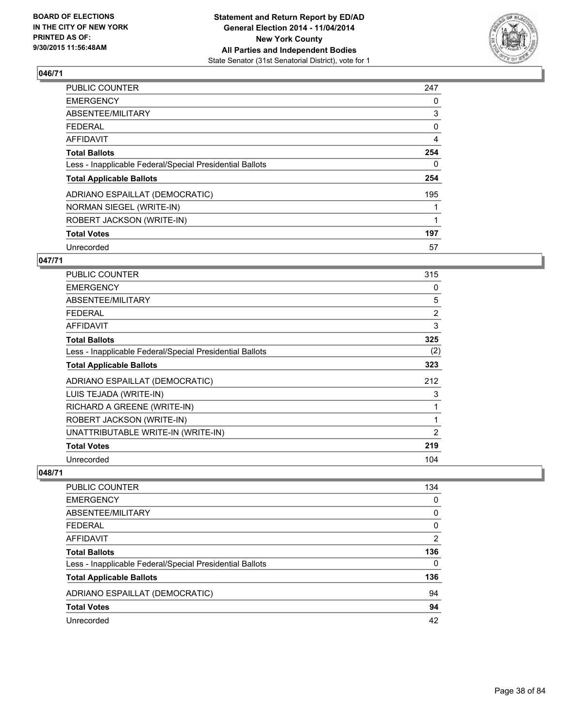

| PUBLIC COUNTER                                           | 247 |
|----------------------------------------------------------|-----|
| <b>EMERGENCY</b>                                         | 0   |
| ABSENTEE/MILITARY                                        | 3   |
| <b>FEDERAL</b>                                           | 0   |
| AFFIDAVIT                                                | 4   |
| <b>Total Ballots</b>                                     | 254 |
| Less - Inapplicable Federal/Special Presidential Ballots | 0   |
| <b>Total Applicable Ballots</b>                          | 254 |
| ADRIANO ESPAILLAT (DEMOCRATIC)                           | 195 |
| NORMAN SIEGEL (WRITE-IN)                                 |     |
| ROBERT JACKSON (WRITE-IN)                                |     |
| <b>Total Votes</b>                                       | 197 |
| Unrecorded                                               | 57  |

#### **047/71**

| PUBLIC COUNTER                                           | 315            |
|----------------------------------------------------------|----------------|
| <b>EMERGENCY</b>                                         | 0              |
| ABSENTEE/MILITARY                                        | 5              |
| <b>FEDERAL</b>                                           | $\overline{2}$ |
| <b>AFFIDAVIT</b>                                         | 3              |
| <b>Total Ballots</b>                                     | 325            |
| Less - Inapplicable Federal/Special Presidential Ballots | (2)            |
| <b>Total Applicable Ballots</b>                          | 323            |
| ADRIANO ESPAILLAT (DEMOCRATIC)                           | 212            |
| LUIS TEJADA (WRITE-IN)                                   | 3              |
| RICHARD A GREENE (WRITE-IN)                              | 1              |
| ROBERT JACKSON (WRITE-IN)                                | 1              |
| UNATTRIBUTABLE WRITE-IN (WRITE-IN)                       | $\overline{2}$ |
| <b>Total Votes</b>                                       | 219            |
| Unrecorded                                               | 104            |

| PUBLIC COUNTER                                           | 134      |
|----------------------------------------------------------|----------|
| <b>EMERGENCY</b>                                         | $\Omega$ |
| ABSENTEE/MILITARY                                        | 0        |
| <b>FEDERAL</b>                                           | 0        |
| <b>AFFIDAVIT</b>                                         | 2        |
| <b>Total Ballots</b>                                     | 136      |
| Less - Inapplicable Federal/Special Presidential Ballots | $\Omega$ |
| <b>Total Applicable Ballots</b>                          | 136      |
| ADRIANO ESPAILLAT (DEMOCRATIC)                           | 94       |
| <b>Total Votes</b>                                       | 94       |
| Unrecorded                                               | 42       |
|                                                          |          |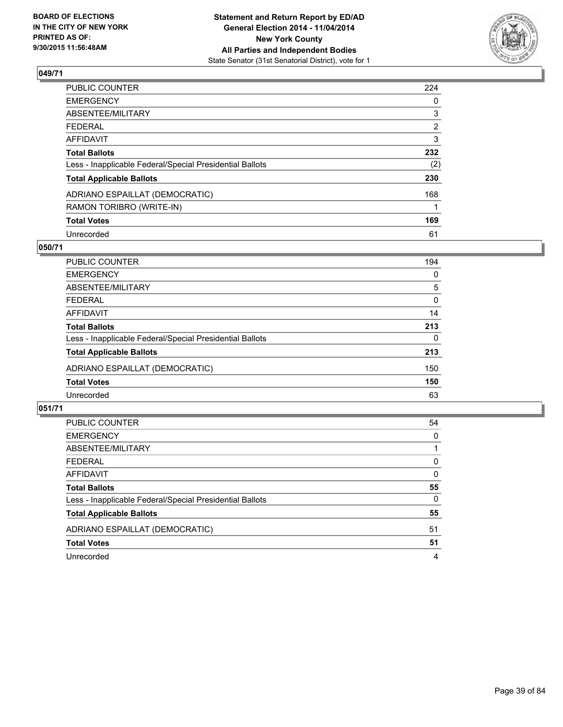

| PUBLIC COUNTER                                           | 224            |
|----------------------------------------------------------|----------------|
| <b>EMERGENCY</b>                                         | 0              |
| ABSENTEE/MILITARY                                        | 3              |
| <b>FEDERAL</b>                                           | $\overline{2}$ |
| AFFIDAVIT                                                | 3              |
| <b>Total Ballots</b>                                     | 232            |
| Less - Inapplicable Federal/Special Presidential Ballots | (2)            |
| <b>Total Applicable Ballots</b>                          | 230            |
| ADRIANO ESPAILLAT (DEMOCRATIC)                           | 168            |
| RAMON TORIBRO (WRITE-IN)                                 |                |
| <b>Total Votes</b>                                       | 169            |
| Unrecorded                                               | 61             |

### **050/71**

| PUBLIC COUNTER                                           | 194      |
|----------------------------------------------------------|----------|
| <b>EMERGENCY</b>                                         | $\Omega$ |
| ABSENTEE/MILITARY                                        | 5        |
| <b>FEDERAL</b>                                           | 0        |
| <b>AFFIDAVIT</b>                                         | 14       |
| <b>Total Ballots</b>                                     | 213      |
| Less - Inapplicable Federal/Special Presidential Ballots | $\Omega$ |
| <b>Total Applicable Ballots</b>                          | 213      |
| ADRIANO ESPAILLAT (DEMOCRATIC)                           | 150      |
| <b>Total Votes</b>                                       | 150      |
| Unrecorded                                               | 63       |
|                                                          |          |

| <b>PUBLIC COUNTER</b>                                    | 54       |
|----------------------------------------------------------|----------|
| <b>EMERGENCY</b>                                         | 0        |
| ABSENTEE/MILITARY                                        |          |
| <b>FEDERAL</b>                                           | 0        |
| AFFIDAVIT                                                | 0        |
| <b>Total Ballots</b>                                     | 55       |
| Less - Inapplicable Federal/Special Presidential Ballots | $\Omega$ |
| <b>Total Applicable Ballots</b>                          | 55       |
| ADRIANO ESPAILLAT (DEMOCRATIC)                           | 51       |
| <b>Total Votes</b>                                       | 51       |
| Unrecorded                                               | 4        |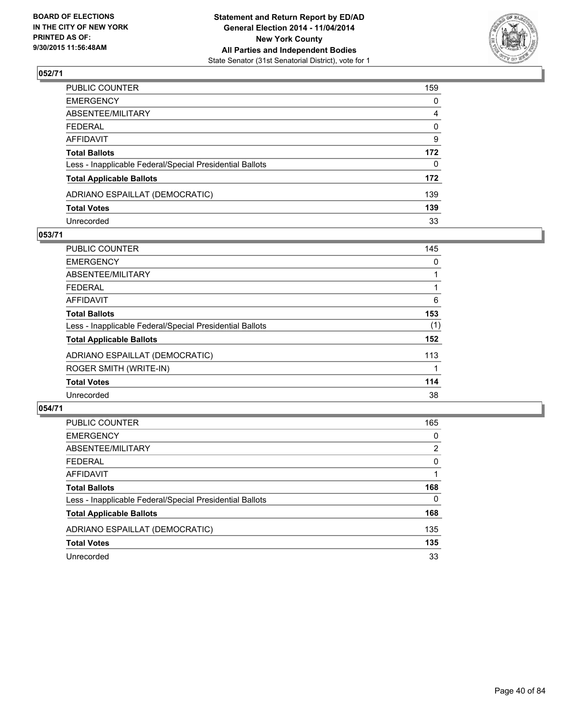

| PUBLIC COUNTER                                           | 159 |
|----------------------------------------------------------|-----|
| EMERGENCY                                                | 0   |
| ABSENTEE/MILITARY                                        | 4   |
| FEDERAL                                                  | 0   |
| AFFIDAVIT                                                | 9   |
| Total Ballots                                            | 172 |
| Less - Inapplicable Federal/Special Presidential Ballots | 0   |
| <b>Total Applicable Ballots</b>                          | 172 |
| ADRIANO ESPAILLAT (DEMOCRATIC)                           | 139 |
| <b>Total Votes</b>                                       | 139 |
| Unrecorded                                               | 33  |

#### **053/71**

| <b>PUBLIC COUNTER</b>                                    | 145 |
|----------------------------------------------------------|-----|
| <b>EMERGENCY</b>                                         | 0   |
| ABSENTEE/MILITARY                                        |     |
| <b>FEDERAL</b>                                           |     |
| AFFIDAVIT                                                | 6   |
| <b>Total Ballots</b>                                     | 153 |
| Less - Inapplicable Federal/Special Presidential Ballots | (1) |
| <b>Total Applicable Ballots</b>                          | 152 |
| ADRIANO ESPAILLAT (DEMOCRATIC)                           | 113 |
| ROGER SMITH (WRITE-IN)                                   |     |
| <b>Total Votes</b>                                       | 114 |
| Unrecorded                                               | 38  |

| <b>PUBLIC COUNTER</b>                                    | 165 |
|----------------------------------------------------------|-----|
| <b>EMERGENCY</b>                                         | 0   |
| ABSENTEE/MILITARY                                        | 2   |
| <b>FEDERAL</b>                                           | 0   |
| AFFIDAVIT                                                |     |
| <b>Total Ballots</b>                                     | 168 |
| Less - Inapplicable Federal/Special Presidential Ballots | 0   |
| <b>Total Applicable Ballots</b>                          | 168 |
| ADRIANO ESPAILLAT (DEMOCRATIC)                           | 135 |
| <b>Total Votes</b>                                       | 135 |
| Unrecorded                                               | 33  |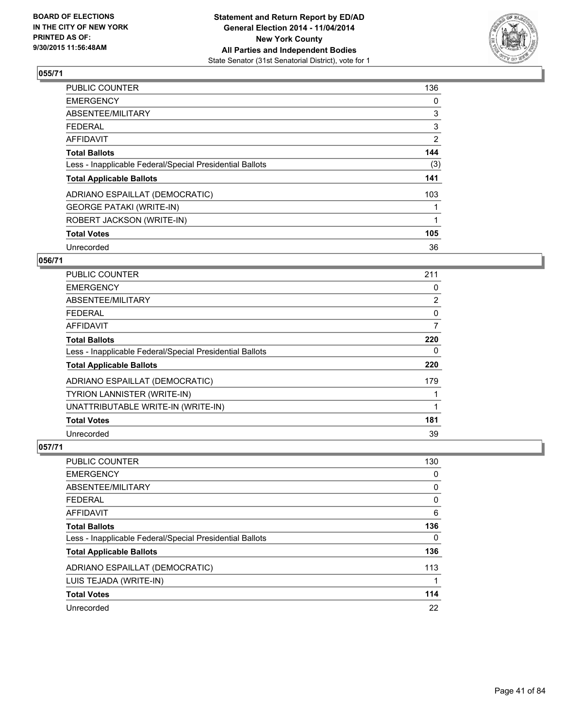

| PUBLIC COUNTER                                           | 136            |
|----------------------------------------------------------|----------------|
| <b>EMERGENCY</b>                                         | 0              |
| ABSENTEE/MILITARY                                        | 3              |
| <b>FEDERAL</b>                                           | 3              |
| AFFIDAVIT                                                | $\overline{2}$ |
| <b>Total Ballots</b>                                     | 144            |
| Less - Inapplicable Federal/Special Presidential Ballots | (3)            |
| <b>Total Applicable Ballots</b>                          | 141            |
| ADRIANO ESPAILLAT (DEMOCRATIC)                           | 103            |
| <b>GEORGE PATAKI (WRITE-IN)</b>                          |                |
| ROBERT JACKSON (WRITE-IN)                                | 1              |
| <b>Total Votes</b>                                       | 105            |
| Unrecorded                                               | 36             |

#### **056/71**

| PUBLIC COUNTER                                           | 211            |
|----------------------------------------------------------|----------------|
| <b>EMERGENCY</b>                                         | 0              |
| ABSENTEE/MILITARY                                        | $\overline{2}$ |
| <b>FEDERAL</b>                                           | 0              |
| AFFIDAVIT                                                | 7              |
| <b>Total Ballots</b>                                     | 220            |
| Less - Inapplicable Federal/Special Presidential Ballots | 0              |
| <b>Total Applicable Ballots</b>                          | 220            |
| ADRIANO ESPAILLAT (DEMOCRATIC)                           | 179            |
| <b>TYRION LANNISTER (WRITE-IN)</b>                       |                |
| UNATTRIBUTABLE WRITE-IN (WRITE-IN)                       | 1              |
| <b>Total Votes</b>                                       | 181            |
| Unrecorded                                               | 39             |

| PUBLIC COUNTER                                           | 130 |
|----------------------------------------------------------|-----|
| <b>EMERGENCY</b>                                         | 0   |
| ABSENTEE/MILITARY                                        | 0   |
| FEDERAL                                                  | 0   |
| AFFIDAVIT                                                | 6   |
| <b>Total Ballots</b>                                     | 136 |
| Less - Inapplicable Federal/Special Presidential Ballots | 0   |
| <b>Total Applicable Ballots</b>                          | 136 |
| ADRIANO ESPAILLAT (DEMOCRATIC)                           | 113 |
| LUIS TEJADA (WRITE-IN)                                   |     |
| <b>Total Votes</b>                                       | 114 |
| Unrecorded                                               | 22  |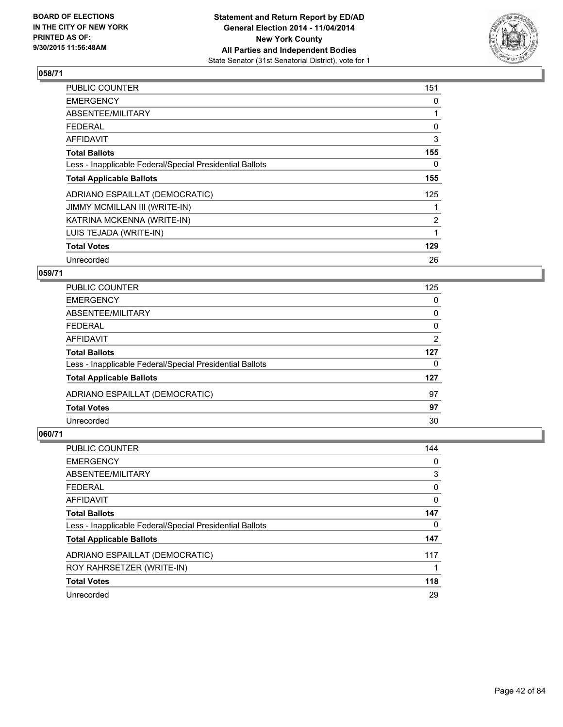

| <b>PUBLIC COUNTER</b>                                    | 151            |
|----------------------------------------------------------|----------------|
| <b>EMERGENCY</b>                                         | 0              |
| ABSENTEE/MILITARY                                        |                |
| <b>FEDERAL</b>                                           | 0              |
| <b>AFFIDAVIT</b>                                         | 3              |
| <b>Total Ballots</b>                                     | 155            |
| Less - Inapplicable Federal/Special Presidential Ballots | 0              |
| <b>Total Applicable Ballots</b>                          | 155            |
| ADRIANO ESPAILLAT (DEMOCRATIC)                           | 125            |
| <b>JIMMY MCMILLAN III (WRITE-IN)</b>                     |                |
| KATRINA MCKENNA (WRITE-IN)                               | $\overline{2}$ |
| LUIS TEJADA (WRITE-IN)                                   | 1              |
| <b>Total Votes</b>                                       | 129            |
| Unrecorded                                               | 26             |

### **059/71**

| 0<br>0   |
|----------|
|          |
|          |
| $\Omega$ |
| 2        |
| 127      |
| 0        |
| 127      |
| 97       |
| 97       |
| 30       |
|          |

| PUBLIC COUNTER                                           | 144 |
|----------------------------------------------------------|-----|
| <b>EMERGENCY</b>                                         | 0   |
| ABSENTEE/MILITARY                                        | 3   |
| <b>FEDERAL</b>                                           | 0   |
| <b>AFFIDAVIT</b>                                         | 0   |
| <b>Total Ballots</b>                                     | 147 |
| Less - Inapplicable Federal/Special Presidential Ballots | 0   |
| <b>Total Applicable Ballots</b>                          | 147 |
| ADRIANO ESPAILLAT (DEMOCRATIC)                           | 117 |
| ROY RAHRSETZER (WRITE-IN)                                |     |
| <b>Total Votes</b>                                       | 118 |
| Unrecorded                                               | 29  |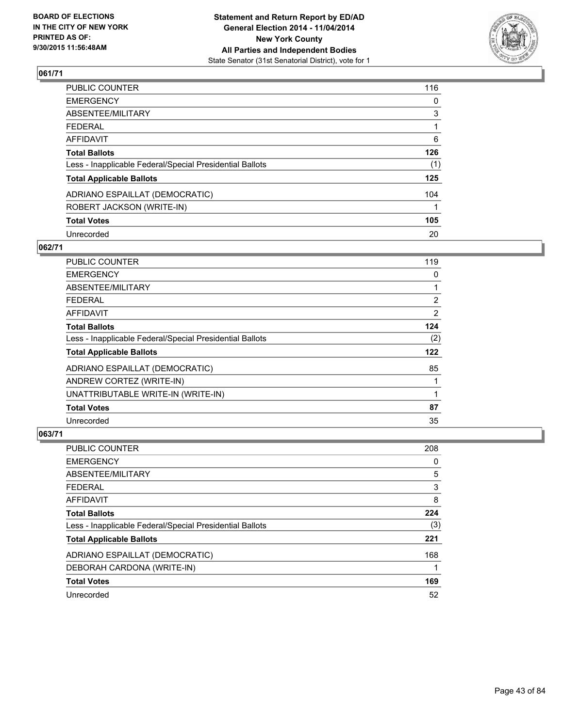

| PUBLIC COUNTER                                           | 116 |
|----------------------------------------------------------|-----|
| <b>EMERGENCY</b>                                         | 0   |
| ABSENTEE/MILITARY                                        | 3   |
| <b>FEDERAL</b>                                           |     |
| AFFIDAVIT                                                | 6   |
| <b>Total Ballots</b>                                     | 126 |
| Less - Inapplicable Federal/Special Presidential Ballots | (1) |
| <b>Total Applicable Ballots</b>                          | 125 |
| ADRIANO ESPAILLAT (DEMOCRATIC)                           | 104 |
| ROBERT JACKSON (WRITE-IN)                                |     |
| <b>Total Votes</b>                                       | 105 |
| Unrecorded                                               | 20  |

### **062/71**

| <b>PUBLIC COUNTER</b>                                    | 119            |
|----------------------------------------------------------|----------------|
| <b>EMERGENCY</b>                                         | 0              |
| ABSENTEE/MILITARY                                        |                |
| <b>FEDERAL</b>                                           | $\overline{2}$ |
| AFFIDAVIT                                                | 2              |
| <b>Total Ballots</b>                                     | 124            |
| Less - Inapplicable Federal/Special Presidential Ballots | (2)            |
| <b>Total Applicable Ballots</b>                          | 122            |
| ADRIANO ESPAILLAT (DEMOCRATIC)                           | 85             |
| ANDREW CORTEZ (WRITE-IN)                                 |                |
| UNATTRIBUTABLE WRITE-IN (WRITE-IN)                       | 1              |
| <b>Total Votes</b>                                       | 87             |
| Unrecorded                                               | 35             |

| PUBLIC COUNTER                                           | 208 |
|----------------------------------------------------------|-----|
| <b>EMERGENCY</b>                                         | 0   |
| ABSENTEE/MILITARY                                        | 5   |
| <b>FEDERAL</b>                                           | 3   |
| AFFIDAVIT                                                | 8   |
| <b>Total Ballots</b>                                     | 224 |
| Less - Inapplicable Federal/Special Presidential Ballots | (3) |
| <b>Total Applicable Ballots</b>                          | 221 |
| ADRIANO ESPAILLAT (DEMOCRATIC)                           | 168 |
| DEBORAH CARDONA (WRITE-IN)                               |     |
| <b>Total Votes</b>                                       | 169 |
| Unrecorded                                               | 52  |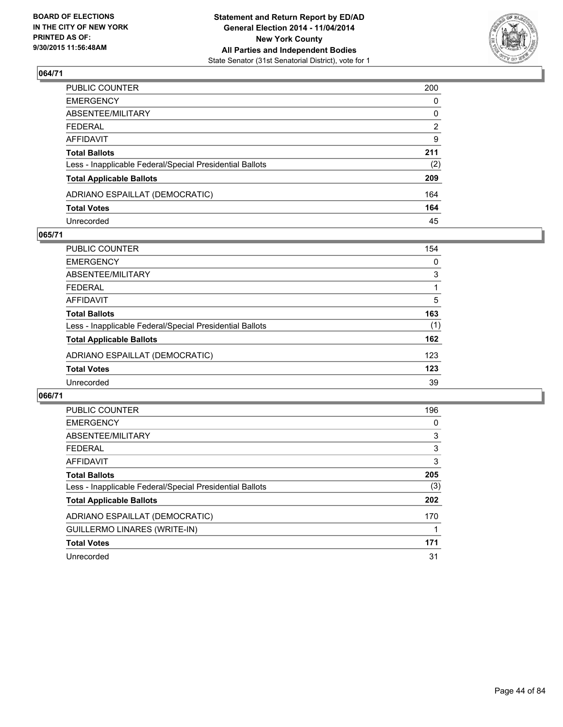

| PUBLIC COUNTER                                           | 200            |
|----------------------------------------------------------|----------------|
| EMERGENCY                                                | 0              |
| ABSENTEE/MILITARY                                        | $\mathbf 0$    |
| FEDERAL                                                  | $\overline{2}$ |
| AFFIDAVIT                                                | 9              |
| Total Ballots                                            | 211            |
| Less - Inapplicable Federal/Special Presidential Ballots | (2)            |
| <b>Total Applicable Ballots</b>                          | 209            |
| ADRIANO ESPAILLAT (DEMOCRATIC)                           | 164            |
| <b>Total Votes</b>                                       | 164            |
| Unrecorded                                               | 45             |

#### **065/71**

| PUBLIC COUNTER                                           | 154      |
|----------------------------------------------------------|----------|
| <b>EMERGENCY</b>                                         | $\Omega$ |
| ABSENTEE/MILITARY                                        | 3        |
| <b>FEDERAL</b>                                           |          |
| <b>AFFIDAVIT</b>                                         | 5        |
| <b>Total Ballots</b>                                     | 163      |
| Less - Inapplicable Federal/Special Presidential Ballots | (1)      |
| <b>Total Applicable Ballots</b>                          | 162      |
| ADRIANO ESPAILLAT (DEMOCRATIC)                           | 123      |
| <b>Total Votes</b>                                       | 123      |
| Unrecorded                                               | 39       |
|                                                          |          |

| <b>PUBLIC COUNTER</b>                                    | 196 |
|----------------------------------------------------------|-----|
| <b>EMERGENCY</b>                                         | 0   |
| ABSENTEE/MILITARY                                        | 3   |
| <b>FEDERAL</b>                                           | 3   |
| <b>AFFIDAVIT</b>                                         | 3   |
| <b>Total Ballots</b>                                     | 205 |
| Less - Inapplicable Federal/Special Presidential Ballots | (3) |
| <b>Total Applicable Ballots</b>                          | 202 |
| ADRIANO ESPAILLAT (DEMOCRATIC)                           | 170 |
| <b>GUILLERMO LINARES (WRITE-IN)</b>                      |     |
| <b>Total Votes</b>                                       | 171 |
| Unrecorded                                               | 31  |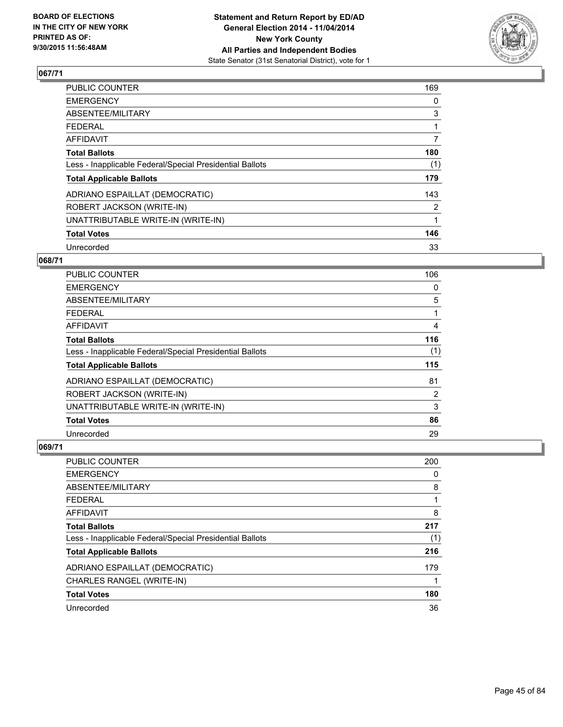

| PUBLIC COUNTER                                           | 169 |
|----------------------------------------------------------|-----|
| <b>EMERGENCY</b>                                         | 0   |
| ABSENTEE/MILITARY                                        | 3   |
| <b>FEDERAL</b>                                           |     |
| AFFIDAVIT                                                | 7   |
| <b>Total Ballots</b>                                     | 180 |
| Less - Inapplicable Federal/Special Presidential Ballots | (1) |
| <b>Total Applicable Ballots</b>                          | 179 |
| ADRIANO ESPAILLAT (DEMOCRATIC)                           | 143 |
| ROBERT JACKSON (WRITE-IN)                                | 2   |
| UNATTRIBUTABLE WRITE-IN (WRITE-IN)                       | 1   |
| <b>Total Votes</b>                                       | 146 |
| Unrecorded                                               | 33  |

#### **068/71**

| PUBLIC COUNTER                                           | 106            |
|----------------------------------------------------------|----------------|
| <b>EMERGENCY</b>                                         | 0              |
| ABSENTEE/MILITARY                                        | 5              |
| <b>FEDERAL</b>                                           |                |
| <b>AFFIDAVIT</b>                                         | 4              |
| <b>Total Ballots</b>                                     | 116            |
| Less - Inapplicable Federal/Special Presidential Ballots | (1)            |
| <b>Total Applicable Ballots</b>                          | 115            |
| ADRIANO ESPAILLAT (DEMOCRATIC)                           | 81             |
| ROBERT JACKSON (WRITE-IN)                                | $\overline{2}$ |
| UNATTRIBUTABLE WRITE-IN (WRITE-IN)                       | 3              |
| <b>Total Votes</b>                                       | 86             |
| Unrecorded                                               | 29             |

| PUBLIC COUNTER                                           | 200 |
|----------------------------------------------------------|-----|
| <b>EMERGENCY</b>                                         | 0   |
| ABSENTEE/MILITARY                                        | 8   |
| FEDERAL                                                  |     |
| AFFIDAVIT                                                | 8   |
| <b>Total Ballots</b>                                     | 217 |
| Less - Inapplicable Federal/Special Presidential Ballots | (1) |
| <b>Total Applicable Ballots</b>                          | 216 |
| ADRIANO ESPAILLAT (DEMOCRATIC)                           | 179 |
| CHARLES RANGEL (WRITE-IN)                                |     |
| <b>Total Votes</b>                                       | 180 |
| Unrecorded                                               | 36  |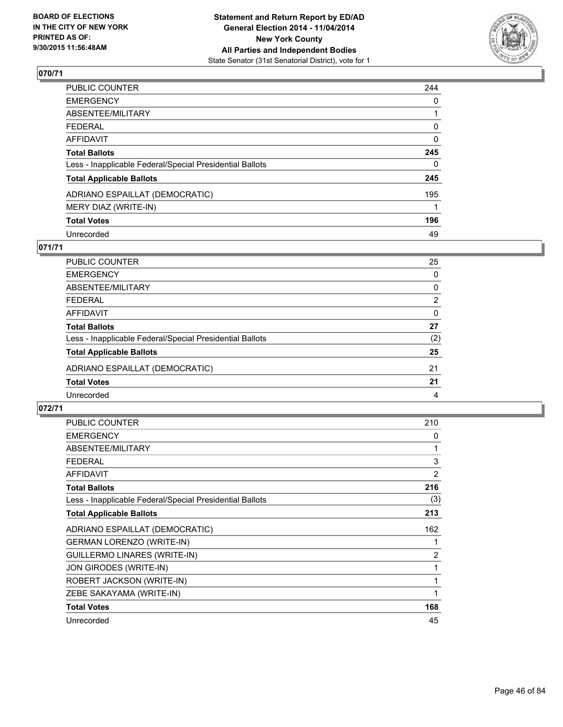

| PUBLIC COUNTER                                           | 244      |
|----------------------------------------------------------|----------|
| <b>EMERGENCY</b>                                         | 0        |
| <b>ABSENTEE/MILITARY</b>                                 |          |
| <b>FEDERAL</b>                                           | 0        |
| AFFIDAVIT                                                | 0        |
| <b>Total Ballots</b>                                     | 245      |
| Less - Inapplicable Federal/Special Presidential Ballots | $\Omega$ |
| <b>Total Applicable Ballots</b>                          | 245      |
| ADRIANO ESPAILLAT (DEMOCRATIC)                           | 195      |
| MERY DIAZ (WRITE-IN)                                     |          |
| <b>Total Votes</b>                                       | 196      |
| Unrecorded                                               | 49       |

#### **071/71**

| PUBLIC COUNTER                                           | 25  |
|----------------------------------------------------------|-----|
| <b>EMERGENCY</b>                                         | 0   |
| <b>ABSENTEE/MILITARY</b>                                 | 0   |
| <b>FEDERAL</b>                                           | 2   |
| AFFIDAVIT                                                | 0   |
| <b>Total Ballots</b>                                     | 27  |
| Less - Inapplicable Federal/Special Presidential Ballots | (2) |
| <b>Total Applicable Ballots</b>                          | 25  |
| ADRIANO ESPAILLAT (DEMOCRATIC)                           | 21  |
| <b>Total Votes</b>                                       | 21  |
| Unrecorded                                               | 4   |
|                                                          |     |

| PUBLIC COUNTER                                           | 210            |
|----------------------------------------------------------|----------------|
| <b>EMERGENCY</b>                                         | 0              |
| ABSENTEE/MILITARY                                        | 1              |
| <b>FEDERAL</b>                                           | 3              |
| <b>AFFIDAVIT</b>                                         | 2              |
| <b>Total Ballots</b>                                     | 216            |
| Less - Inapplicable Federal/Special Presidential Ballots | (3)            |
| <b>Total Applicable Ballots</b>                          | 213            |
| ADRIANO ESPAILLAT (DEMOCRATIC)                           | 162            |
| <b>GERMAN LORENZO (WRITE-IN)</b>                         |                |
| GUILLERMO LINARES (WRITE-IN)                             | $\overline{c}$ |
| JON GIRODES (WRITE-IN)                                   | 1              |
| ROBERT JACKSON (WRITE-IN)                                | 1              |
| ZEBE SAKAYAMA (WRITE-IN)                                 |                |
| <b>Total Votes</b>                                       | 168            |
| Unrecorded                                               | 45             |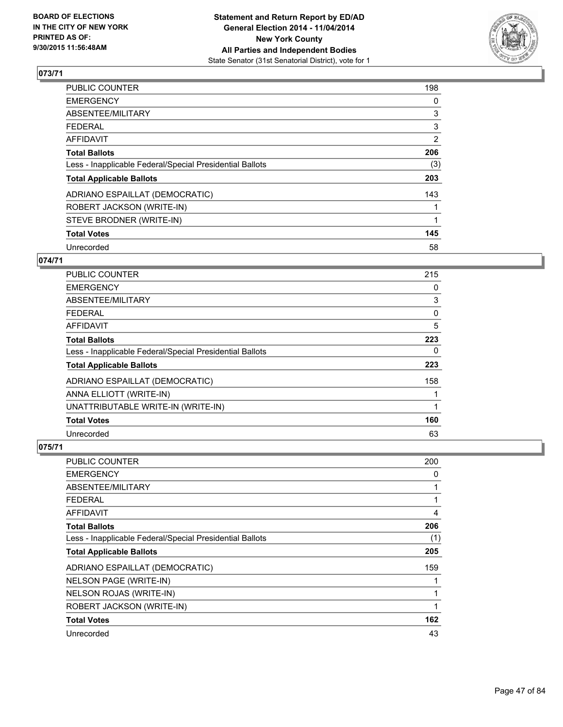

| PUBLIC COUNTER                                           | 198            |
|----------------------------------------------------------|----------------|
| <b>EMERGENCY</b>                                         | 0              |
| ABSENTEE/MILITARY                                        | 3              |
| <b>FEDERAL</b>                                           | 3              |
| AFFIDAVIT                                                | $\overline{2}$ |
| <b>Total Ballots</b>                                     | 206            |
| Less - Inapplicable Federal/Special Presidential Ballots | (3)            |
| <b>Total Applicable Ballots</b>                          | 203            |
| ADRIANO ESPAILLAT (DEMOCRATIC)                           | 143            |
| ROBERT JACKSON (WRITE-IN)                                |                |
| STEVE BRODNER (WRITE-IN)                                 | 1              |
| <b>Total Votes</b>                                       | 145            |
| Unrecorded                                               | 58             |

### **074/71**

| PUBLIC COUNTER                                           | 215 |
|----------------------------------------------------------|-----|
| <b>EMERGENCY</b>                                         | 0   |
| ABSENTEE/MILITARY                                        | 3   |
| <b>FEDERAL</b>                                           | 0   |
| <b>AFFIDAVIT</b>                                         | 5   |
| <b>Total Ballots</b>                                     | 223 |
| Less - Inapplicable Federal/Special Presidential Ballots | 0   |
| <b>Total Applicable Ballots</b>                          | 223 |
| ADRIANO ESPAILLAT (DEMOCRATIC)                           | 158 |
| ANNA ELLIOTT (WRITE-IN)                                  |     |
| UNATTRIBUTABLE WRITE-IN (WRITE-IN)                       | 1   |
| <b>Total Votes</b>                                       | 160 |
| Unrecorded                                               | 63  |

| PUBLIC COUNTER                                           | 200 |
|----------------------------------------------------------|-----|
| <b>EMERGENCY</b>                                         | 0   |
| ABSENTEE/MILITARY                                        | 1   |
| <b>FEDERAL</b>                                           | 1   |
| AFFIDAVIT                                                | 4   |
| <b>Total Ballots</b>                                     | 206 |
| Less - Inapplicable Federal/Special Presidential Ballots | (1) |
| <b>Total Applicable Ballots</b>                          | 205 |
| ADRIANO ESPAILLAT (DEMOCRATIC)                           | 159 |
| NELSON PAGE (WRITE-IN)                                   |     |
| NELSON ROJAS (WRITE-IN)                                  | 1   |
| ROBERT JACKSON (WRITE-IN)                                | 1   |
| <b>Total Votes</b>                                       | 162 |
| Unrecorded                                               | 43  |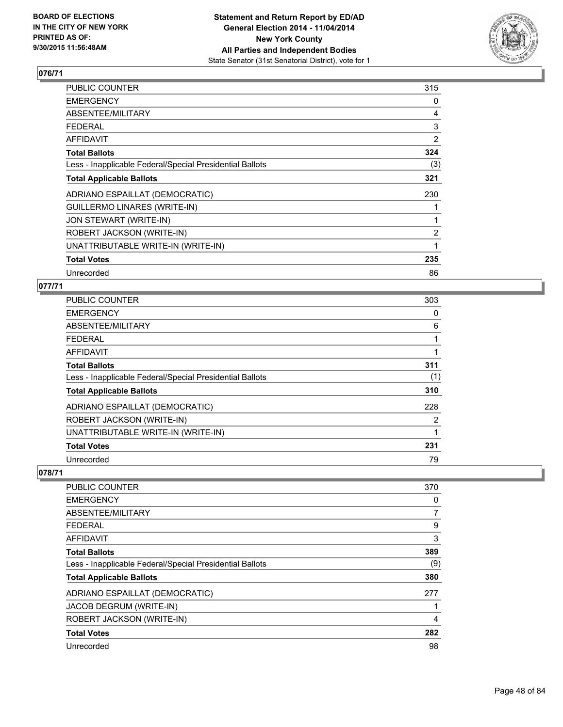

| PUBLIC COUNTER                                           | 315            |
|----------------------------------------------------------|----------------|
| <b>EMERGENCY</b>                                         | 0              |
| ABSENTEE/MILITARY                                        | 4              |
| <b>FEDERAL</b>                                           | 3              |
| AFFIDAVIT                                                | $\overline{2}$ |
| <b>Total Ballots</b>                                     | 324            |
| Less - Inapplicable Federal/Special Presidential Ballots | (3)            |
| <b>Total Applicable Ballots</b>                          | 321            |
| ADRIANO ESPAILLAT (DEMOCRATIC)                           | 230            |
| <b>GUILLERMO LINARES (WRITE-IN)</b>                      |                |
| JON STEWART (WRITE-IN)                                   |                |
| ROBERT JACKSON (WRITE-IN)                                | $\overline{2}$ |
| UNATTRIBUTABLE WRITE-IN (WRITE-IN)                       | 1              |
| <b>Total Votes</b>                                       | 235            |
| Unrecorded                                               | 86             |

### **077/71**

| <b>PUBLIC COUNTER</b>                                    | 303 |
|----------------------------------------------------------|-----|
| <b>EMERGENCY</b>                                         | 0   |
| ABSENTEE/MILITARY                                        | 6   |
| <b>FEDERAL</b>                                           |     |
| <b>AFFIDAVIT</b>                                         |     |
| <b>Total Ballots</b>                                     | 311 |
| Less - Inapplicable Federal/Special Presidential Ballots | (1) |
| <b>Total Applicable Ballots</b>                          | 310 |
| ADRIANO ESPAILLAT (DEMOCRATIC)                           | 228 |
| ROBERT JACKSON (WRITE-IN)                                | 2   |
| UNATTRIBUTABLE WRITE-IN (WRITE-IN)                       |     |
| <b>Total Votes</b>                                       | 231 |
| Unrecorded                                               | 79  |

| <b>PUBLIC COUNTER</b>                                    | 370 |
|----------------------------------------------------------|-----|
| <b>EMERGENCY</b>                                         | 0   |
| ABSENTEE/MILITARY                                        | 7   |
| <b>FEDERAL</b>                                           | 9   |
| AFFIDAVIT                                                | 3   |
| <b>Total Ballots</b>                                     | 389 |
| Less - Inapplicable Federal/Special Presidential Ballots | (9) |
| <b>Total Applicable Ballots</b>                          | 380 |
| ADRIANO ESPAILLAT (DEMOCRATIC)                           | 277 |
| JACOB DEGRUM (WRITE-IN)                                  |     |
| ROBERT JACKSON (WRITE-IN)                                | 4   |
| <b>Total Votes</b>                                       | 282 |
| Unrecorded                                               | 98  |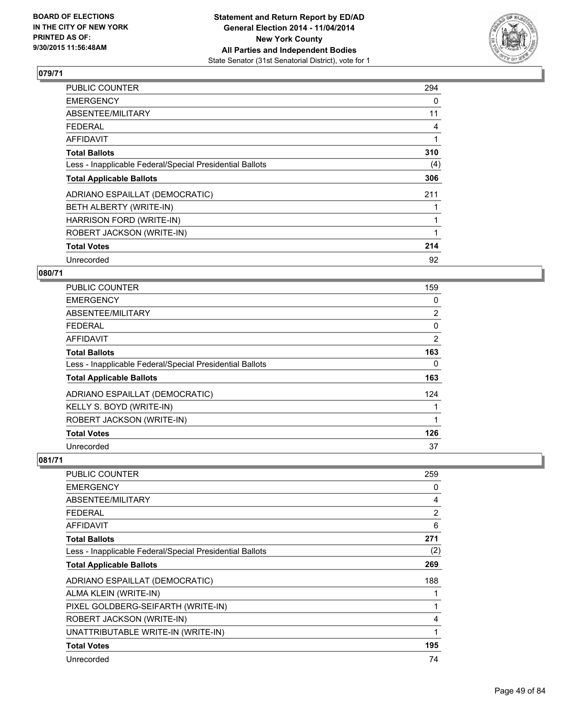

| PUBLIC COUNTER                                           | 294 |
|----------------------------------------------------------|-----|
| <b>EMERGENCY</b>                                         | 0   |
| ABSENTEE/MILITARY                                        | 11  |
| <b>FEDERAL</b>                                           | 4   |
| <b>AFFIDAVIT</b>                                         | 1   |
| <b>Total Ballots</b>                                     | 310 |
| Less - Inapplicable Federal/Special Presidential Ballots | (4) |
| <b>Total Applicable Ballots</b>                          | 306 |
| ADRIANO ESPAILLAT (DEMOCRATIC)                           | 211 |
| BETH ALBERTY (WRITE-IN)                                  |     |
| HARRISON FORD (WRITE-IN)                                 |     |
| ROBERT JACKSON (WRITE-IN)                                |     |
| <b>Total Votes</b>                                       | 214 |
| Unrecorded                                               | 92  |

### **080/71**

| PUBLIC COUNTER                                           | 159 |
|----------------------------------------------------------|-----|
| <b>EMERGENCY</b>                                         | 0   |
| ABSENTEE/MILITARY                                        | 2   |
| <b>FEDERAL</b>                                           | 0   |
| <b>AFFIDAVIT</b>                                         | 2   |
| <b>Total Ballots</b>                                     | 163 |
| Less - Inapplicable Federal/Special Presidential Ballots | 0   |
| <b>Total Applicable Ballots</b>                          | 163 |
| ADRIANO ESPAILLAT (DEMOCRATIC)                           | 124 |
| KELLY S. BOYD (WRITE-IN)                                 |     |
| ROBERT JACKSON (WRITE-IN)                                | 1   |
| <b>Total Votes</b>                                       | 126 |
| Unrecorded                                               | 37  |

| PUBLIC COUNTER                                           | 259 |
|----------------------------------------------------------|-----|
| <b>EMERGENCY</b>                                         | 0   |
| ABSENTEE/MILITARY                                        | 4   |
| <b>FEDERAL</b>                                           | 2   |
| <b>AFFIDAVIT</b>                                         | 6   |
| <b>Total Ballots</b>                                     | 271 |
| Less - Inapplicable Federal/Special Presidential Ballots | (2) |
| <b>Total Applicable Ballots</b>                          | 269 |
| ADRIANO ESPAILLAT (DEMOCRATIC)                           | 188 |
| ALMA KLEIN (WRITE-IN)                                    | 1   |
| PIXEL GOLDBERG-SEIFARTH (WRITE-IN)                       | 1   |
| ROBERT JACKSON (WRITE-IN)                                | 4   |
| UNATTRIBUTABLE WRITE-IN (WRITE-IN)                       | 1   |
| <b>Total Votes</b>                                       | 195 |
| Unrecorded                                               | 74  |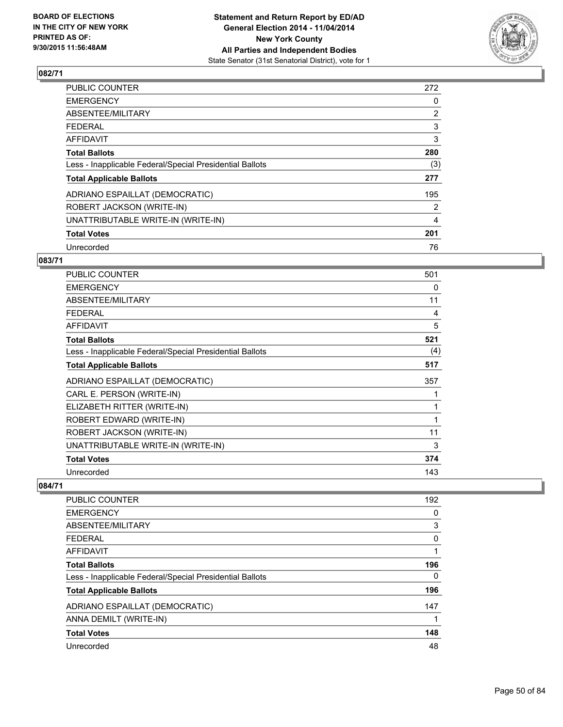

| 272            |
|----------------|
| 0              |
| $\overline{2}$ |
| 3              |
| 3              |
| 280            |
| (3)            |
| 277            |
| 195            |
| 2              |
| 4              |
| 201            |
| 76             |
|                |

#### **083/71**

| <b>PUBLIC COUNTER</b>                                    | 501         |
|----------------------------------------------------------|-------------|
| <b>EMERGENCY</b>                                         | 0           |
| ABSENTEE/MILITARY                                        | 11          |
| <b>FEDERAL</b>                                           | 4           |
| <b>AFFIDAVIT</b>                                         | 5           |
| <b>Total Ballots</b>                                     | 521         |
| Less - Inapplicable Federal/Special Presidential Ballots | (4)         |
| <b>Total Applicable Ballots</b>                          | 517         |
| ADRIANO ESPAILLAT (DEMOCRATIC)                           | 357         |
| CARL E. PERSON (WRITE-IN)                                |             |
| ELIZABETH RITTER (WRITE-IN)                              |             |
| ROBERT EDWARD (WRITE-IN)                                 | $\mathbf 1$ |
| ROBERT JACKSON (WRITE-IN)                                | 11          |
| UNATTRIBUTABLE WRITE-IN (WRITE-IN)                       | 3           |
| <b>Total Votes</b>                                       | 374         |
| Unrecorded                                               | 143         |

| <b>PUBLIC COUNTER</b>                                    | 192 |
|----------------------------------------------------------|-----|
| <b>EMERGENCY</b>                                         | 0   |
| ABSENTEE/MILITARY                                        | 3   |
| FEDERAL                                                  | 0   |
| AFFIDAVIT                                                | 1   |
| <b>Total Ballots</b>                                     | 196 |
| Less - Inapplicable Federal/Special Presidential Ballots | 0   |
| <b>Total Applicable Ballots</b>                          | 196 |
| ADRIANO ESPAILLAT (DEMOCRATIC)                           | 147 |
| ANNA DEMILT (WRITE-IN)                                   |     |
| <b>Total Votes</b>                                       | 148 |
| Unrecorded                                               | 48  |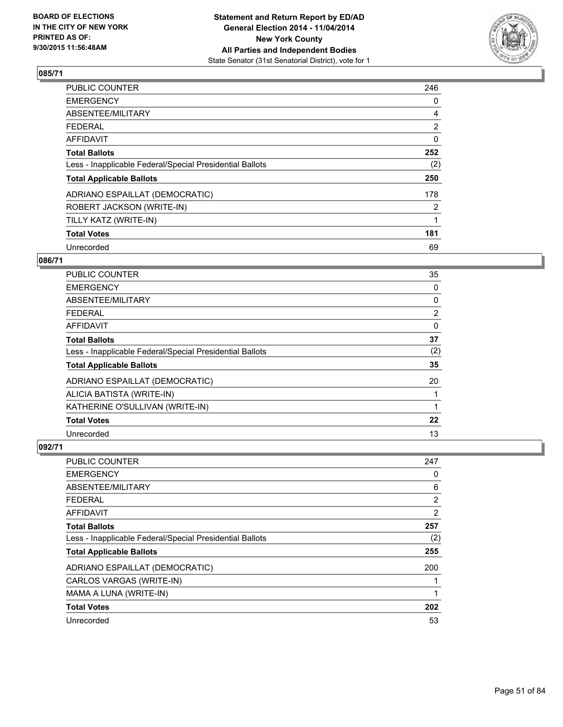

| PUBLIC COUNTER                                           | 246            |
|----------------------------------------------------------|----------------|
| <b>EMERGENCY</b>                                         | 0              |
| ABSENTEE/MILITARY                                        | 4              |
| <b>FEDERAL</b>                                           | $\overline{2}$ |
| AFFIDAVIT                                                | 0              |
| <b>Total Ballots</b>                                     | 252            |
| Less - Inapplicable Federal/Special Presidential Ballots | (2)            |
| <b>Total Applicable Ballots</b>                          | 250            |
| ADRIANO ESPAILLAT (DEMOCRATIC)                           | 178            |
| ROBERT JACKSON (WRITE-IN)                                | $\overline{2}$ |
| TILLY KATZ (WRITE-IN)                                    | 1              |
| <b>Total Votes</b>                                       | 181            |
| Unrecorded                                               | 69             |

### **086/71**

| PUBLIC COUNTER                                           | 35             |
|----------------------------------------------------------|----------------|
| <b>EMERGENCY</b>                                         | 0              |
| ABSENTEE/MILITARY                                        | 0              |
| <b>FEDERAL</b>                                           | $\overline{2}$ |
| <b>AFFIDAVIT</b>                                         | 0              |
| <b>Total Ballots</b>                                     | 37             |
| Less - Inapplicable Federal/Special Presidential Ballots | (2)            |
| <b>Total Applicable Ballots</b>                          | 35             |
| ADRIANO ESPAILLAT (DEMOCRATIC)                           | 20             |
| ALICIA BATISTA (WRITE-IN)                                |                |
| KATHERINE O'SULLIVAN (WRITE-IN)                          | 1              |
| <b>Total Votes</b>                                       | 22             |
| Unrecorded                                               | 13             |

| PUBLIC COUNTER                                           | 247 |
|----------------------------------------------------------|-----|
| <b>EMERGENCY</b>                                         | 0   |
| ABSENTEE/MILITARY                                        | 6   |
| <b>FEDERAL</b>                                           | 2   |
| AFFIDAVIT                                                | 2   |
| <b>Total Ballots</b>                                     | 257 |
| Less - Inapplicable Federal/Special Presidential Ballots | (2) |
| <b>Total Applicable Ballots</b>                          | 255 |
| ADRIANO ESPAILLAT (DEMOCRATIC)                           | 200 |
| CARLOS VARGAS (WRITE-IN)                                 |     |
| MAMA A LUNA (WRITE-IN)                                   | 1   |
| <b>Total Votes</b>                                       | 202 |
| Unrecorded                                               | 53  |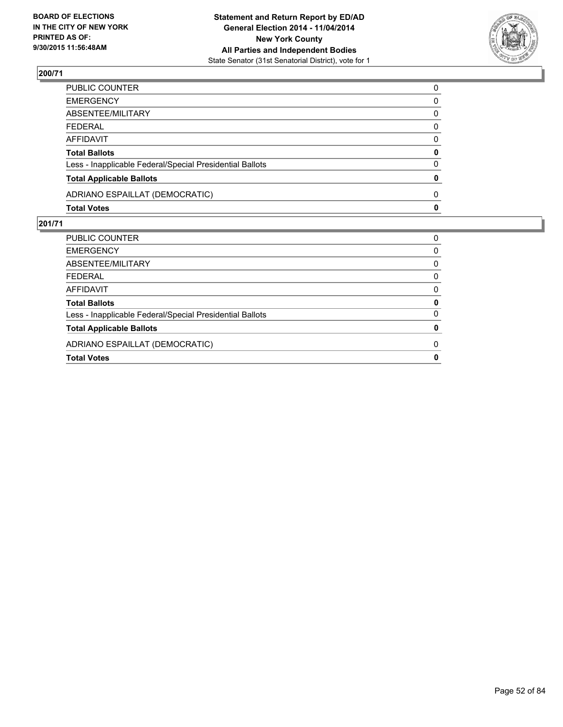

| PUBLIC COUNTER                                           | $\Omega$ |
|----------------------------------------------------------|----------|
| <b>EMERGENCY</b>                                         | 0        |
| ABSENTEE/MILITARY                                        | 0        |
| <b>FEDERAL</b>                                           | $\Omega$ |
| <b>AFFIDAVIT</b>                                         | 0        |
| <b>Total Ballots</b>                                     | 0        |
| Less - Inapplicable Federal/Special Presidential Ballots | 0        |
| <b>Total Applicable Ballots</b>                          | 0        |
| ADRIANO ESPAILLAT (DEMOCRATIC)                           | $\Omega$ |
| <b>Total Votes</b>                                       | 0        |

| PUBLIC COUNTER<br><b>EMERGENCY</b><br>ABSENTEE/MILITARY<br><b>FEDERAL</b><br>AFFIDAVIT<br><b>Total Ballots</b><br>Less - Inapplicable Federal/Special Presidential Ballots<br><b>Total Applicable Ballots</b><br>ADRIANO ESPAILLAT (DEMOCRATIC)<br><b>Total Votes</b> |   |
|-----------------------------------------------------------------------------------------------------------------------------------------------------------------------------------------------------------------------------------------------------------------------|---|
|                                                                                                                                                                                                                                                                       | 0 |
|                                                                                                                                                                                                                                                                       | 0 |
|                                                                                                                                                                                                                                                                       | 0 |
|                                                                                                                                                                                                                                                                       | 0 |
|                                                                                                                                                                                                                                                                       | 0 |
|                                                                                                                                                                                                                                                                       | 0 |
|                                                                                                                                                                                                                                                                       | 0 |
|                                                                                                                                                                                                                                                                       | 0 |
|                                                                                                                                                                                                                                                                       | 0 |
|                                                                                                                                                                                                                                                                       | 0 |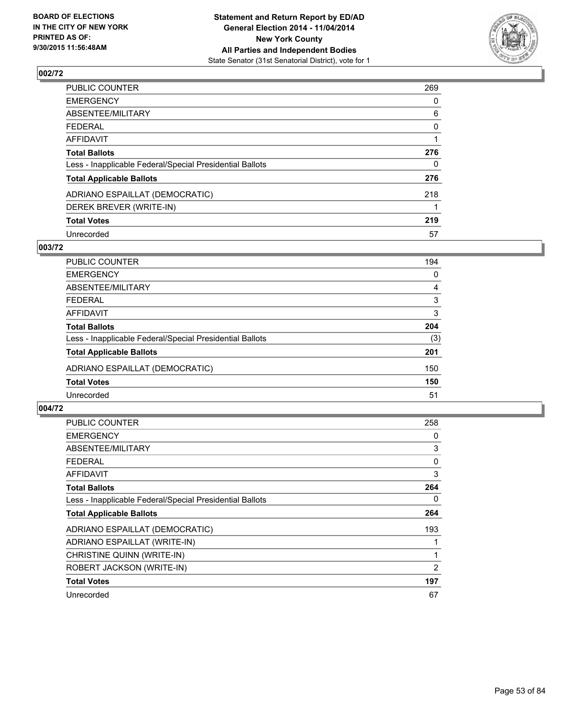

| PUBLIC COUNTER                                           | 269      |
|----------------------------------------------------------|----------|
| <b>EMERGENCY</b>                                         | 0        |
| ABSENTEE/MILITARY                                        | 6        |
| <b>FEDERAL</b>                                           | 0        |
| AFFIDAVIT                                                |          |
| <b>Total Ballots</b>                                     | 276      |
| Less - Inapplicable Federal/Special Presidential Ballots | $\Omega$ |
| <b>Total Applicable Ballots</b>                          | 276      |
| ADRIANO ESPAILLAT (DEMOCRATIC)                           | 218      |
| DEREK BREVER (WRITE-IN)                                  |          |
| <b>Total Votes</b>                                       | 219      |
| Unrecorded                                               | 57       |

### **003/72**

| PUBLIC COUNTER                                           | 194 |
|----------------------------------------------------------|-----|
| <b>EMERGENCY</b>                                         | 0   |
| ABSENTEE/MILITARY                                        | 4   |
| <b>FEDERAL</b>                                           | 3   |
| AFFIDAVIT                                                | 3   |
| <b>Total Ballots</b>                                     | 204 |
| Less - Inapplicable Federal/Special Presidential Ballots | (3) |
| <b>Total Applicable Ballots</b>                          | 201 |
| ADRIANO ESPAILLAT (DEMOCRATIC)                           | 150 |
| <b>Total Votes</b>                                       | 150 |
| Unrecorded                                               | 51  |
|                                                          |     |

| <b>PUBLIC COUNTER</b>                                    | 258 |
|----------------------------------------------------------|-----|
| <b>EMERGENCY</b>                                         | 0   |
| ABSENTEE/MILITARY                                        | 3   |
| FEDERAL                                                  | 0   |
| <b>AFFIDAVIT</b>                                         | 3   |
| <b>Total Ballots</b>                                     | 264 |
| Less - Inapplicable Federal/Special Presidential Ballots | 0   |
| <b>Total Applicable Ballots</b>                          | 264 |
| ADRIANO ESPAILLAT (DEMOCRATIC)                           | 193 |
| ADRIANO ESPAILLAT (WRITE-IN)                             |     |
| CHRISTINE QUINN (WRITE-IN)                               | 1   |
| ROBERT JACKSON (WRITE-IN)                                | 2   |
| <b>Total Votes</b>                                       | 197 |
| Unrecorded                                               | 67  |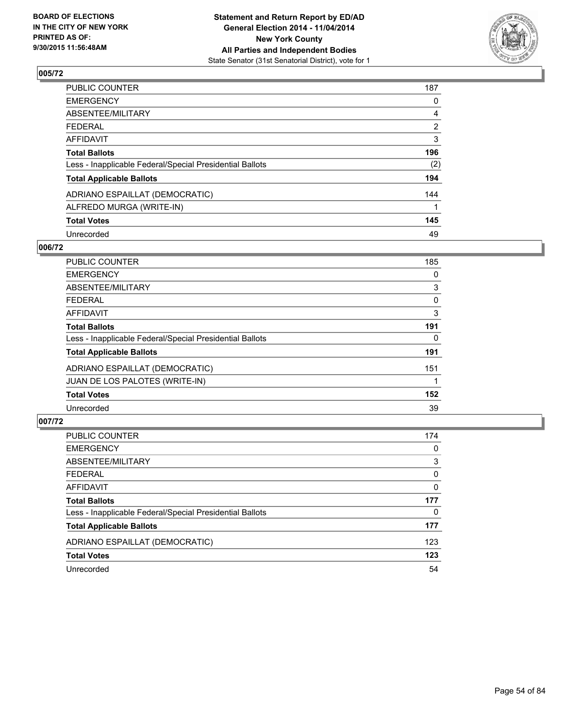

| PUBLIC COUNTER                                           | 187            |
|----------------------------------------------------------|----------------|
| EMERGENCY                                                | 0              |
| ABSENTEE/MILITARY                                        | 4              |
| FEDERAL                                                  | $\overline{2}$ |
| <b>AFFIDAVIT</b>                                         | 3              |
| Total Ballots                                            | 196            |
| Less - Inapplicable Federal/Special Presidential Ballots | (2)            |
| <b>Total Applicable Ballots</b>                          | 194            |
| ADRIANO ESPAILLAT (DEMOCRATIC)                           | 144            |
| ALFREDO MURGA (WRITE-IN)                                 |                |
| <b>Total Votes</b>                                       | 145            |
| Unrecorded                                               | 49             |

#### **006/72**

| <b>PUBLIC COUNTER</b>                                    | 185      |
|----------------------------------------------------------|----------|
| <b>EMERGENCY</b>                                         | 0        |
| ABSENTEE/MILITARY                                        | 3        |
| <b>FEDERAL</b>                                           | 0        |
| <b>AFFIDAVIT</b>                                         | 3        |
| <b>Total Ballots</b>                                     | 191      |
| Less - Inapplicable Federal/Special Presidential Ballots | $\Omega$ |
| <b>Total Applicable Ballots</b>                          | 191      |
| ADRIANO ESPAILLAT (DEMOCRATIC)                           | 151      |
| JUAN DE LOS PALOTES (WRITE-IN)                           |          |
| <b>Total Votes</b>                                       | 152      |
| Unrecorded                                               | 39       |

| PUBLIC COUNTER                                           | 174      |
|----------------------------------------------------------|----------|
| <b>EMERGENCY</b>                                         | 0        |
| ABSENTEE/MILITARY                                        | 3        |
| <b>FEDERAL</b>                                           | 0        |
| <b>AFFIDAVIT</b>                                         | $\Omega$ |
| <b>Total Ballots</b>                                     | 177      |
| Less - Inapplicable Federal/Special Presidential Ballots | 0        |
| <b>Total Applicable Ballots</b>                          | 177      |
| ADRIANO ESPAILLAT (DEMOCRATIC)                           | 123      |
| <b>Total Votes</b>                                       | 123      |
| Unrecorded                                               | 54       |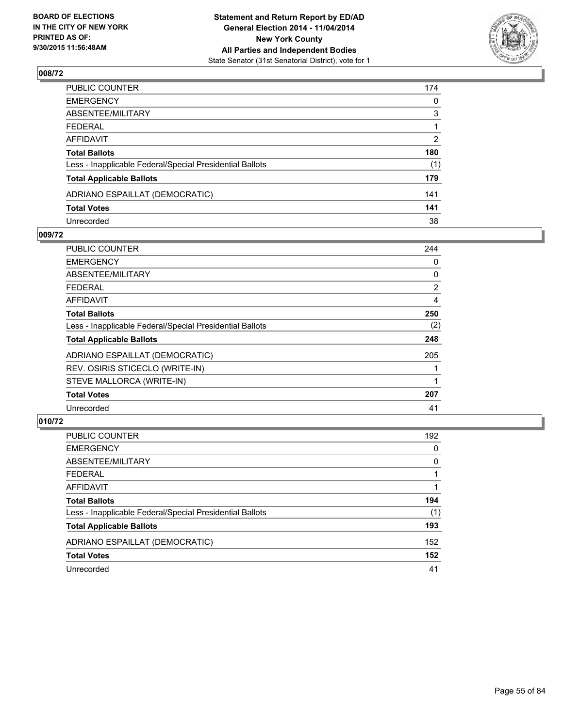

| PUBLIC COUNTER                                           | 174 |
|----------------------------------------------------------|-----|
| EMERGENCY                                                | 0   |
| ABSENTEE/MILITARY                                        | 3   |
| FEDERAL                                                  |     |
| AFFIDAVIT                                                | 2   |
| Total Ballots                                            | 180 |
| Less - Inapplicable Federal/Special Presidential Ballots | (1) |
| <b>Total Applicable Ballots</b>                          | 179 |
| ADRIANO ESPAILLAT (DEMOCRATIC)                           | 141 |
| <b>Total Votes</b>                                       | 141 |
| Unrecorded                                               | 38  |

### **009/72**

| <b>EMERGENCY</b><br>ABSENTEE/MILITARY<br><b>FEDERAL</b><br>AFFIDAVIT | 0<br>0<br>$\overline{2}$<br>4 |
|----------------------------------------------------------------------|-------------------------------|
|                                                                      |                               |
|                                                                      |                               |
|                                                                      |                               |
|                                                                      |                               |
| <b>Total Ballots</b>                                                 | 250                           |
| Less - Inapplicable Federal/Special Presidential Ballots             | (2)                           |
| <b>Total Applicable Ballots</b>                                      | 248                           |
| ADRIANO ESPAILLAT (DEMOCRATIC)                                       | 205                           |
| REV. OSIRIS STICECLO (WRITE-IN)                                      |                               |
| STEVE MALLORCA (WRITE-IN)                                            |                               |
| <b>Total Votes</b>                                                   | 207                           |
| Unrecorded                                                           | 41                            |

| <b>PUBLIC COUNTER</b>                                    | 192 |
|----------------------------------------------------------|-----|
| <b>EMERGENCY</b>                                         | 0   |
| ABSENTEE/MILITARY                                        | 0   |
| <b>FEDERAL</b>                                           |     |
| <b>AFFIDAVIT</b>                                         |     |
| <b>Total Ballots</b>                                     | 194 |
| Less - Inapplicable Federal/Special Presidential Ballots | (1) |
| <b>Total Applicable Ballots</b>                          | 193 |
| ADRIANO ESPAILLAT (DEMOCRATIC)                           | 152 |
| <b>Total Votes</b>                                       | 152 |
| Unrecorded                                               | 41  |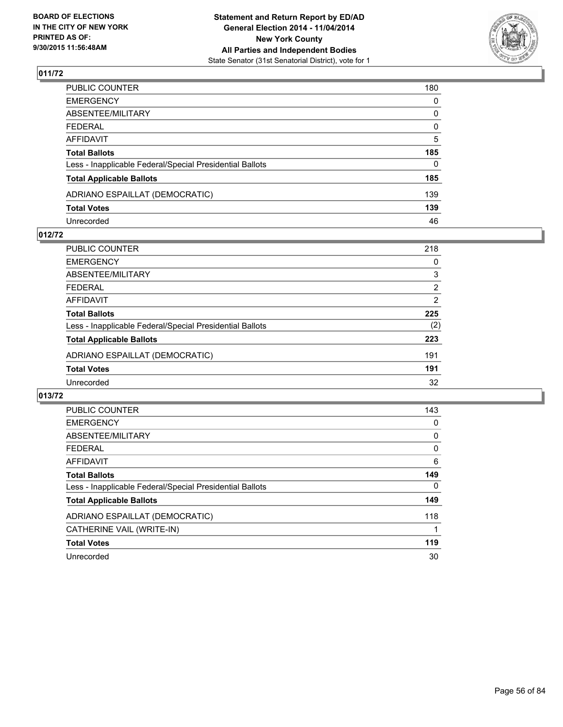

| PUBLIC COUNTER                                           | 180          |
|----------------------------------------------------------|--------------|
| EMERGENCY                                                | 0            |
| ABSENTEE/MILITARY                                        | 0            |
| FEDERAL                                                  | 0            |
| AFFIDAVIT                                                | 5            |
| Total Ballots                                            | 185          |
| Less - Inapplicable Federal/Special Presidential Ballots | $\mathbf{0}$ |
| <b>Total Applicable Ballots</b>                          | 185          |
| ADRIANO ESPAILLAT (DEMOCRATIC)                           | 139          |
| <b>Total Votes</b>                                       | 139          |
| Unrecorded                                               | 46           |

#### **012/72**

| PUBLIC COUNTER                                           | 218            |
|----------------------------------------------------------|----------------|
| <b>EMERGENCY</b>                                         | 0              |
| ABSENTEE/MILITARY                                        | 3              |
| <b>FEDERAL</b>                                           | 2              |
| <b>AFFIDAVIT</b>                                         | $\overline{2}$ |
| <b>Total Ballots</b>                                     | 225            |
| Less - Inapplicable Federal/Special Presidential Ballots | (2)            |
| <b>Total Applicable Ballots</b>                          | 223            |
| ADRIANO ESPAILLAT (DEMOCRATIC)                           | 191            |
| <b>Total Votes</b>                                       | 191            |
| Unrecorded                                               | 32             |
|                                                          |                |

| <b>PUBLIC COUNTER</b>                                    | 143 |
|----------------------------------------------------------|-----|
| <b>EMERGENCY</b>                                         | 0   |
| ABSENTEE/MILITARY                                        | 0   |
| <b>FEDERAL</b>                                           | 0   |
| <b>AFFIDAVIT</b>                                         | 6   |
| <b>Total Ballots</b>                                     | 149 |
| Less - Inapplicable Federal/Special Presidential Ballots | 0   |
| <b>Total Applicable Ballots</b>                          | 149 |
| ADRIANO ESPAILLAT (DEMOCRATIC)                           | 118 |
| CATHERINE VAIL (WRITE-IN)                                |     |
| <b>Total Votes</b>                                       | 119 |
| Unrecorded                                               | 30  |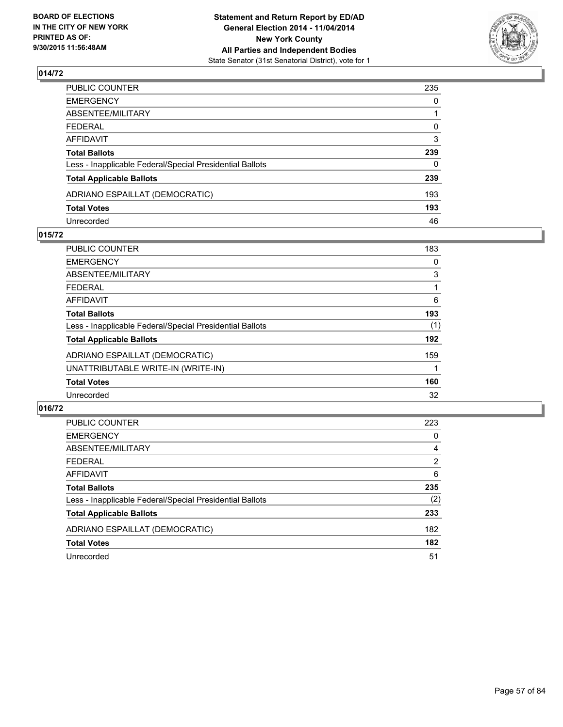

| PUBLIC COUNTER                                           | 235      |
|----------------------------------------------------------|----------|
| EMERGENCY                                                | 0        |
| ABSENTEE/MILITARY                                        |          |
| FEDERAL                                                  | 0        |
| AFFIDAVIT                                                | 3        |
| Total Ballots                                            | 239      |
| Less - Inapplicable Federal/Special Presidential Ballots | $\Omega$ |
| <b>Total Applicable Ballots</b>                          | 239      |
| ADRIANO ESPAILLAT (DEMOCRATIC)                           | 193      |
| <b>Total Votes</b>                                       | 193      |
| Unrecorded                                               | 46       |

#### **015/72**

| PUBLIC COUNTER                                           | 183 |
|----------------------------------------------------------|-----|
| <b>EMERGENCY</b>                                         | 0   |
| ABSENTEE/MILITARY                                        | 3   |
| <b>FEDERAL</b>                                           |     |
| <b>AFFIDAVIT</b>                                         | 6   |
| <b>Total Ballots</b>                                     | 193 |
| Less - Inapplicable Federal/Special Presidential Ballots | (1) |
| <b>Total Applicable Ballots</b>                          | 192 |
| ADRIANO ESPAILLAT (DEMOCRATIC)                           | 159 |
| UNATTRIBUTABLE WRITE-IN (WRITE-IN)                       |     |
| <b>Total Votes</b>                                       | 160 |
| Unrecorded                                               | 32  |
|                                                          |     |

| PUBLIC COUNTER                                           | 223            |
|----------------------------------------------------------|----------------|
| <b>EMERGENCY</b>                                         | 0              |
| ABSENTEE/MILITARY                                        | 4              |
| <b>FEDERAL</b>                                           | $\overline{2}$ |
| AFFIDAVIT                                                | 6              |
| <b>Total Ballots</b>                                     | 235            |
| Less - Inapplicable Federal/Special Presidential Ballots | (2)            |
| <b>Total Applicable Ballots</b>                          | 233            |
| ADRIANO ESPAILLAT (DEMOCRATIC)                           | 182            |
| <b>Total Votes</b>                                       | 182            |
| Unrecorded                                               | 51             |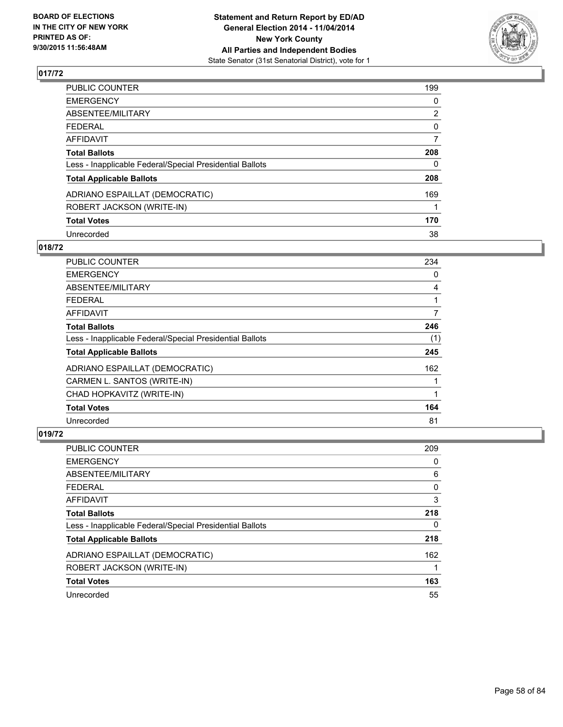

| <b>PUBLIC COUNTER</b>                                    | 199            |
|----------------------------------------------------------|----------------|
| <b>EMERGENCY</b>                                         | 0              |
| ABSENTEE/MILITARY                                        | $\overline{2}$ |
| <b>FEDERAL</b>                                           | 0              |
| <b>AFFIDAVIT</b>                                         | 7              |
| <b>Total Ballots</b>                                     | 208            |
| Less - Inapplicable Federal/Special Presidential Ballots | 0              |
| <b>Total Applicable Ballots</b>                          | 208            |
| ADRIANO ESPAILLAT (DEMOCRATIC)                           | 169            |
| ROBERT JACKSON (WRITE-IN)                                |                |
| <b>Total Votes</b>                                       | 170            |
| Unrecorded                                               | 38             |

## **018/72**

| <b>PUBLIC COUNTER</b>                                    | 234 |
|----------------------------------------------------------|-----|
| <b>EMERGENCY</b>                                         | 0   |
| ABSENTEE/MILITARY                                        | 4   |
| <b>FEDERAL</b>                                           |     |
| AFFIDAVIT                                                | 7   |
| <b>Total Ballots</b>                                     | 246 |
| Less - Inapplicable Federal/Special Presidential Ballots | (1) |
| <b>Total Applicable Ballots</b>                          | 245 |
| ADRIANO ESPAILLAT (DEMOCRATIC)                           | 162 |
| CARMEN L. SANTOS (WRITE-IN)                              |     |
| CHAD HOPKAVITZ (WRITE-IN)                                | 1   |
| <b>Total Votes</b>                                       | 164 |
| Unrecorded                                               | 81  |

| PUBLIC COUNTER                                           | 209 |
|----------------------------------------------------------|-----|
| <b>EMERGENCY</b>                                         | 0   |
| ABSENTEE/MILITARY                                        | 6   |
| <b>FEDERAL</b>                                           | 0   |
| AFFIDAVIT                                                | 3   |
| <b>Total Ballots</b>                                     | 218 |
| Less - Inapplicable Federal/Special Presidential Ballots | 0   |
| <b>Total Applicable Ballots</b>                          | 218 |
| ADRIANO ESPAILLAT (DEMOCRATIC)                           | 162 |
| ROBERT JACKSON (WRITE-IN)                                |     |
| <b>Total Votes</b>                                       | 163 |
| Unrecorded                                               | 55  |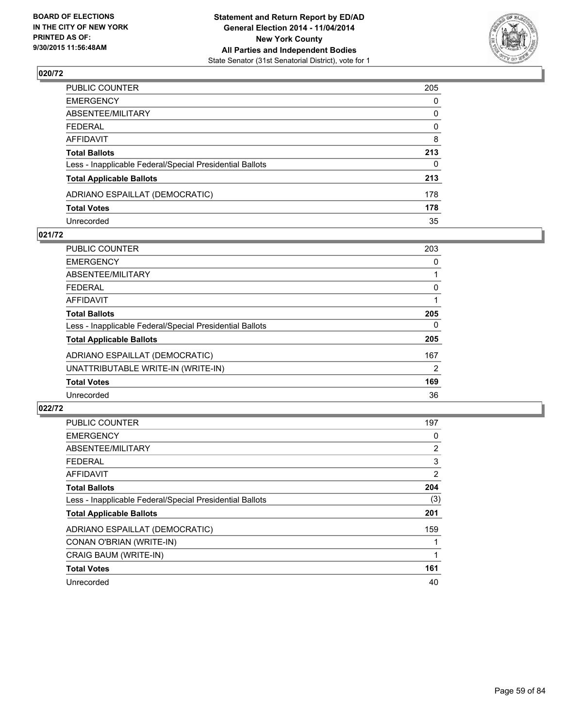

| PUBLIC COUNTER                                           | 205 |
|----------------------------------------------------------|-----|
| EMERGENCY                                                | 0   |
| ABSENTEE/MILITARY                                        | 0   |
| FEDERAL                                                  | 0   |
| AFFIDAVIT                                                | 8   |
| Total Ballots                                            | 213 |
| Less - Inapplicable Federal/Special Presidential Ballots | 0   |
| <b>Total Applicable Ballots</b>                          | 213 |
| ADRIANO ESPAILLAT (DEMOCRATIC)                           | 178 |
| <b>Total Votes</b>                                       | 178 |
| Unrecorded                                               | 35  |

### **021/72**

| <b>PUBLIC COUNTER</b>                                    | 203 |
|----------------------------------------------------------|-----|
| <b>EMERGENCY</b>                                         | 0   |
| ABSENTEE/MILITARY                                        |     |
| <b>FEDERAL</b>                                           | 0   |
| AFFIDAVIT                                                |     |
| <b>Total Ballots</b>                                     | 205 |
| Less - Inapplicable Federal/Special Presidential Ballots | 0   |
| <b>Total Applicable Ballots</b>                          | 205 |
| ADRIANO ESPAILLAT (DEMOCRATIC)                           | 167 |
| UNATTRIBUTABLE WRITE-IN (WRITE-IN)                       | 2   |
| <b>Total Votes</b>                                       | 169 |
| Unrecorded                                               | 36  |
|                                                          |     |

| <b>PUBLIC COUNTER</b>                                    | 197 |
|----------------------------------------------------------|-----|
| <b>EMERGENCY</b>                                         | 0   |
| ABSENTEE/MILITARY                                        | 2   |
| FEDERAL                                                  | 3   |
| <b>AFFIDAVIT</b>                                         | 2   |
| <b>Total Ballots</b>                                     | 204 |
| Less - Inapplicable Federal/Special Presidential Ballots | (3) |
| <b>Total Applicable Ballots</b>                          | 201 |
| ADRIANO ESPAILLAT (DEMOCRATIC)                           | 159 |
| CONAN O'BRIAN (WRITE-IN)                                 |     |
| CRAIG BAUM (WRITE-IN)                                    | 1   |
| <b>Total Votes</b>                                       | 161 |
| Unrecorded                                               | 40  |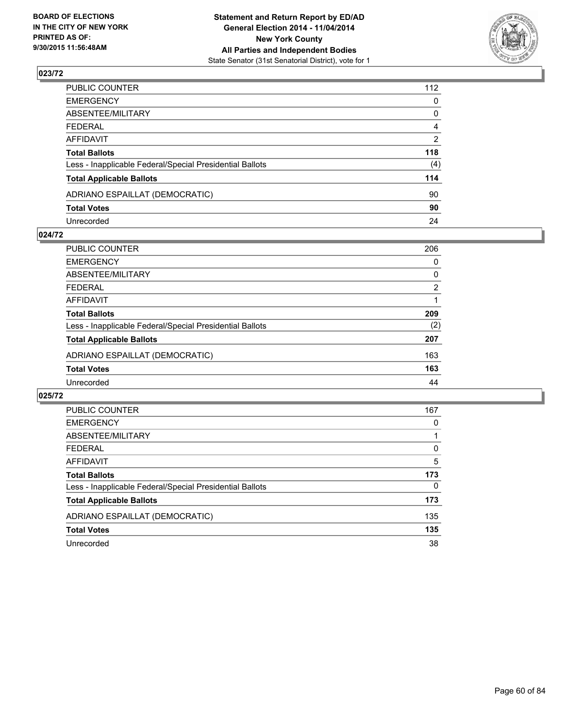

| PUBLIC COUNTER                                           | 112            |
|----------------------------------------------------------|----------------|
| EMERGENCY                                                | 0              |
| ABSENTEE/MILITARY                                        | 0              |
| FEDERAL                                                  | 4              |
| AFFIDAVIT                                                | $\overline{2}$ |
| Total Ballots                                            | 118            |
| Less - Inapplicable Federal/Special Presidential Ballots | (4)            |
| <b>Total Applicable Ballots</b>                          | 114            |
| ADRIANO ESPAILLAT (DEMOCRATIC)                           | 90             |
| <b>Total Votes</b>                                       | 90             |
| Unrecorded                                               | 24             |

#### **024/72**

| 206            |
|----------------|
| 0              |
| 0              |
| $\overline{2}$ |
|                |
| 209            |
| (2)            |
| 207            |
| 163            |
| 163            |
| 44             |
|                |

| <b>PUBLIC COUNTER</b>                                    | 167 |
|----------------------------------------------------------|-----|
| <b>EMERGENCY</b>                                         | 0   |
| ABSENTEE/MILITARY                                        |     |
| <b>FEDERAL</b>                                           | 0   |
| <b>AFFIDAVIT</b>                                         | 5   |
| <b>Total Ballots</b>                                     | 173 |
| Less - Inapplicable Federal/Special Presidential Ballots | 0   |
| <b>Total Applicable Ballots</b>                          | 173 |
| ADRIANO ESPAILLAT (DEMOCRATIC)                           | 135 |
| <b>Total Votes</b>                                       | 135 |
| Unrecorded                                               | 38  |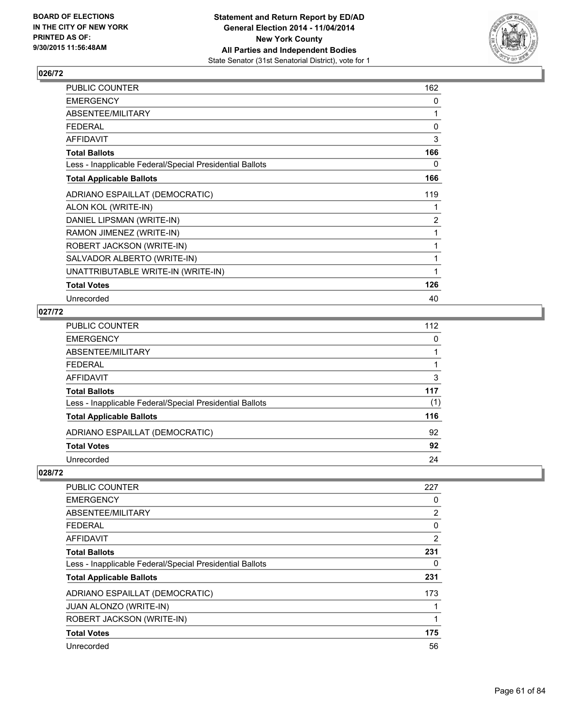

| PUBLIC COUNTER                                           | 162            |
|----------------------------------------------------------|----------------|
| <b>EMERGENCY</b>                                         | 0              |
| ABSENTEE/MILITARY                                        | 1              |
| <b>FEDERAL</b>                                           | 0              |
| <b>AFFIDAVIT</b>                                         | 3              |
| <b>Total Ballots</b>                                     | 166            |
| Less - Inapplicable Federal/Special Presidential Ballots | 0              |
| <b>Total Applicable Ballots</b>                          | 166            |
| ADRIANO ESPAILLAT (DEMOCRATIC)                           | 119            |
| ALON KOL (WRITE-IN)                                      | 1              |
| DANIEL LIPSMAN (WRITE-IN)                                | $\overline{c}$ |
| RAMON JIMENEZ (WRITE-IN)                                 | 1              |
| ROBERT JACKSON (WRITE-IN)                                | 1              |
| SALVADOR ALBERTO (WRITE-IN)                              | 1              |
| UNATTRIBUTABLE WRITE-IN (WRITE-IN)                       | 1              |
| <b>Total Votes</b>                                       | 126            |
| Unrecorded                                               | 40             |

### **027/72**

| PUBLIC COUNTER                                           | 112 |
|----------------------------------------------------------|-----|
| EMERGENCY                                                | 0   |
| ABSENTEE/MILITARY                                        |     |
| FEDERAL                                                  |     |
| AFFIDAVIT                                                | 3   |
| Total Ballots                                            | 117 |
| Less - Inapplicable Federal/Special Presidential Ballots | (1) |
| <b>Total Applicable Ballots</b>                          | 116 |
| ADRIANO ESPAILLAT (DEMOCRATIC)                           | 92  |
| <b>Total Votes</b>                                       | 92  |
| Unrecorded                                               | 24  |

| <b>PUBLIC COUNTER</b>                                    | 227 |
|----------------------------------------------------------|-----|
| <b>EMERGENCY</b>                                         | 0   |
| ABSENTEE/MILITARY                                        | 2   |
| <b>FEDERAL</b>                                           | 0   |
| AFFIDAVIT                                                | 2   |
| <b>Total Ballots</b>                                     | 231 |
| Less - Inapplicable Federal/Special Presidential Ballots | 0   |
| <b>Total Applicable Ballots</b>                          | 231 |
| ADRIANO ESPAILLAT (DEMOCRATIC)                           | 173 |
| <b>JUAN ALONZO (WRITE-IN)</b>                            |     |
| ROBERT JACKSON (WRITE-IN)                                | 1   |
| <b>Total Votes</b>                                       | 175 |
| Unrecorded                                               | 56  |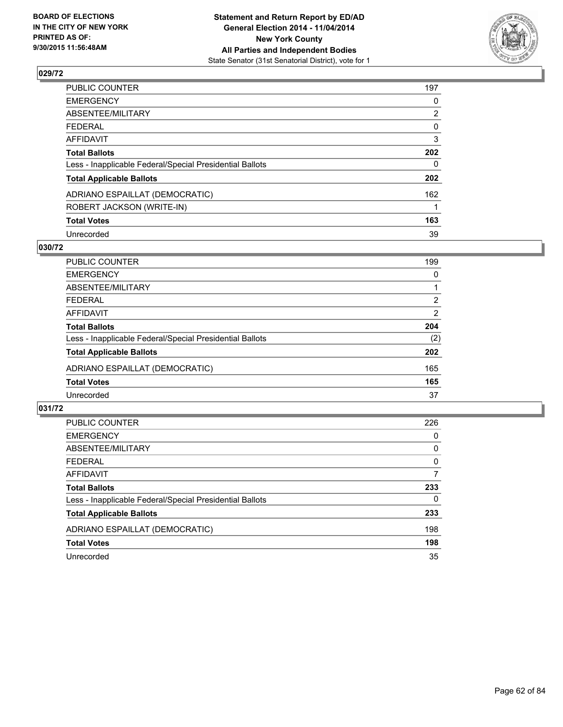

| PUBLIC COUNTER                                           | 197            |
|----------------------------------------------------------|----------------|
| <b>EMERGENCY</b>                                         | 0              |
| ABSENTEE/MILITARY                                        | $\overline{2}$ |
| <b>FEDERAL</b>                                           | 0              |
| AFFIDAVIT                                                | 3              |
| <b>Total Ballots</b>                                     | 202            |
| Less - Inapplicable Federal/Special Presidential Ballots | $\Omega$       |
| <b>Total Applicable Ballots</b>                          | 202            |
| ADRIANO ESPAILLAT (DEMOCRATIC)                           | 162            |
| ROBERT JACKSON (WRITE-IN)                                |                |
| <b>Total Votes</b>                                       | 163            |
| Unrecorded                                               | 39             |

### **030/72**

| PUBLIC COUNTER                                           | 199            |
|----------------------------------------------------------|----------------|
| <b>EMERGENCY</b>                                         | 0              |
| ABSENTEE/MILITARY                                        |                |
| <b>FEDERAL</b>                                           | 2              |
| <b>AFFIDAVIT</b>                                         | $\overline{2}$ |
| <b>Total Ballots</b>                                     | 204            |
| Less - Inapplicable Federal/Special Presidential Ballots | (2)            |
| <b>Total Applicable Ballots</b>                          | 202            |
| ADRIANO ESPAILLAT (DEMOCRATIC)                           | 165            |
| <b>Total Votes</b>                                       | 165            |
| Unrecorded                                               | 37             |
|                                                          |                |

| <b>PUBLIC COUNTER</b>                                    | 226 |
|----------------------------------------------------------|-----|
| <b>EMERGENCY</b>                                         | 0   |
| ABSENTEE/MILITARY                                        | 0   |
| <b>FEDERAL</b>                                           | 0   |
| AFFIDAVIT                                                | 7   |
| <b>Total Ballots</b>                                     | 233 |
| Less - Inapplicable Federal/Special Presidential Ballots | 0   |
| <b>Total Applicable Ballots</b>                          | 233 |
| ADRIANO ESPAILLAT (DEMOCRATIC)                           | 198 |
| <b>Total Votes</b>                                       | 198 |
| Unrecorded                                               | 35  |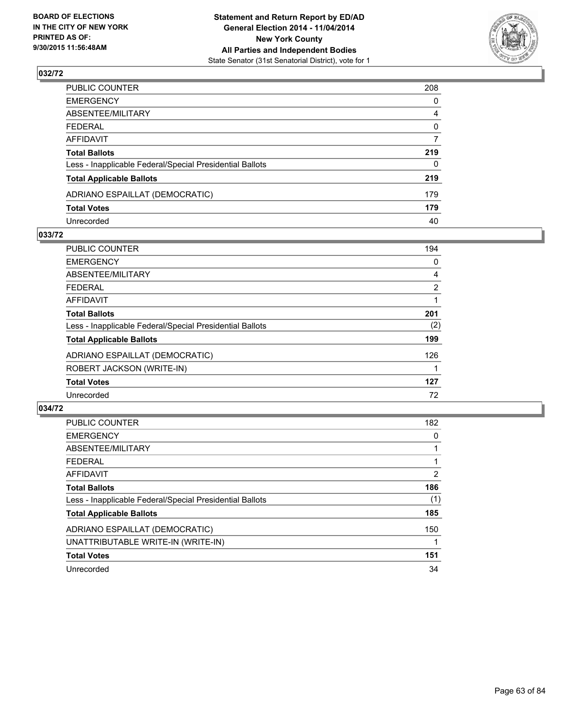

| PUBLIC COUNTER                                           | 208 |
|----------------------------------------------------------|-----|
| EMERGENCY                                                | 0   |
| ABSENTEE/MILITARY                                        | 4   |
| FEDERAL                                                  | 0   |
| AFFIDAVIT                                                | 7   |
| Total Ballots                                            | 219 |
| Less - Inapplicable Federal/Special Presidential Ballots | 0   |
| <b>Total Applicable Ballots</b>                          | 219 |
| ADRIANO ESPAILLAT (DEMOCRATIC)                           | 179 |
| <b>Total Votes</b>                                       | 179 |
| Unrecorded                                               | 40  |

#### **033/72**

| <b>PUBLIC COUNTER</b>                                    | 194            |
|----------------------------------------------------------|----------------|
| <b>EMERGENCY</b>                                         | 0              |
| ABSENTEE/MILITARY                                        | 4              |
| <b>FEDERAL</b>                                           | $\overline{2}$ |
| AFFIDAVIT                                                |                |
| <b>Total Ballots</b>                                     | 201            |
| Less - Inapplicable Federal/Special Presidential Ballots | (2)            |
| <b>Total Applicable Ballots</b>                          | 199            |
| ADRIANO ESPAILLAT (DEMOCRATIC)                           | 126            |
| ROBERT JACKSON (WRITE-IN)                                |                |
| <b>Total Votes</b>                                       | 127            |
| Unrecorded                                               | 72             |
|                                                          |                |

| <b>PUBLIC COUNTER</b>                                    | 182 |
|----------------------------------------------------------|-----|
| <b>EMERGENCY</b>                                         | 0   |
| ABSENTEE/MILITARY                                        |     |
| FEDERAL                                                  |     |
| <b>AFFIDAVIT</b>                                         | 2   |
| <b>Total Ballots</b>                                     | 186 |
| Less - Inapplicable Federal/Special Presidential Ballots | (1) |
| <b>Total Applicable Ballots</b>                          | 185 |
| ADRIANO ESPAILLAT (DEMOCRATIC)                           | 150 |
| UNATTRIBUTABLE WRITE-IN (WRITE-IN)                       |     |
| <b>Total Votes</b>                                       | 151 |
| Unrecorded                                               | 34  |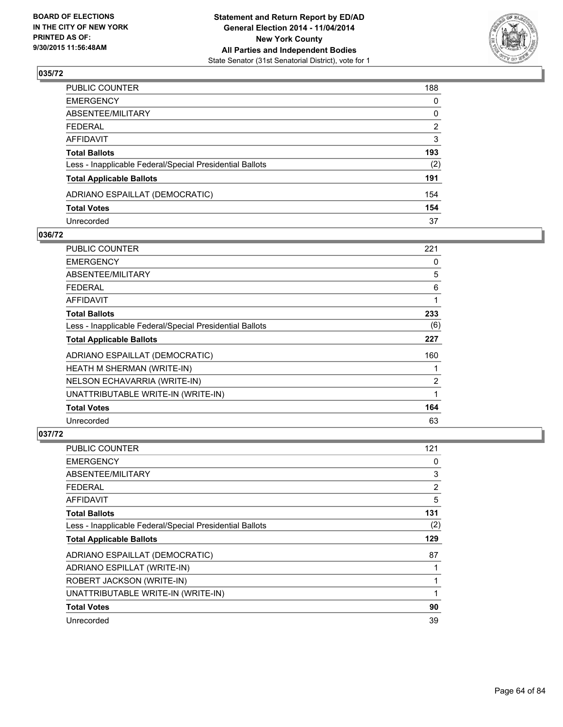

| PUBLIC COUNTER                                           | 188            |
|----------------------------------------------------------|----------------|
| EMERGENCY                                                | 0              |
| ABSENTEE/MILITARY                                        | 0              |
| FEDERAL                                                  | $\overline{2}$ |
| AFFIDAVIT                                                | 3              |
| Total Ballots                                            | 193            |
| Less - Inapplicable Federal/Special Presidential Ballots | (2)            |
| <b>Total Applicable Ballots</b>                          | 191            |
| ADRIANO ESPAILLAT (DEMOCRATIC)                           | 154            |
| <b>Total Votes</b>                                       | 154            |
| Unrecorded                                               | 37             |

#### **036/72**

| PUBLIC COUNTER                                           | 221            |
|----------------------------------------------------------|----------------|
| <b>EMERGENCY</b>                                         | 0              |
| ABSENTEE/MILITARY                                        | 5              |
| <b>FEDERAL</b>                                           | 6              |
| AFFIDAVIT                                                | 1              |
| <b>Total Ballots</b>                                     | 233            |
| Less - Inapplicable Federal/Special Presidential Ballots | (6)            |
| <b>Total Applicable Ballots</b>                          | 227            |
| ADRIANO ESPAILLAT (DEMOCRATIC)                           | 160            |
| HEATH M SHERMAN (WRITE-IN)                               |                |
| NELSON ECHAVARRIA (WRITE-IN)                             | $\overline{2}$ |
| UNATTRIBUTABLE WRITE-IN (WRITE-IN)                       | 1              |
| <b>Total Votes</b>                                       | 164            |
| Unrecorded                                               | 63             |

| PUBLIC COUNTER                                           | 121 |
|----------------------------------------------------------|-----|
| <b>EMERGENCY</b>                                         | 0   |
| ABSENTEE/MILITARY                                        | 3   |
| <b>FEDERAL</b>                                           | 2   |
| <b>AFFIDAVIT</b>                                         | 5   |
| <b>Total Ballots</b>                                     | 131 |
| Less - Inapplicable Federal/Special Presidential Ballots | (2) |
| <b>Total Applicable Ballots</b>                          | 129 |
| ADRIANO ESPAILLAT (DEMOCRATIC)                           | 87  |
| ADRIANO ESPILLAT (WRITE-IN)                              | 1   |
| ROBERT JACKSON (WRITE-IN)                                | 1   |
| UNATTRIBUTABLE WRITE-IN (WRITE-IN)                       | 1   |
| <b>Total Votes</b>                                       | 90  |
| Unrecorded                                               | 39  |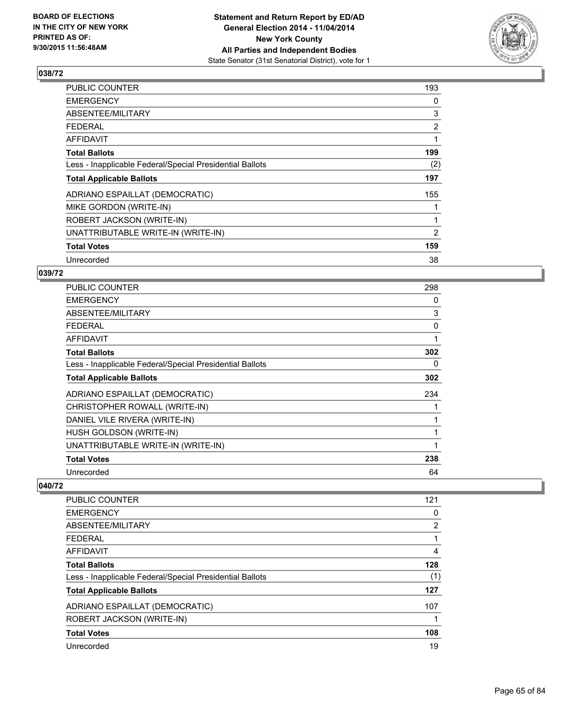

| 193            |
|----------------|
| 0              |
| 3              |
| $\overline{2}$ |
| 1              |
| 199            |
| (2)            |
| 197            |
| 155            |
|                |
| 1              |
| 2              |
| 159            |
| 38             |
|                |

## **039/72**

| <b>PUBLIC COUNTER</b>                                    | 298 |
|----------------------------------------------------------|-----|
| <b>EMERGENCY</b>                                         | 0   |
| ABSENTEE/MILITARY                                        | 3   |
| FEDERAL                                                  | 0   |
| AFFIDAVIT                                                | 1   |
| <b>Total Ballots</b>                                     | 302 |
| Less - Inapplicable Federal/Special Presidential Ballots | 0   |
| <b>Total Applicable Ballots</b>                          | 302 |
| ADRIANO ESPAILLAT (DEMOCRATIC)                           | 234 |
| CHRISTOPHER ROWALL (WRITE-IN)                            |     |
| DANIEL VILE RIVERA (WRITE-IN)                            |     |
| HUSH GOLDSON (WRITE-IN)                                  |     |
| UNATTRIBUTABLE WRITE-IN (WRITE-IN)                       | 1   |
| <b>Total Votes</b>                                       | 238 |
| Unrecorded                                               | 64  |

| 121 |
|-----|
| 0   |
| 2   |
|     |
| 4   |
| 128 |
| (1) |
| 127 |
| 107 |
|     |
| 108 |
| 19  |
|     |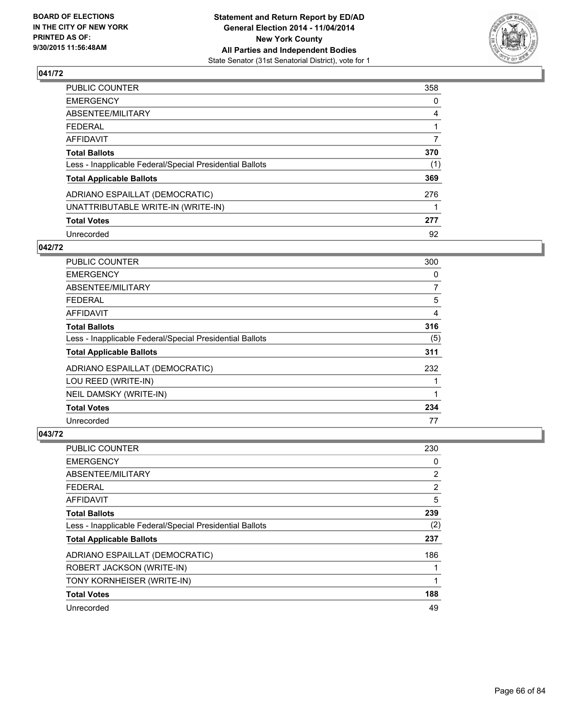

| PUBLIC COUNTER                                           | 358 |
|----------------------------------------------------------|-----|
| EMERGENCY                                                | 0   |
| ABSENTEE/MILITARY                                        | 4   |
| FEDERAL                                                  |     |
| AFFIDAVIT                                                | 7   |
| <b>Total Ballots</b>                                     | 370 |
| Less - Inapplicable Federal/Special Presidential Ballots | (1) |
| <b>Total Applicable Ballots</b>                          | 369 |
| ADRIANO ESPAILLAT (DEMOCRATIC)                           | 276 |
| UNATTRIBUTABLE WRITE-IN (WRITE-IN)                       |     |
| <b>Total Votes</b>                                       | 277 |
| Unrecorded                                               | 92  |

### **042/72**

| <b>PUBLIC COUNTER</b>                                    | 300 |
|----------------------------------------------------------|-----|
| <b>EMERGENCY</b>                                         | 0   |
| ABSENTEE/MILITARY                                        | 7   |
| <b>FEDERAL</b>                                           | 5   |
| <b>AFFIDAVIT</b>                                         | 4   |
| <b>Total Ballots</b>                                     | 316 |
| Less - Inapplicable Federal/Special Presidential Ballots | (5) |
| <b>Total Applicable Ballots</b>                          | 311 |
| ADRIANO ESPAILLAT (DEMOCRATIC)                           | 232 |
| LOU REED (WRITE-IN)                                      |     |
| NEIL DAMSKY (WRITE-IN)                                   | 1   |
| <b>Total Votes</b>                                       | 234 |
| Unrecorded                                               | 77  |

| <b>PUBLIC COUNTER</b>                                    | 230 |
|----------------------------------------------------------|-----|
| <b>EMERGENCY</b>                                         | 0   |
| ABSENTEE/MILITARY                                        | 2   |
| <b>FEDERAL</b>                                           | 2   |
| <b>AFFIDAVIT</b>                                         | 5   |
| <b>Total Ballots</b>                                     | 239 |
| Less - Inapplicable Federal/Special Presidential Ballots | (2) |
| <b>Total Applicable Ballots</b>                          | 237 |
| ADRIANO ESPAILLAT (DEMOCRATIC)                           | 186 |
| ROBERT JACKSON (WRITE-IN)                                |     |
| TONY KORNHEISER (WRITE-IN)                               | 1   |
| <b>Total Votes</b>                                       | 188 |
| Unrecorded                                               | 49  |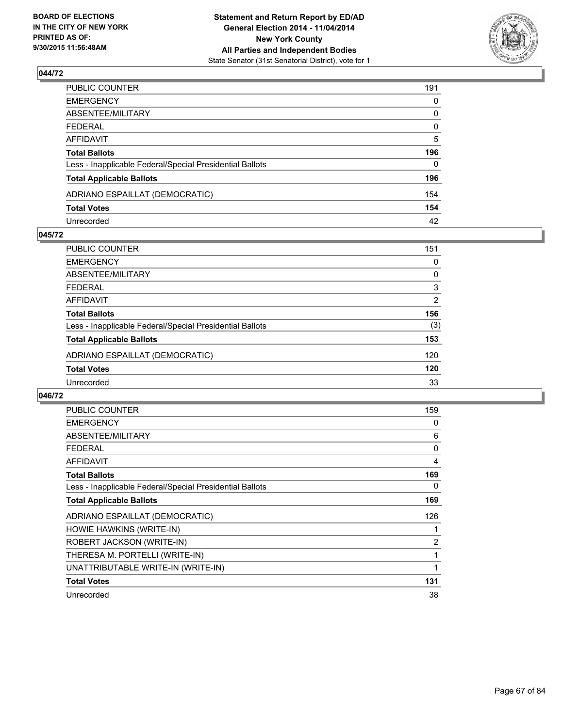

| PUBLIC COUNTER                                           | 191          |
|----------------------------------------------------------|--------------|
| EMERGENCY                                                | 0            |
| ABSENTEE/MILITARY                                        | 0            |
| FEDERAL                                                  | 0            |
| AFFIDAVIT                                                | 5            |
| Total Ballots                                            | 196          |
| Less - Inapplicable Federal/Special Presidential Ballots | $\mathbf{0}$ |
| <b>Total Applicable Ballots</b>                          | 196          |
| ADRIANO ESPAILLAT (DEMOCRATIC)                           | 154          |
| <b>Total Votes</b>                                       | 154          |
| Unrecorded                                               | 42           |

#### **045/72**

| PUBLIC COUNTER                                           | 151 |
|----------------------------------------------------------|-----|
| <b>EMERGENCY</b>                                         | 0   |
| ABSENTEE/MILITARY                                        | 0   |
| <b>FEDERAL</b>                                           | 3   |
| <b>AFFIDAVIT</b>                                         | 2   |
| <b>Total Ballots</b>                                     | 156 |
| Less - Inapplicable Federal/Special Presidential Ballots | (3) |
| <b>Total Applicable Ballots</b>                          | 153 |
| ADRIANO ESPAILLAT (DEMOCRATIC)                           | 120 |
| <b>Total Votes</b>                                       | 120 |
| Unrecorded                                               | 33  |
|                                                          |     |

| <b>PUBLIC COUNTER</b>                                    | 159 |
|----------------------------------------------------------|-----|
| <b>EMERGENCY</b>                                         | 0   |
| ABSENTEE/MILITARY                                        | 6   |
| FEDERAL                                                  | 0   |
| AFFIDAVIT                                                | 4   |
| <b>Total Ballots</b>                                     | 169 |
| Less - Inapplicable Federal/Special Presidential Ballots | 0   |
| <b>Total Applicable Ballots</b>                          | 169 |
| ADRIANO ESPAILLAT (DEMOCRATIC)                           | 126 |
| HOWIE HAWKINS (WRITE-IN)                                 | 1   |
| ROBERT JACKSON (WRITE-IN)                                | 2   |
| THERESA M. PORTELLI (WRITE-IN)                           | 1   |
| UNATTRIBUTABLE WRITE-IN (WRITE-IN)                       | 1   |
| <b>Total Votes</b>                                       | 131 |
| Unrecorded                                               | 38  |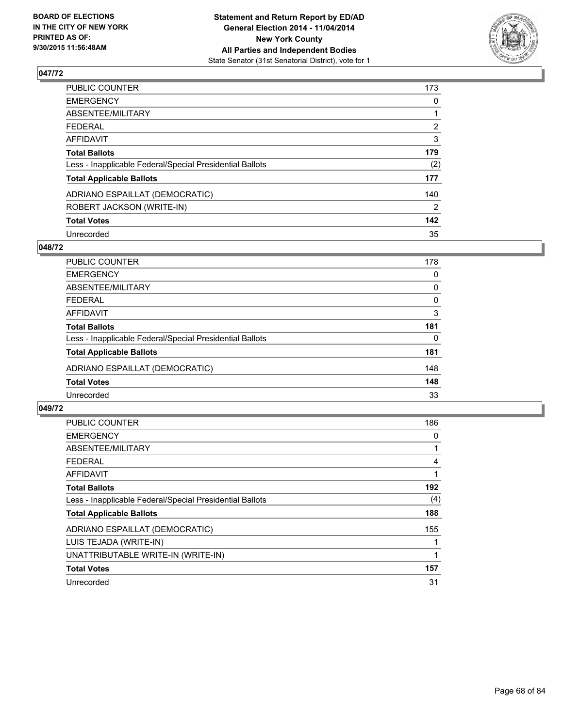

| PUBLIC COUNTER                                           | 173            |
|----------------------------------------------------------|----------------|
| <b>EMERGENCY</b>                                         | 0              |
| ABSENTEE/MILITARY                                        |                |
| <b>FEDERAL</b>                                           | $\overline{2}$ |
| AFFIDAVIT                                                | 3              |
| <b>Total Ballots</b>                                     | 179            |
| Less - Inapplicable Federal/Special Presidential Ballots | (2)            |
| <b>Total Applicable Ballots</b>                          | 177            |
| ADRIANO ESPAILLAT (DEMOCRATIC)                           | 140            |
| ROBERT JACKSON (WRITE-IN)                                | 2              |
| <b>Total Votes</b>                                       | 142            |
| Unrecorded                                               | 35             |

### **048/72**

| PUBLIC COUNTER                                           | 178      |
|----------------------------------------------------------|----------|
| <b>EMERGENCY</b>                                         | 0        |
| ABSENTEE/MILITARY                                        | 0        |
| <b>FEDERAL</b>                                           | 0        |
| <b>AFFIDAVIT</b>                                         | 3        |
| <b>Total Ballots</b>                                     | 181      |
| Less - Inapplicable Federal/Special Presidential Ballots | $\Omega$ |
| <b>Total Applicable Ballots</b>                          | 181      |
| ADRIANO ESPAILLAT (DEMOCRATIC)                           | 148      |
| <b>Total Votes</b>                                       | 148      |
| Unrecorded                                               | 33       |
|                                                          |          |

| <b>PUBLIC COUNTER</b>                                    | 186 |
|----------------------------------------------------------|-----|
| <b>EMERGENCY</b>                                         | 0   |
| ABSENTEE/MILITARY                                        |     |
| FEDERAL                                                  | 4   |
| <b>AFFIDAVIT</b>                                         |     |
| <b>Total Ballots</b>                                     | 192 |
| Less - Inapplicable Federal/Special Presidential Ballots | (4) |
| <b>Total Applicable Ballots</b>                          | 188 |
| ADRIANO ESPAILLAT (DEMOCRATIC)                           | 155 |
| LUIS TEJADA (WRITE-IN)                                   |     |
| UNATTRIBUTABLE WRITE-IN (WRITE-IN)                       | 1   |
| <b>Total Votes</b>                                       | 157 |
| Unrecorded                                               | 31  |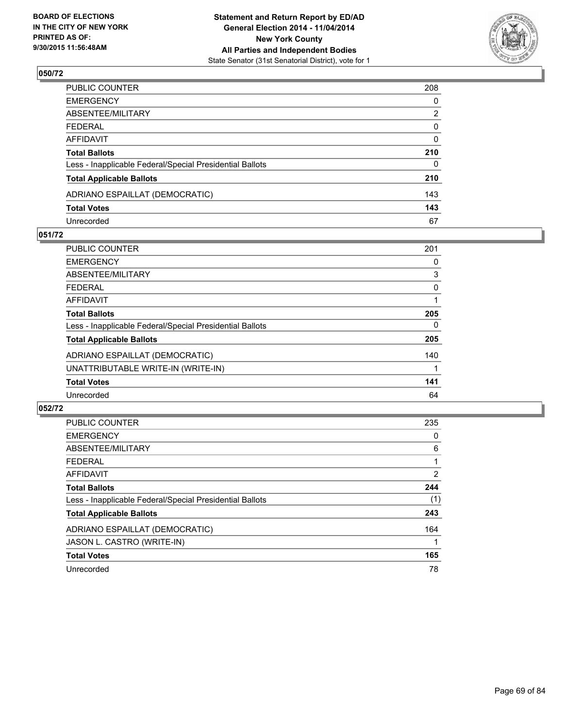

| PUBLIC COUNTER                                           | 208            |
|----------------------------------------------------------|----------------|
| EMERGENCY                                                | 0              |
| ABSENTEE/MILITARY                                        | $\overline{2}$ |
| FEDERAL                                                  | 0              |
| AFFIDAVIT                                                | $\mathbf{0}$   |
| Total Ballots                                            | 210            |
| Less - Inapplicable Federal/Special Presidential Ballots | $\Omega$       |
| <b>Total Applicable Ballots</b>                          | 210            |
| ADRIANO ESPAILLAT (DEMOCRATIC)                           | 143            |
| <b>Total Votes</b>                                       | 143            |
| Unrecorded                                               | 67             |

#### **051/72**

| <b>PUBLIC COUNTER</b>                                    | 201 |
|----------------------------------------------------------|-----|
| <b>EMERGENCY</b>                                         | 0   |
| ABSENTEE/MILITARY                                        | 3   |
| <b>FEDERAL</b>                                           | 0   |
| <b>AFFIDAVIT</b>                                         |     |
| <b>Total Ballots</b>                                     | 205 |
| Less - Inapplicable Federal/Special Presidential Ballots | 0   |
| <b>Total Applicable Ballots</b>                          | 205 |
| ADRIANO ESPAILLAT (DEMOCRATIC)                           | 140 |
| UNATTRIBUTABLE WRITE-IN (WRITE-IN)                       |     |
| <b>Total Votes</b>                                       | 141 |
| Unrecorded                                               | 64  |
|                                                          |     |

| <b>PUBLIC COUNTER</b>                                    | 235            |
|----------------------------------------------------------|----------------|
| <b>EMERGENCY</b>                                         | 0              |
| ABSENTEE/MILITARY                                        | 6              |
| <b>FEDERAL</b>                                           |                |
| AFFIDAVIT                                                | $\overline{2}$ |
| <b>Total Ballots</b>                                     | 244            |
| Less - Inapplicable Federal/Special Presidential Ballots | (1)            |
| <b>Total Applicable Ballots</b>                          | 243            |
| ADRIANO ESPAILLAT (DEMOCRATIC)                           | 164            |
| JASON L. CASTRO (WRITE-IN)                               |                |
| <b>Total Votes</b>                                       | 165            |
| Unrecorded                                               | 78             |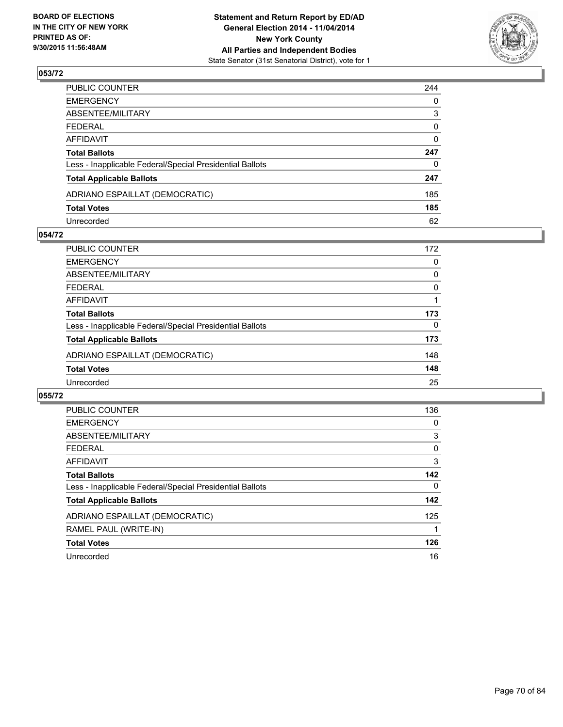

| PUBLIC COUNTER                                           | 244          |
|----------------------------------------------------------|--------------|
| EMERGENCY                                                | 0            |
| ABSENTEE/MILITARY                                        | 3            |
| FEDERAL                                                  | 0            |
| AFFIDAVIT                                                | $\mathbf{0}$ |
| Total Ballots                                            | 247          |
| Less - Inapplicable Federal/Special Presidential Ballots | $\Omega$     |
| <b>Total Applicable Ballots</b>                          | 247          |
| ADRIANO ESPAILLAT (DEMOCRATIC)                           | 185          |
| <b>Total Votes</b>                                       | 185          |
| Unrecorded                                               | 62           |

#### **054/72**

| PUBLIC COUNTER                                           | 172      |
|----------------------------------------------------------|----------|
| <b>EMERGENCY</b>                                         | $\Omega$ |
| ABSENTEE/MILITARY                                        | 0        |
| <b>FEDERAL</b>                                           | 0        |
| <b>AFFIDAVIT</b>                                         |          |
| <b>Total Ballots</b>                                     | 173      |
| Less - Inapplicable Federal/Special Presidential Ballots | $\Omega$ |
| <b>Total Applicable Ballots</b>                          | 173      |
| ADRIANO ESPAILLAT (DEMOCRATIC)                           | 148      |
| <b>Total Votes</b>                                       | 148      |
| Unrecorded                                               | 25       |
|                                                          |          |

| <b>PUBLIC COUNTER</b>                                    | 136 |
|----------------------------------------------------------|-----|
| <b>EMERGENCY</b>                                         | 0   |
| ABSENTEE/MILITARY                                        | 3   |
| <b>FEDERAL</b>                                           | 0   |
| <b>AFFIDAVIT</b>                                         | 3   |
| <b>Total Ballots</b>                                     | 142 |
| Less - Inapplicable Federal/Special Presidential Ballots | 0   |
| <b>Total Applicable Ballots</b>                          | 142 |
| ADRIANO ESPAILLAT (DEMOCRATIC)                           | 125 |
| RAMEL PAUL (WRITE-IN)                                    |     |
| <b>Total Votes</b>                                       | 126 |
| Unrecorded                                               | 16  |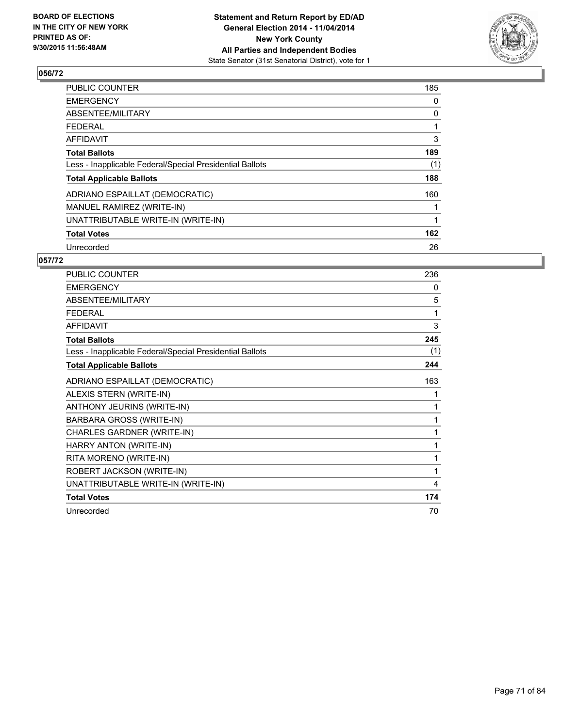

| <b>PUBLIC COUNTER</b>                                    | 185 |
|----------------------------------------------------------|-----|
| <b>EMERGENCY</b>                                         | 0   |
| ABSENTEE/MILITARY                                        | 0   |
| <b>FEDERAL</b>                                           |     |
| AFFIDAVIT                                                | 3   |
| <b>Total Ballots</b>                                     | 189 |
| Less - Inapplicable Federal/Special Presidential Ballots | (1) |
| <b>Total Applicable Ballots</b>                          | 188 |
| ADRIANO ESPAILLAT (DEMOCRATIC)                           | 160 |
| MANUEL RAMIREZ (WRITE-IN)                                |     |
| UNATTRIBUTABLE WRITE-IN (WRITE-IN)                       | 1   |
| <b>Total Votes</b>                                       | 162 |
| Unrecorded                                               | 26  |

| <b>PUBLIC COUNTER</b>                                    | 236 |
|----------------------------------------------------------|-----|
| <b>EMERGENCY</b>                                         | 0   |
| <b>ABSENTEE/MILITARY</b>                                 | 5   |
| <b>FEDERAL</b>                                           | 1   |
| <b>AFFIDAVIT</b>                                         | 3   |
| <b>Total Ballots</b>                                     | 245 |
| Less - Inapplicable Federal/Special Presidential Ballots | (1) |
| <b>Total Applicable Ballots</b>                          | 244 |
| ADRIANO ESPAILLAT (DEMOCRATIC)                           | 163 |
| ALEXIS STERN (WRITE-IN)                                  | 1   |
| ANTHONY JEURINS (WRITE-IN)                               | 1   |
| BARBARA GROSS (WRITE-IN)                                 | 1   |
| CHARLES GARDNER (WRITE-IN)                               | 1   |
| HARRY ANTON (WRITE-IN)                                   | 1   |
| RITA MORENO (WRITE-IN)                                   | 1   |
| ROBERT JACKSON (WRITE-IN)                                | 1   |
| UNATTRIBUTABLE WRITE-IN (WRITE-IN)                       | 4   |
| <b>Total Votes</b>                                       | 174 |
| Unrecorded                                               | 70  |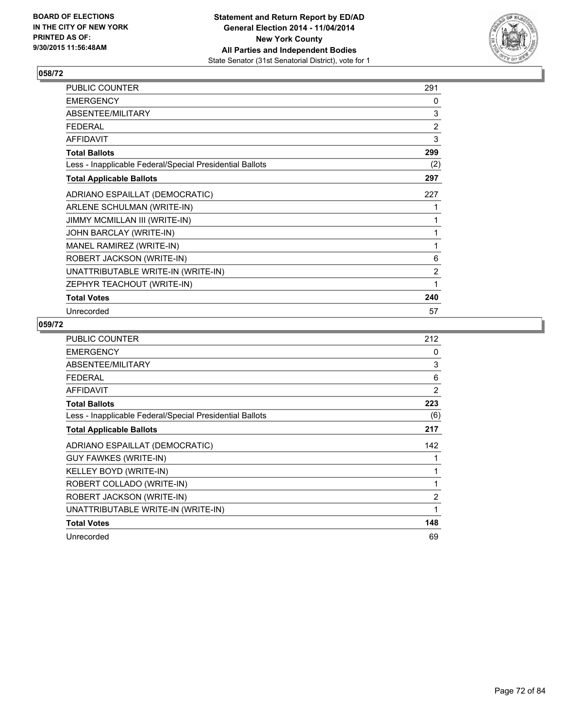

| <b>PUBLIC COUNTER</b>                                    | 291 |
|----------------------------------------------------------|-----|
| <b>EMERGENCY</b>                                         | 0   |
| ABSENTEE/MILITARY                                        | 3   |
| <b>FEDERAL</b>                                           | 2   |
| <b>AFFIDAVIT</b>                                         | 3   |
| <b>Total Ballots</b>                                     | 299 |
| Less - Inapplicable Federal/Special Presidential Ballots | (2) |
| <b>Total Applicable Ballots</b>                          | 297 |
| ADRIANO ESPAILLAT (DEMOCRATIC)                           | 227 |
| ARLENE SCHULMAN (WRITE-IN)                               | 1   |
| JIMMY MCMILLAN III (WRITE-IN)                            | 1   |
| JOHN BARCLAY (WRITE-IN)                                  | 1   |
| MANEL RAMIREZ (WRITE-IN)                                 | 1   |
| ROBERT JACKSON (WRITE-IN)                                | 6   |
| UNATTRIBUTABLE WRITE-IN (WRITE-IN)                       | 2   |
| ZEPHYR TEACHOUT (WRITE-IN)                               | 1   |
| <b>Total Votes</b>                                       | 240 |
| Unrecorded                                               | 57  |

| <b>PUBLIC COUNTER</b>                                    | 212            |
|----------------------------------------------------------|----------------|
| <b>EMERGENCY</b>                                         | 0              |
| ABSENTEE/MILITARY                                        | 3              |
| <b>FEDERAL</b>                                           | 6              |
| <b>AFFIDAVIT</b>                                         | 2              |
| <b>Total Ballots</b>                                     | 223            |
| Less - Inapplicable Federal/Special Presidential Ballots | (6)            |
| <b>Total Applicable Ballots</b>                          | 217            |
| ADRIANO ESPAILLAT (DEMOCRATIC)                           | 142            |
| <b>GUY FAWKES (WRITE-IN)</b>                             |                |
| KELLEY BOYD (WRITE-IN)                                   | 1              |
| ROBERT COLLADO (WRITE-IN)                                | 1              |
| ROBERT JACKSON (WRITE-IN)                                | $\overline{2}$ |
| UNATTRIBUTABLE WRITE-IN (WRITE-IN)                       | 1              |
| <b>Total Votes</b>                                       |                |
|                                                          | 148            |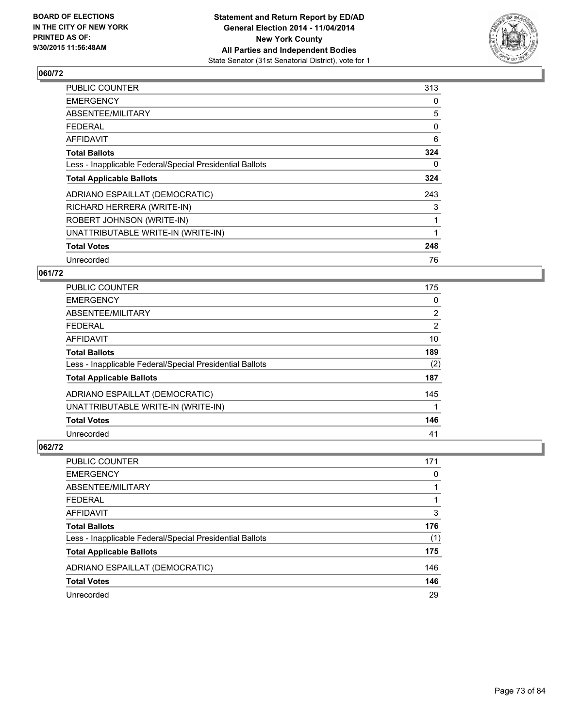

| <b>PUBLIC COUNTER</b>                                    | 313 |
|----------------------------------------------------------|-----|
| <b>EMERGENCY</b>                                         | 0   |
| ABSENTEE/MILITARY                                        | 5   |
| <b>FEDERAL</b>                                           | 0   |
| <b>AFFIDAVIT</b>                                         | 6   |
| <b>Total Ballots</b>                                     | 324 |
| Less - Inapplicable Federal/Special Presidential Ballots | 0   |
| <b>Total Applicable Ballots</b>                          | 324 |
| ADRIANO ESPAILLAT (DEMOCRATIC)                           | 243 |
| RICHARD HERRERA (WRITE-IN)                               | 3   |
| ROBERT JOHNSON (WRITE-IN)                                |     |
| UNATTRIBUTABLE WRITE-IN (WRITE-IN)                       |     |
| <b>Total Votes</b>                                       | 248 |
| Unrecorded                                               | 76  |

### **061/72**

| <b>PUBLIC COUNTER</b>                                    | 175            |
|----------------------------------------------------------|----------------|
| <b>EMERGENCY</b>                                         | 0              |
| ABSENTEE/MILITARY                                        | $\overline{2}$ |
| <b>FEDERAL</b>                                           | $\overline{2}$ |
| <b>AFFIDAVIT</b>                                         | 10             |
| <b>Total Ballots</b>                                     | 189            |
| Less - Inapplicable Federal/Special Presidential Ballots | (2)            |
| <b>Total Applicable Ballots</b>                          | 187            |
| ADRIANO ESPAILLAT (DEMOCRATIC)                           | 145            |
| UNATTRIBUTABLE WRITE-IN (WRITE-IN)                       |                |
| <b>Total Votes</b>                                       | 146            |
| Unrecorded                                               | 41             |

| <b>PUBLIC COUNTER</b>                                    | 171 |
|----------------------------------------------------------|-----|
| <b>EMERGENCY</b>                                         | 0   |
| ABSENTEE/MILITARY                                        |     |
| <b>FEDERAL</b>                                           |     |
| <b>AFFIDAVIT</b>                                         | 3   |
| <b>Total Ballots</b>                                     | 176 |
| Less - Inapplicable Federal/Special Presidential Ballots | (1) |
| <b>Total Applicable Ballots</b>                          | 175 |
| ADRIANO ESPAILLAT (DEMOCRATIC)                           | 146 |
| <b>Total Votes</b>                                       | 146 |
| Unrecorded                                               | 29  |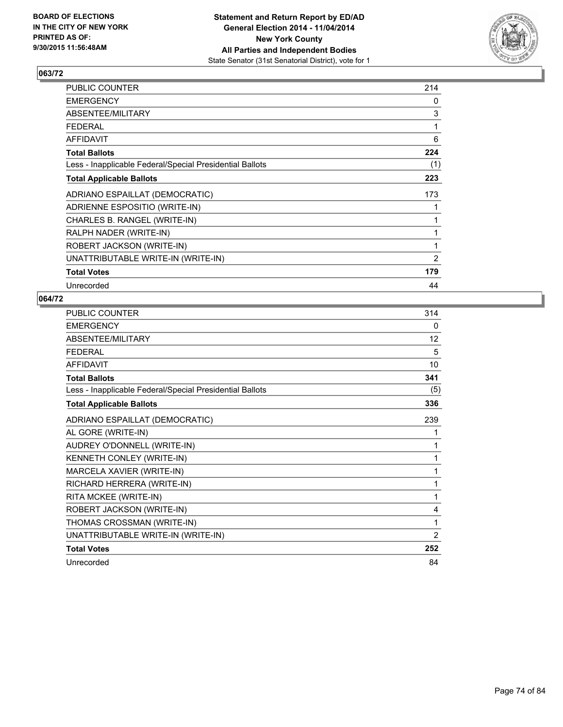

| PUBLIC COUNTER                                           | 214 |
|----------------------------------------------------------|-----|
| <b>EMERGENCY</b>                                         | 0   |
| ABSENTEE/MILITARY                                        | 3   |
| <b>FEDERAL</b>                                           | 1   |
| <b>AFFIDAVIT</b>                                         | 6   |
| <b>Total Ballots</b>                                     | 224 |
| Less - Inapplicable Federal/Special Presidential Ballots | (1) |
| <b>Total Applicable Ballots</b>                          | 223 |
| ADRIANO ESPAILLAT (DEMOCRATIC)                           | 173 |
| ADRIENNE ESPOSITIO (WRITE-IN)                            |     |
| CHARLES B. RANGEL (WRITE-IN)                             | 1   |
| RALPH NADER (WRITE-IN)                                   | 1   |
| ROBERT JACKSON (WRITE-IN)                                | 1   |
| UNATTRIBUTABLE WRITE-IN (WRITE-IN)                       | 2   |
| <b>Total Votes</b>                                       | 179 |
| Unrecorded                                               | 44  |

| <b>PUBLIC COUNTER</b>                                    | 314            |
|----------------------------------------------------------|----------------|
| <b>EMERGENCY</b>                                         | 0              |
| ABSENTEE/MILITARY                                        | 12             |
| <b>FEDERAL</b>                                           | 5              |
| <b>AFFIDAVIT</b>                                         | 10             |
| <b>Total Ballots</b>                                     | 341            |
| Less - Inapplicable Federal/Special Presidential Ballots | (5)            |
| <b>Total Applicable Ballots</b>                          | 336            |
| ADRIANO ESPAILLAT (DEMOCRATIC)                           | 239            |
| AL GORE (WRITE-IN)                                       | 1              |
| AUDREY O'DONNELL (WRITE-IN)                              | 1              |
| KENNETH CONLEY (WRITE-IN)                                | 1              |
| MARCELA XAVIER (WRITE-IN)                                | 1              |
| RICHARD HERRERA (WRITE-IN)                               | 1              |
| RITA MCKEE (WRITE-IN)                                    | 1              |
| ROBERT JACKSON (WRITE-IN)                                | 4              |
| THOMAS CROSSMAN (WRITE-IN)                               | 1              |
| UNATTRIBUTABLE WRITE-IN (WRITE-IN)                       | $\overline{2}$ |
| <b>Total Votes</b>                                       | 252            |
| Unrecorded                                               | 84             |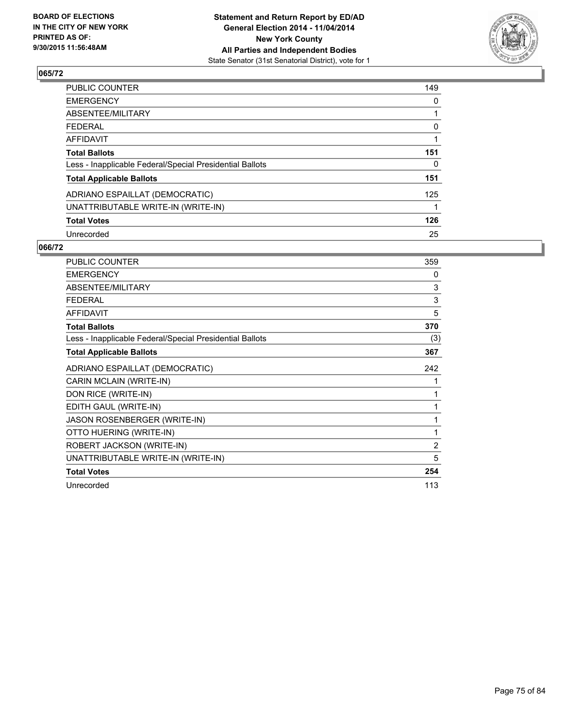

| <b>PUBLIC COUNTER</b>                                    | 149 |
|----------------------------------------------------------|-----|
| <b>EMERGENCY</b>                                         | 0   |
| <b>ABSENTEE/MILITARY</b>                                 |     |
| <b>FEDERAL</b>                                           | 0   |
| <b>AFFIDAVIT</b>                                         |     |
| <b>Total Ballots</b>                                     | 151 |
| Less - Inapplicable Federal/Special Presidential Ballots | 0   |
| <b>Total Applicable Ballots</b>                          | 151 |
| ADRIANO ESPAILLAT (DEMOCRATIC)                           | 125 |
| UNATTRIBUTABLE WRITE-IN (WRITE-IN)                       |     |
| <b>Total Votes</b>                                       | 126 |
| Unrecorded                                               | 25  |

| <b>PUBLIC COUNTER</b>                                    | 359 |
|----------------------------------------------------------|-----|
| <b>EMERGENCY</b>                                         | 0   |
| ABSENTEE/MILITARY                                        | 3   |
| <b>FEDERAL</b>                                           | 3   |
| <b>AFFIDAVIT</b>                                         | 5   |
| <b>Total Ballots</b>                                     | 370 |
| Less - Inapplicable Federal/Special Presidential Ballots | (3) |
| <b>Total Applicable Ballots</b>                          | 367 |
| ADRIANO ESPAILLAT (DEMOCRATIC)                           | 242 |
| CARIN MCLAIN (WRITE-IN)                                  | 1   |
| DON RICE (WRITE-IN)                                      | 1   |
| EDITH GAUL (WRITE-IN)                                    | 1   |
| JASON ROSENBERGER (WRITE-IN)                             | 1   |
| OTTO HUERING (WRITE-IN)                                  | 1   |
| ROBERT JACKSON (WRITE-IN)                                | 2   |
| UNATTRIBUTABLE WRITE-IN (WRITE-IN)                       | 5   |
| <b>Total Votes</b>                                       | 254 |
| Unrecorded                                               | 113 |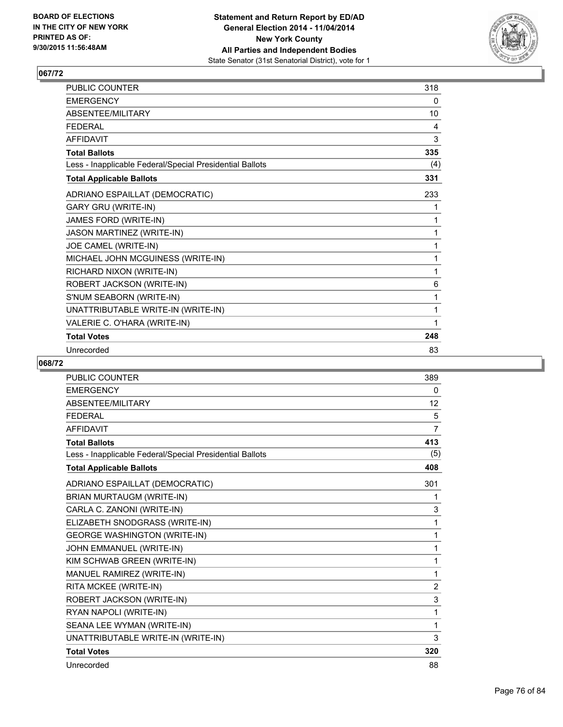

| PUBLIC COUNTER                                           | 318 |
|----------------------------------------------------------|-----|
| <b>EMERGENCY</b>                                         | 0   |
| ABSENTEE/MILITARY                                        | 10  |
| <b>FEDERAL</b>                                           | 4   |
| <b>AFFIDAVIT</b>                                         | 3   |
| <b>Total Ballots</b>                                     | 335 |
| Less - Inapplicable Federal/Special Presidential Ballots | (4) |
| <b>Total Applicable Ballots</b>                          | 331 |
| ADRIANO ESPAILLAT (DEMOCRATIC)                           | 233 |
| <b>GARY GRU (WRITE-IN)</b>                               | 1   |
| JAMES FORD (WRITE-IN)                                    | 1   |
| JASON MARTINEZ (WRITE-IN)                                | 1   |
| JOE CAMEL (WRITE-IN)                                     | 1   |
| MICHAEL JOHN MCGUINESS (WRITE-IN)                        | 1   |
| RICHARD NIXON (WRITE-IN)                                 | 1   |
| ROBERT JACKSON (WRITE-IN)                                | 6   |
| S'NUM SEABORN (WRITE-IN)                                 | 1   |
| UNATTRIBUTABLE WRITE-IN (WRITE-IN)                       | 1   |
| VALERIE C. O'HARA (WRITE-IN)                             | 1   |
| <b>Total Votes</b>                                       | 248 |
| Unrecorded                                               | 83  |

| <b>PUBLIC COUNTER</b>                                    | 389            |
|----------------------------------------------------------|----------------|
| <b>EMERGENCY</b>                                         | 0              |
| ABSENTEE/MILITARY                                        | 12             |
| <b>FEDERAL</b>                                           | 5              |
| <b>AFFIDAVIT</b>                                         | $\overline{7}$ |
| <b>Total Ballots</b>                                     | 413            |
| Less - Inapplicable Federal/Special Presidential Ballots | (5)            |
| <b>Total Applicable Ballots</b>                          | 408            |
| ADRIANO ESPAILLAT (DEMOCRATIC)                           | 301            |
| BRIAN MURTAUGM (WRITE-IN)                                | 1              |
| CARLA C. ZANONI (WRITE-IN)                               | 3              |
| ELIZABETH SNODGRASS (WRITE-IN)                           | 1              |
| <b>GEORGE WASHINGTON (WRITE-IN)</b>                      | 1              |
| JOHN EMMANUEL (WRITE-IN)                                 | 1              |
| KIM SCHWAB GREEN (WRITE-IN)                              | 1              |
| MANUEL RAMIREZ (WRITE-IN)                                | 1              |
| RITA MCKEE (WRITE-IN)                                    | $\overline{2}$ |
| ROBERT JACKSON (WRITE-IN)                                | 3              |
| RYAN NAPOLI (WRITE-IN)                                   | 1              |
| SEANA LEE WYMAN (WRITE-IN)                               | 1              |
| UNATTRIBUTABLE WRITE-IN (WRITE-IN)                       | 3              |
| <b>Total Votes</b>                                       | 320            |
| Unrecorded                                               | 88             |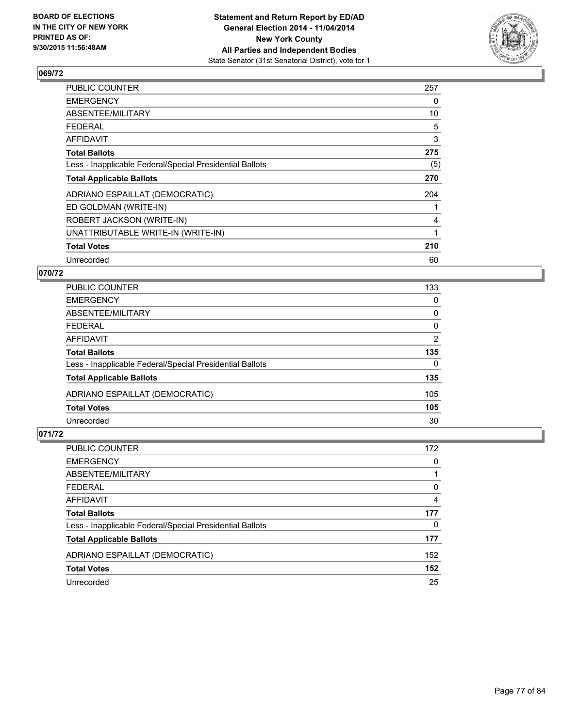

| <b>PUBLIC COUNTER</b>                                    | 257 |
|----------------------------------------------------------|-----|
| <b>EMERGENCY</b>                                         | 0   |
| ABSENTEE/MILITARY                                        | 10  |
| <b>FEDERAL</b>                                           | 5   |
| <b>AFFIDAVIT</b>                                         | 3   |
| <b>Total Ballots</b>                                     | 275 |
| Less - Inapplicable Federal/Special Presidential Ballots | (5) |
| <b>Total Applicable Ballots</b>                          | 270 |
| ADRIANO ESPAILLAT (DEMOCRATIC)                           | 204 |
| ED GOLDMAN (WRITE-IN)                                    |     |
| ROBERT JACKSON (WRITE-IN)                                | 4   |
| UNATTRIBUTABLE WRITE-IN (WRITE-IN)                       | 1   |
| <b>Total Votes</b>                                       | 210 |
| Unrecorded                                               | 60  |

### **070/72**

| <b>PUBLIC COUNTER</b>                                    | 133      |
|----------------------------------------------------------|----------|
| <b>EMERGENCY</b>                                         | 0        |
| ABSENTEE/MILITARY                                        | 0        |
| <b>FEDERAL</b>                                           | 0        |
| AFFIDAVIT                                                | 2        |
| <b>Total Ballots</b>                                     | 135      |
| Less - Inapplicable Federal/Special Presidential Ballots | $\Omega$ |
| <b>Total Applicable Ballots</b>                          | 135      |
| ADRIANO ESPAILLAT (DEMOCRATIC)                           | 105      |
| <b>Total Votes</b>                                       | 105      |
| Unrecorded                                               | 30       |

| <b>PUBLIC COUNTER</b>                                    | 172 |
|----------------------------------------------------------|-----|
| <b>EMERGENCY</b>                                         | 0   |
| ABSENTEE/MILITARY                                        |     |
| <b>FEDERAL</b>                                           | 0   |
| <b>AFFIDAVIT</b>                                         | 4   |
| <b>Total Ballots</b>                                     | 177 |
| Less - Inapplicable Federal/Special Presidential Ballots | 0   |
| <b>Total Applicable Ballots</b>                          | 177 |
| ADRIANO ESPAILLAT (DEMOCRATIC)                           | 152 |
| <b>Total Votes</b>                                       | 152 |
| Unrecorded                                               | 25  |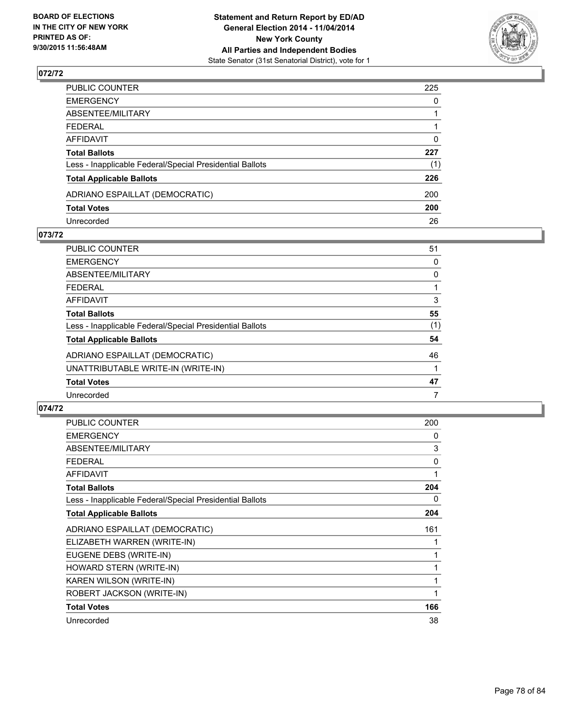

| PUBLIC COUNTER                                           | 225          |
|----------------------------------------------------------|--------------|
| EMERGENCY                                                | $\mathbf{0}$ |
| ABSENTEE/MILITARY                                        |              |
| FEDERAL                                                  |              |
| AFFIDAVIT                                                | 0            |
| <b>Total Ballots</b>                                     | 227          |
| Less - Inapplicable Federal/Special Presidential Ballots | (1)          |
| <b>Total Applicable Ballots</b>                          | 226          |
| ADRIANO ESPAILLAT (DEMOCRATIC)                           | 200          |
| <b>Total Votes</b>                                       | 200          |
| Unrecorded                                               | 26           |

#### **073/72**

| <b>PUBLIC COUNTER</b>                                    | 51  |
|----------------------------------------------------------|-----|
| <b>EMERGENCY</b>                                         | 0   |
| ABSENTEE/MILITARY                                        | 0   |
| <b>FEDERAL</b>                                           |     |
| <b>AFFIDAVIT</b>                                         | 3   |
| <b>Total Ballots</b>                                     | 55  |
| Less - Inapplicable Federal/Special Presidential Ballots | (1) |
| <b>Total Applicable Ballots</b>                          | 54  |
| ADRIANO ESPAILLAT (DEMOCRATIC)                           | 46  |
| UNATTRIBUTABLE WRITE-IN (WRITE-IN)                       |     |
| <b>Total Votes</b>                                       | 47  |
| Unrecorded                                               | 7   |
|                                                          |     |

| <b>PUBLIC COUNTER</b>                                    | 200 |
|----------------------------------------------------------|-----|
| <b>EMERGENCY</b>                                         | 0   |
| ABSENTEE/MILITARY                                        | 3   |
| <b>FEDERAL</b>                                           | 0   |
| <b>AFFIDAVIT</b>                                         | 1   |
| <b>Total Ballots</b>                                     | 204 |
| Less - Inapplicable Federal/Special Presidential Ballots | 0   |
| <b>Total Applicable Ballots</b>                          | 204 |
| ADRIANO ESPAILLAT (DEMOCRATIC)                           | 161 |
| ELIZABETH WARREN (WRITE-IN)                              |     |
| EUGENE DEBS (WRITE-IN)                                   |     |
| HOWARD STERN (WRITE-IN)                                  | 1   |
| KAREN WILSON (WRITE-IN)                                  | 1   |
| ROBERT JACKSON (WRITE-IN)                                | 1   |
| <b>Total Votes</b>                                       | 166 |
| Unrecorded                                               | 38  |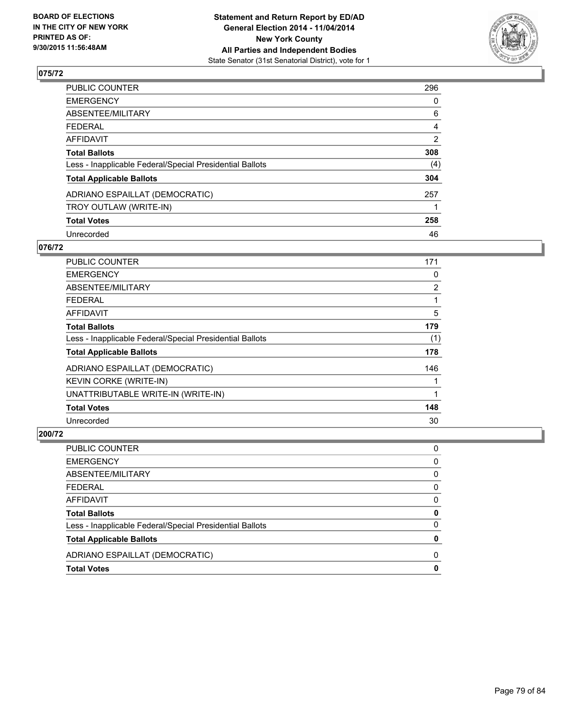

| PUBLIC COUNTER                                           | 296            |
|----------------------------------------------------------|----------------|
| <b>EMERGENCY</b>                                         | 0              |
| <b>ABSENTEE/MILITARY</b>                                 | 6              |
| <b>FEDERAL</b>                                           | 4              |
| AFFIDAVIT                                                | $\overline{2}$ |
| <b>Total Ballots</b>                                     | 308            |
| Less - Inapplicable Federal/Special Presidential Ballots | (4)            |
| <b>Total Applicable Ballots</b>                          | 304            |
| ADRIANO ESPAILLAT (DEMOCRATIC)                           | 257            |
| TROY OUTLAW (WRITE-IN)                                   |                |
| <b>Total Votes</b>                                       | 258            |
| Unrecorded                                               | 46             |

#### **076/72**

| PUBLIC COUNTER                                           | 171            |
|----------------------------------------------------------|----------------|
| <b>EMERGENCY</b>                                         | 0              |
| ABSENTEE/MILITARY                                        | $\overline{2}$ |
| <b>FEDERAL</b>                                           |                |
| AFFIDAVIT                                                | 5              |
| <b>Total Ballots</b>                                     | 179            |
| Less - Inapplicable Federal/Special Presidential Ballots | (1)            |
| <b>Total Applicable Ballots</b>                          | 178            |
| ADRIANO ESPAILLAT (DEMOCRATIC)                           | 146            |
| KEVIN CORKE (WRITE-IN)                                   |                |
| UNATTRIBUTABLE WRITE-IN (WRITE-IN)                       | 1              |
| <b>Total Votes</b>                                       | 148            |
| Unrecorded                                               | 30             |

| PUBLIC COUNTER                                           | 0            |
|----------------------------------------------------------|--------------|
| <b>EMERGENCY</b>                                         | 0            |
| ABSENTEE/MILITARY                                        | $\mathbf{0}$ |
| FEDERAL                                                  | $\mathbf{0}$ |
| AFFIDAVIT                                                | $\mathbf{0}$ |
| <b>Total Ballots</b>                                     | 0            |
| Less - Inapplicable Federal/Special Presidential Ballots | $\mathbf{0}$ |
| <b>Total Applicable Ballots</b>                          | 0            |
| ADRIANO ESPAILLAT (DEMOCRATIC)                           | 0            |
| <b>Total Votes</b>                                       | 0            |
|                                                          |              |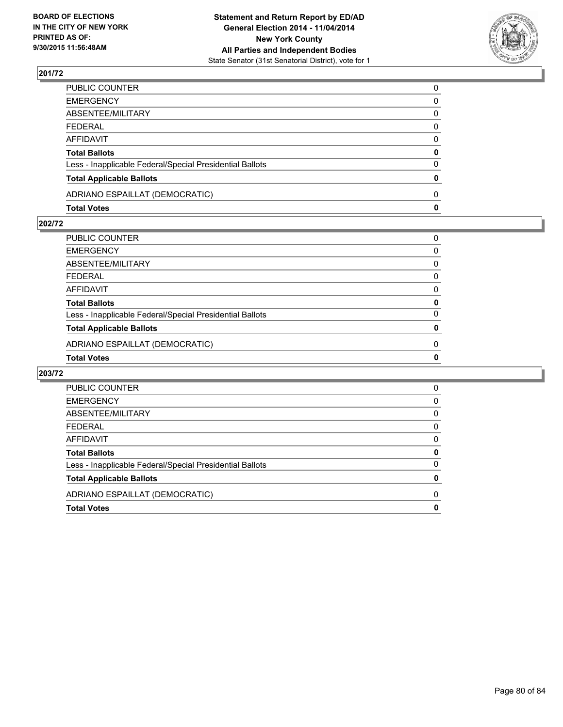

| PUBLIC COUNTER                                           | 0            |
|----------------------------------------------------------|--------------|
| EMERGENCY                                                | 0            |
| ABSENTEE/MILITARY                                        | 0            |
| FEDERAL                                                  | 0            |
| AFFIDAVIT                                                | $\mathbf{0}$ |
| <b>Total Ballots</b>                                     | 0            |
| Less - Inapplicable Federal/Special Presidential Ballots | 0            |
| <b>Total Applicable Ballots</b>                          | $\mathbf{0}$ |
| ADRIANO ESPAILLAT (DEMOCRATIC)                           | $\Omega$     |
| Total Votes                                              | $\mathbf{0}$ |

### **202/72**

| PUBLIC COUNTER                                           | 0        |
|----------------------------------------------------------|----------|
| EMERGENCY                                                | 0        |
| ABSENTEE/MILITARY                                        | 0        |
| FEDERAL                                                  | 0        |
| AFFIDAVIT                                                | 0        |
| Total Ballots                                            | 0        |
| Less - Inapplicable Federal/Special Presidential Ballots | 0        |
| <b>Total Applicable Ballots</b>                          | 0        |
| ADRIANO ESPAILLAT (DEMOCRATIC)                           | $\Omega$ |
| <b>Total Votes</b>                                       | 0        |
|                                                          |          |

| PUBLIC COUNTER                                           | 0 |
|----------------------------------------------------------|---|
| <b>EMERGENCY</b>                                         | 0 |
| ABSENTEE/MILITARY                                        | 0 |
| <b>FEDERAL</b>                                           | 0 |
| <b>AFFIDAVIT</b>                                         | 0 |
| <b>Total Ballots</b>                                     | 0 |
| Less - Inapplicable Federal/Special Presidential Ballots | 0 |
| <b>Total Applicable Ballots</b>                          | 0 |
| ADRIANO ESPAILLAT (DEMOCRATIC)                           | 0 |
| <b>Total Votes</b>                                       | 0 |
|                                                          |   |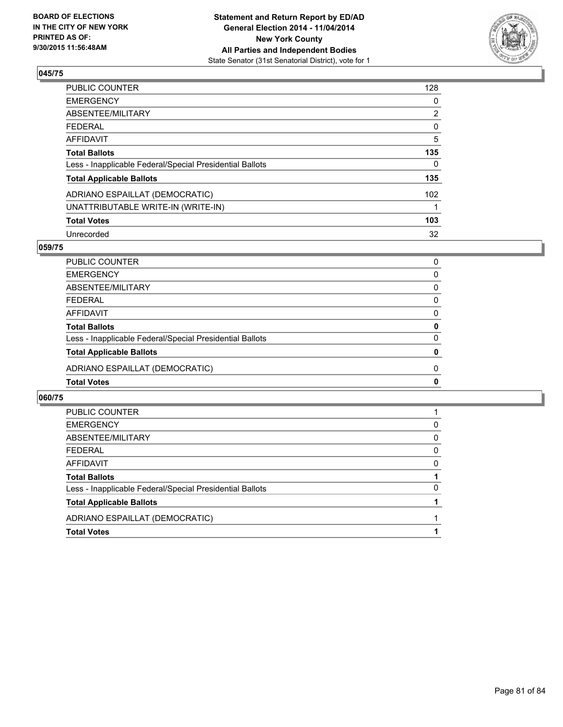

| PUBLIC COUNTER                                           | 128            |
|----------------------------------------------------------|----------------|
| <b>EMERGENCY</b>                                         | 0              |
| ABSENTEE/MILITARY                                        | $\overline{2}$ |
| <b>FEDERAL</b>                                           | 0              |
| AFFIDAVIT                                                | 5              |
| <b>Total Ballots</b>                                     | 135            |
| Less - Inapplicable Federal/Special Presidential Ballots | $\Omega$       |
| <b>Total Applicable Ballots</b>                          | 135            |
| ADRIANO ESPAILLAT (DEMOCRATIC)                           | 102            |
| UNATTRIBUTABLE WRITE-IN (WRITE-IN)                       |                |
| <b>Total Votes</b>                                       | 103            |
| Unrecorded                                               | 32             |

#### **059/75**

| PUBLIC COUNTER                                           | 0            |
|----------------------------------------------------------|--------------|
| <b>EMERGENCY</b>                                         | $\Omega$     |
| ABSENTEE/MILITARY                                        | 0            |
| <b>FEDERAL</b>                                           | 0            |
| AFFIDAVIT                                                | 0            |
| <b>Total Ballots</b>                                     | 0            |
| Less - Inapplicable Federal/Special Presidential Ballots | 0            |
| <b>Total Applicable Ballots</b>                          | $\mathbf{0}$ |
| ADRIANO ESPAILLAT (DEMOCRATIC)                           | 0            |
| <b>Total Votes</b>                                       | $\mathbf{0}$ |

| <b>Total Votes</b>                                       |   |
|----------------------------------------------------------|---|
| ADRIANO ESPAILLAT (DEMOCRATIC)                           |   |
| <b>Total Applicable Ballots</b>                          |   |
| Less - Inapplicable Federal/Special Presidential Ballots | 0 |
| <b>Total Ballots</b>                                     |   |
| AFFIDAVIT                                                | 0 |
| <b>FEDERAL</b>                                           | 0 |
| ABSENTEE/MILITARY                                        | 0 |
| <b>EMERGENCY</b>                                         | 0 |
| <b>PUBLIC COUNTER</b>                                    |   |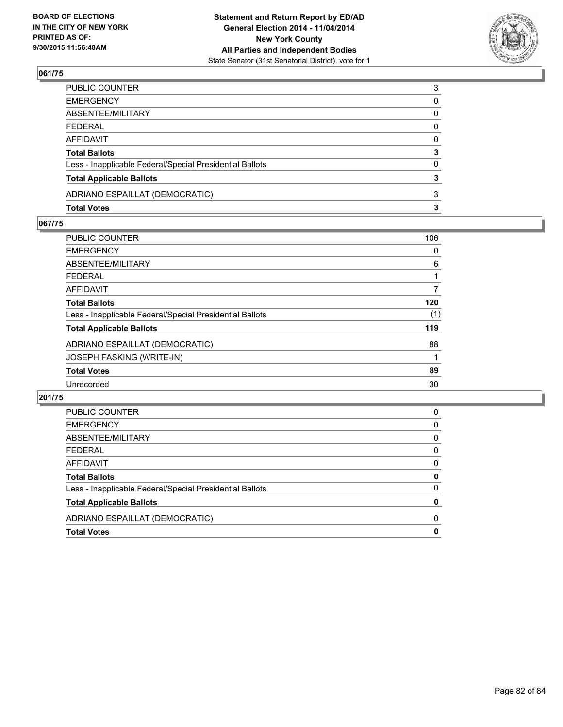

| PUBLIC COUNTER                                           | 3 |
|----------------------------------------------------------|---|
| EMERGENCY                                                | 0 |
| ABSENTEE/MILITARY                                        | 0 |
| FEDERAL                                                  | 0 |
| AFFIDAVIT                                                | 0 |
| <b>Total Ballots</b>                                     | 3 |
| Less - Inapplicable Federal/Special Presidential Ballots | 0 |
| <b>Total Applicable Ballots</b>                          | 3 |
| ADRIANO ESPAILLAT (DEMOCRATIC)                           | 3 |
| Total Votes                                              | 3 |

#### **067/75**

| PUBLIC COUNTER                                           | 106 |
|----------------------------------------------------------|-----|
| EMERGENCY                                                | 0   |
| ABSENTEE/MILITARY                                        | 6   |
| FEDERAL                                                  | 1   |
| AFFIDAVIT                                                | 7   |
| <b>Total Ballots</b>                                     | 120 |
| Less - Inapplicable Federal/Special Presidential Ballots | (1) |
| <b>Total Applicable Ballots</b>                          | 119 |
| ADRIANO ESPAILLAT (DEMOCRATIC)                           | 88  |
| JOSEPH FASKING (WRITE-IN)                                | 1   |
| <b>Total Votes</b>                                       | 89  |
| Unrecorded                                               | 30  |

| <b>Total Votes</b>                                       | 0 |
|----------------------------------------------------------|---|
| ADRIANO ESPAILLAT (DEMOCRATIC)                           | 0 |
| <b>Total Applicable Ballots</b>                          | 0 |
| Less - Inapplicable Federal/Special Presidential Ballots | 0 |
| <b>Total Ballots</b>                                     | 0 |
| AFFIDAVIT                                                | 0 |
| <b>FEDERAL</b>                                           | 0 |
| ABSENTEE/MILITARY                                        | 0 |
| <b>EMERGENCY</b>                                         | 0 |
| <b>PUBLIC COUNTER</b>                                    | 0 |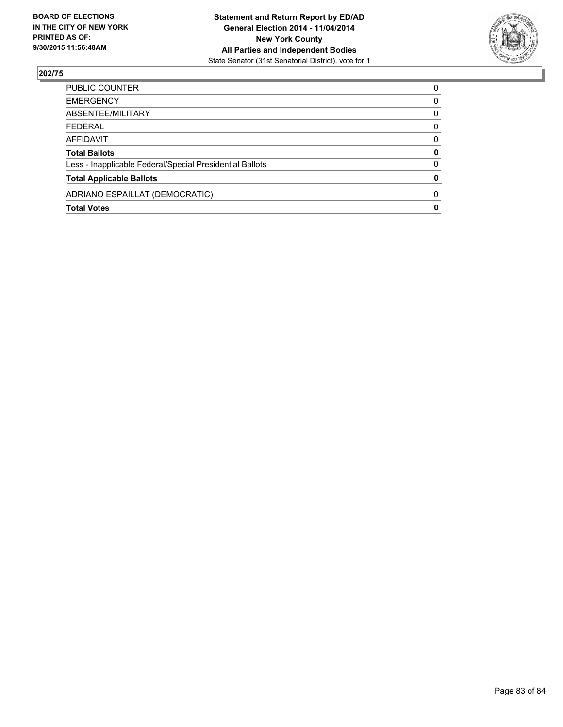

| PUBLIC COUNTER                                           | $\Omega$ |
|----------------------------------------------------------|----------|
| <b>EMERGENCY</b>                                         | 0        |
| ABSENTEE/MILITARY                                        | 0        |
| <b>FEDERAL</b>                                           | 0        |
| AFFIDAVIT                                                | 0        |
| <b>Total Ballots</b>                                     | 0        |
| Less - Inapplicable Federal/Special Presidential Ballots | 0        |
| <b>Total Applicable Ballots</b>                          | 0        |
| ADRIANO ESPAILLAT (DEMOCRATIC)                           | $\Omega$ |
| <b>Total Votes</b>                                       | 0        |
|                                                          |          |